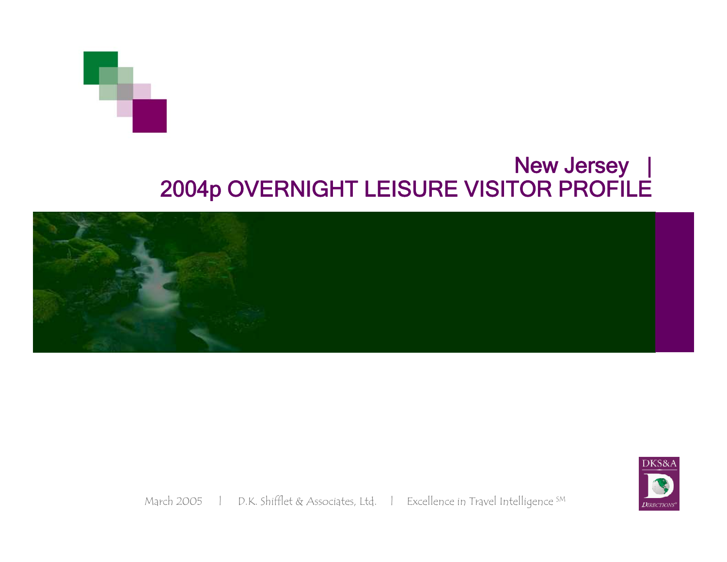# New Jersey | 2004p OVERNIGHT LEISURE VISITOR PROFILE





March 2005 | D.K. Shifflet & Associates, Ltd. | Excellence in Travel Intelligence SM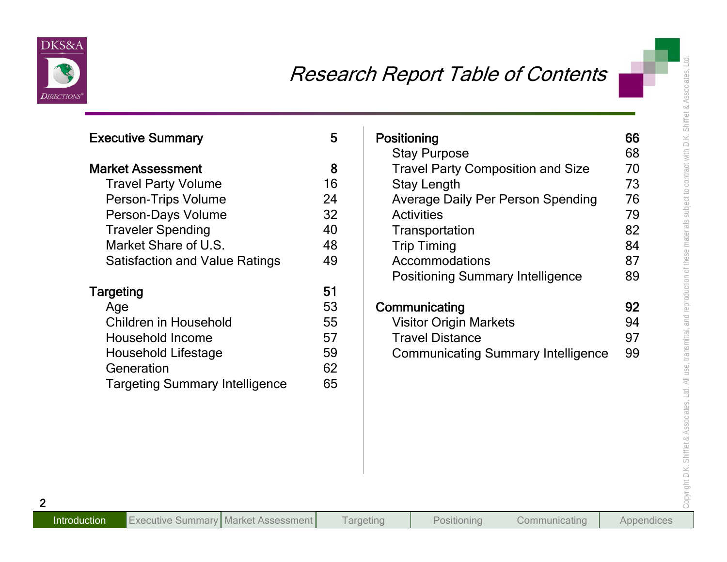

| <b>Executive Summary</b>              | 5  | Positioning                                                     | 66<br>68 |
|---------------------------------------|----|-----------------------------------------------------------------|----------|
| <b>Market Assessment</b>              | 8  | <b>Stay Purpose</b><br><b>Travel Party Composition and Size</b> | 70       |
| <b>Travel Party Volume</b>            | 16 | <b>Stay Length</b>                                              | 73       |
| Person-Trips Volume                   | 24 | <b>Average Daily Per Person Spending</b>                        | 76       |
| Person-Days Volume                    | 32 | <b>Activities</b>                                               | 79       |
| <b>Traveler Spending</b>              | 40 | Transportation                                                  | 82       |
| Market Share of U.S.                  | 48 | <b>Trip Timing</b>                                              | 84       |
| <b>Satisfaction and Value Ratings</b> | 49 | Accommodations                                                  | 87       |
|                                       |    | <b>Positioning Summary Intelligence</b>                         | 89       |
| <b>Targeting</b>                      | 51 |                                                                 |          |
| Age                                   | 53 | Communicating                                                   | 92       |
| <b>Children in Household</b>          | 55 | <b>Visitor Origin Markets</b>                                   | 94       |
| <b>Household Income</b>               | 57 | <b>Travel Distance</b>                                          | 97       |
| <b>Household Lifestage</b>            | 59 | <b>Communicating Summary Intelligence</b>                       | 99       |
| Generation                            | 62 |                                                                 |          |
| <b>Targeting Summary Intelligence</b> | 65 |                                                                 |          |
|                                       |    |                                                                 |          |
|                                       |    |                                                                 |          |
|                                       |    |                                                                 |          |

| Positioning                               | 66 |
|-------------------------------------------|----|
| <b>Stay Purpose</b>                       | 68 |
| <b>Travel Party Composition and Size</b>  | 70 |
| <b>Stay Length</b>                        | 73 |
| <b>Average Daily Per Person Spending</b>  | 76 |
| <b>Activities</b>                         | 79 |
| Transportation                            | 82 |
| <b>Trip Timing</b>                        | 84 |
| Accommodations                            | 87 |
| <b>Positioning Summary Intelligence</b>   | 89 |
| Communicating                             | 92 |
| <b>Visitor Origin Markets</b>             | 94 |
| <b>Travel Distance</b>                    | 97 |
| <b>Communicating Summary Intelligence</b> | 99 |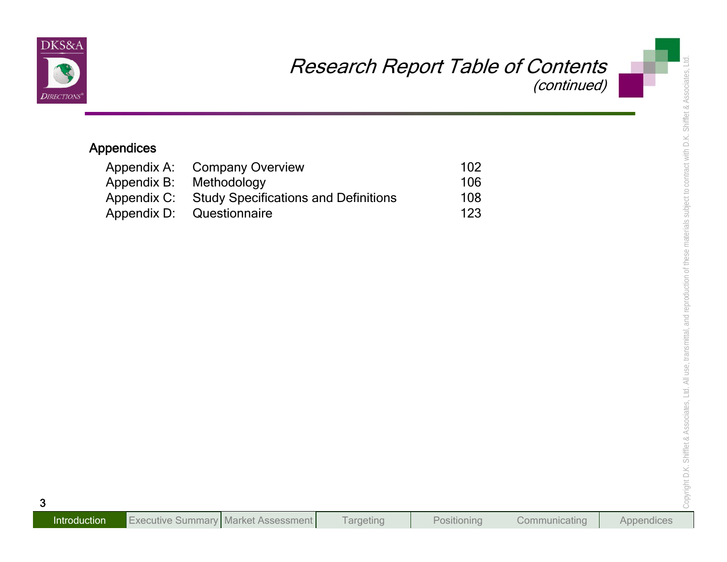

|                            |                                                              | <b>Research Report Table of Contents</b><br>(continued) |  |
|----------------------------|--------------------------------------------------------------|---------------------------------------------------------|--|
| <b>Appendices</b>          |                                                              |                                                         |  |
| Appendix A:                | <b>Company Overview</b>                                      | 102                                                     |  |
| Appendix B:                | Methodology                                                  | 106                                                     |  |
| Appendix C:<br>Appendix D: | <b>Study Specifications and Definitions</b><br>Questionnaire | 108<br>123                                              |  |
|                            |                                                              |                                                         |  |
|                            |                                                              |                                                         |  |
|                            |                                                              |                                                         |  |
|                            |                                                              |                                                         |  |
|                            |                                                              |                                                         |  |
|                            |                                                              |                                                         |  |
|                            |                                                              |                                                         |  |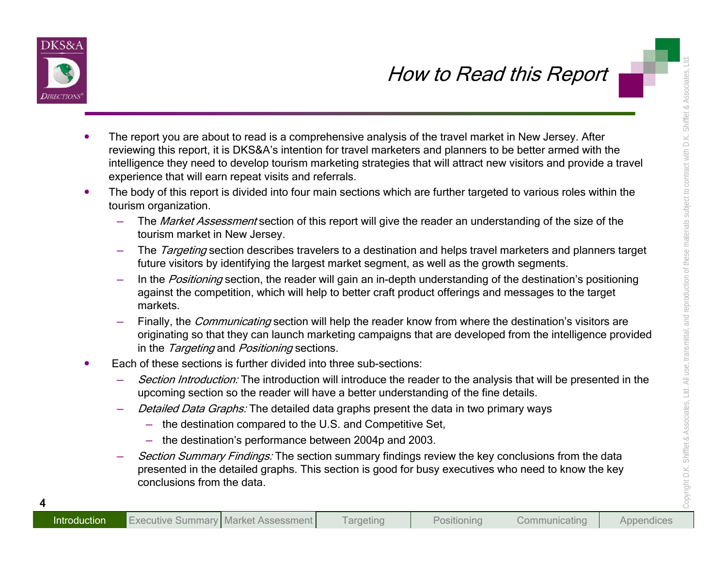

- **From the second of the second state of the second of the second of the second state of the second of the second of the second of the second of the second of the second of the second of the second of the second of the seco** 
	- -
		-
		-
		-
	- -
		- -
			-
		-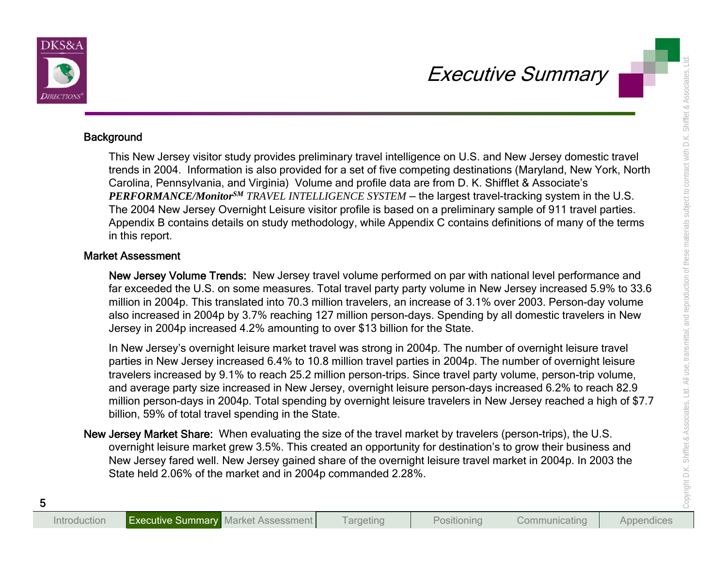

Executive Summary<br>
Besignant This New Jersey visitor study provides preliminary travel intelligence on U.S. and New Jersey demostic travel<br>
tends in 2001. Internation is also provides preliminary travel intelligence on U.S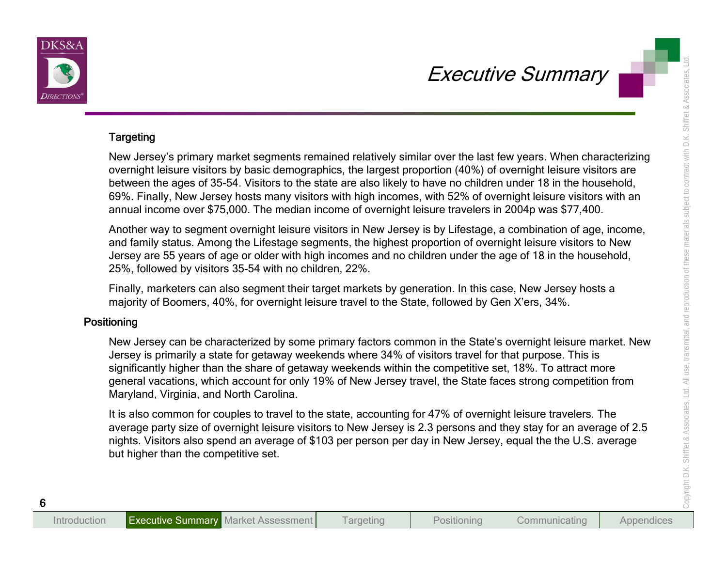

Executive Summary<br>
Targeting<br>
New Jersey's primary market segments remained relatively similar over the last few years. When characterizing<br>
between the ages of 35-54 Vistors to the state are last between the first increas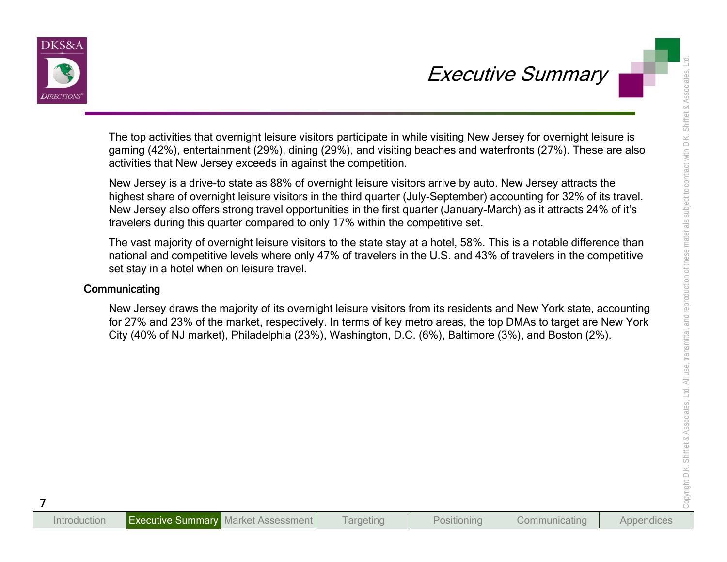

Executive SUMMARY<br>
The top activities that overnight leisure visitors participate in while visiting New Jersey for overnight leisure is<br>
gaming (42%), encretainment (29%), dinning (29%), and visiting theory discussions and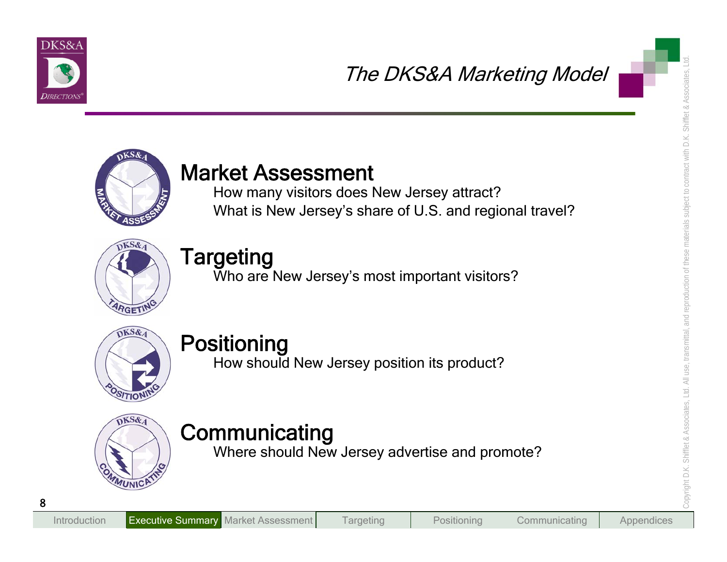



The DKS&A Marketing Model<br>
Market Assessment<br>
How many visitors does New Jersey's and regional travel?<br>
Targeting<br>
Who are New Jersey's most important visitors?<br>
Positioning<br>
Positioning<br>
Positioning<br>
Positioning<br>
Mhore sh







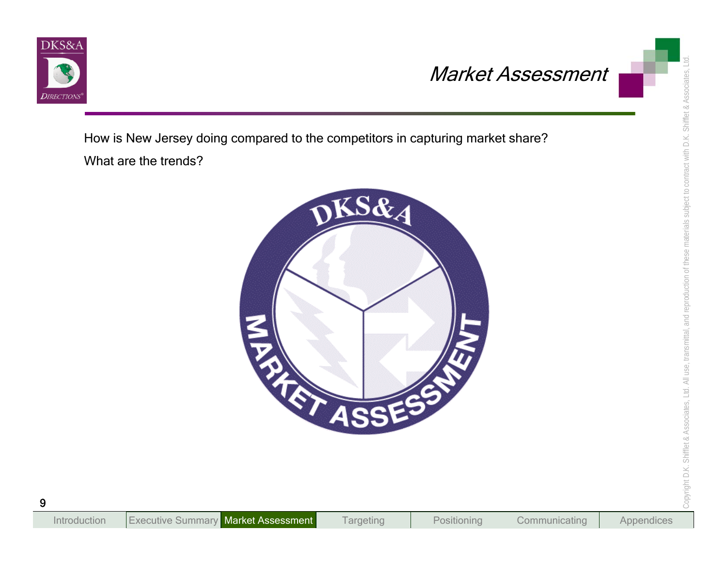

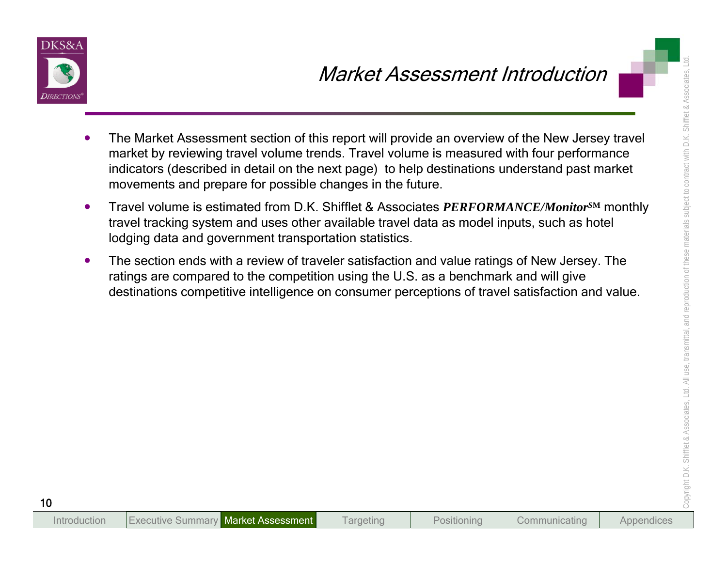

- Market Assessment section of this report will provide an overview of the New Jersey travelery matched by reviewing travel volume trends. Travel volume is measured with four performance inductors (decerbed in declar of the
	-
	-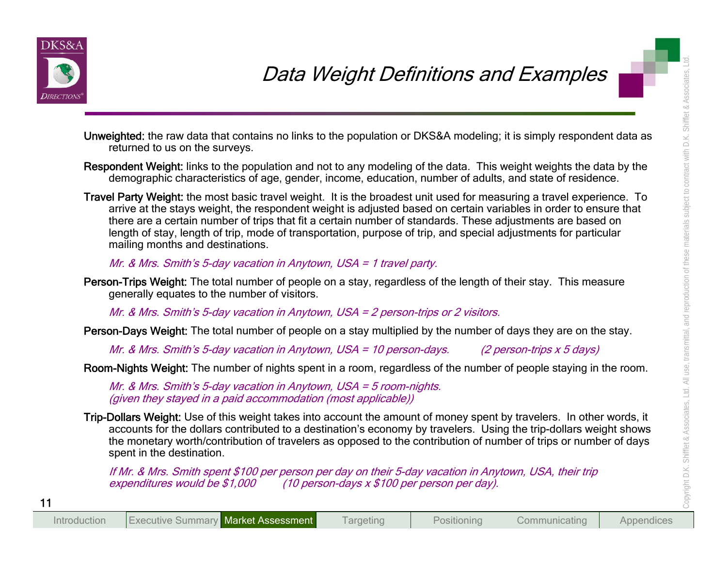

- 
- 
- **Examples 19 and the contribution** of the summation of the data multiplied by the summation of the data that content<br>in the control of the state of the state of the state of the data This weight weights the data by the<br>re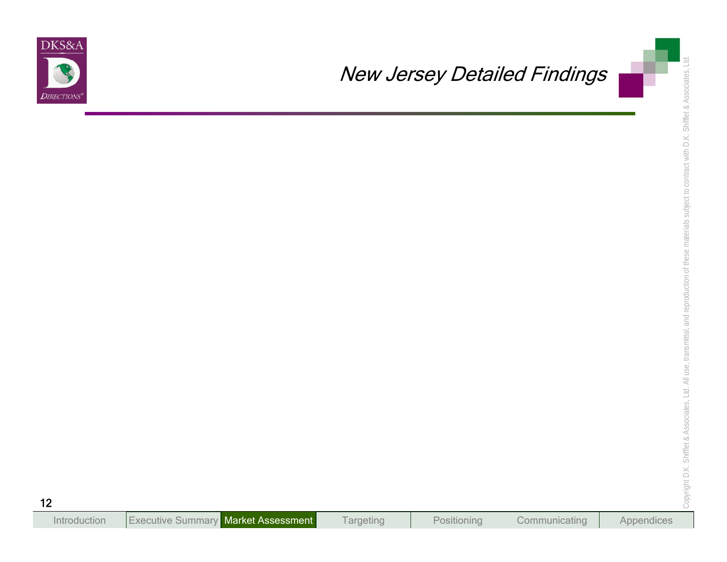

# New Jersey Detailed Findings<br>, Ltd. Associates, Ltd. Associates, Ltd. Associates, Ltd. 12 New Jersey Detailed Findings<br>, Ltd. 12 New Jersey Detailed Findings<br>, Ltd. 12 New Jersey Detailed Findings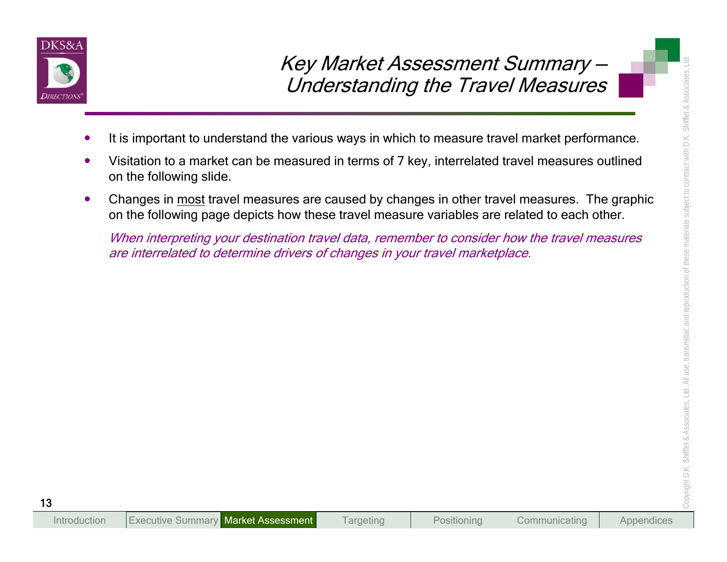

- 
- 
- **Examples 14 ASSessment Summary -**<br>
Understanding the Travel Measures<br>
It is important to understand the various ways in which to measure tavel market performance.<br>
Visitation to a market can be measured in terms of 7 key,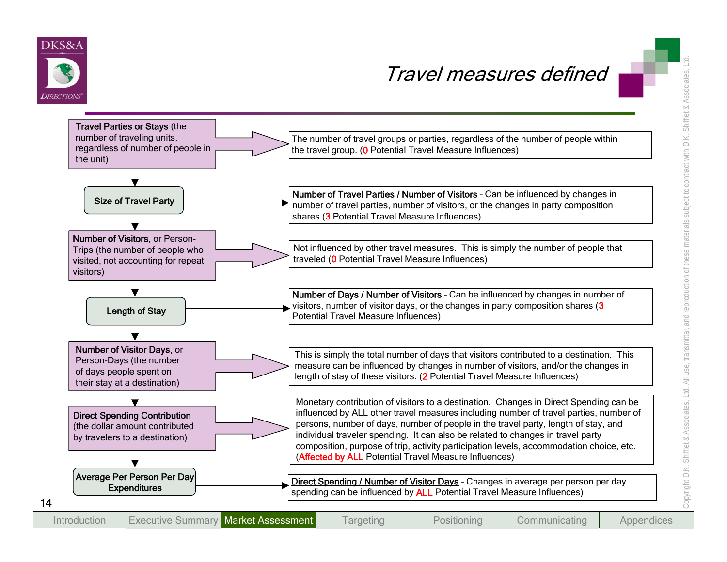

# Travel measures defined

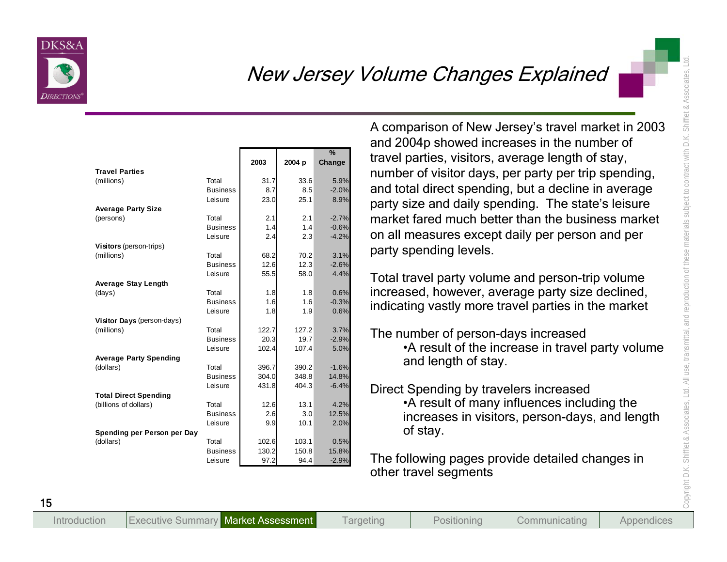

| and 2004p showed increases in the number of<br>%<br>travel parties, visitors, average length of stay,<br>2004 p<br>2003<br>Change<br>number of visitor days, per party per trip spending,<br><b>Travel Parties</b><br>33.6<br>5.9%<br>(millions)<br>Total<br>31.7<br>and total direct spending, but a decline in average<br>$-2.0%$<br>8.7<br>8.5<br><b>Business</b><br>23.0<br>25.1<br>8.9%<br>Leisure<br>party size and daily spending. The state's leisure<br><b>Average Party Size</b><br>Total<br>2.1<br>2.1<br>$-2.7%$<br>(persons)<br>$-0.6%$<br><b>Business</b><br>1.4<br>1.4<br>on all measures except daily per person and per<br>2.4<br>2.3<br>$-4.2%$<br>Leisure<br>Visitors (person-trips)<br>party spending levels.<br>68.2<br>70.2<br>3.1%<br>(millions)<br>Total<br>12.6<br>12.3<br><b>Business</b><br>$-2.6%$<br>55.5<br>58.0<br>Leisure<br>4.4%<br><b>Average Stay Length</b><br>increased, however, average party size declined,<br>0.6%<br>Total<br>1.8<br>(days)<br>1.8<br>1.6<br>1.6<br>$-0.3%$<br><b>Business</b><br>indicating vastly more travel parties in the market<br>1.8<br>1.9<br>0.6%<br>Leisure<br>Visitor Days (person-days)<br>Total<br>122.7<br>127.2<br>3.7%<br>(millions)<br>The number of person-days increased<br><b>Business</b><br>20.3<br>19.7<br>$-2.9%$<br>•A result of the increase in travel party volume<br>102.4<br>107.4<br>5.0%<br>Leisure<br><b>Average Party Spending</b><br>and length of stay.<br>396.7<br>390.2<br>$-1.6%$<br>(dollars)<br>Total<br>304.0<br>348.8<br>14.8%<br><b>Business</b><br>404.3<br>Leisure<br>431.8<br>$-6.4%$<br>Direct Spending by travelers increased<br><b>Total Direct Spending</b><br>•A result of many influences including the<br>(billions of dollars)<br>13.1<br>4.2%<br>Total<br>12.6<br>2.6<br>3.0<br>12.5%<br><b>Business</b><br>increases in visitors, person-days, and length<br>9.9<br>10.1<br>Leisure<br>2.0%<br>of stay. |                             |  |  | A comparison of New Jersey's travel market in 2003 |
|----------------------------------------------------------------------------------------------------------------------------------------------------------------------------------------------------------------------------------------------------------------------------------------------------------------------------------------------------------------------------------------------------------------------------------------------------------------------------------------------------------------------------------------------------------------------------------------------------------------------------------------------------------------------------------------------------------------------------------------------------------------------------------------------------------------------------------------------------------------------------------------------------------------------------------------------------------------------------------------------------------------------------------------------------------------------------------------------------------------------------------------------------------------------------------------------------------------------------------------------------------------------------------------------------------------------------------------------------------------------------------------------------------------------------------------------------------------------------------------------------------------------------------------------------------------------------------------------------------------------------------------------------------------------------------------------------------------------------------------------------------------------------------------------------------------------------------------------------------------------------------------------------------------------------|-----------------------------|--|--|----------------------------------------------------|
|                                                                                                                                                                                                                                                                                                                                                                                                                                                                                                                                                                                                                                                                                                                                                                                                                                                                                                                                                                                                                                                                                                                                                                                                                                                                                                                                                                                                                                                                                                                                                                                                                                                                                                                                                                                                                                                                                                                            |                             |  |  |                                                    |
|                                                                                                                                                                                                                                                                                                                                                                                                                                                                                                                                                                                                                                                                                                                                                                                                                                                                                                                                                                                                                                                                                                                                                                                                                                                                                                                                                                                                                                                                                                                                                                                                                                                                                                                                                                                                                                                                                                                            |                             |  |  |                                                    |
|                                                                                                                                                                                                                                                                                                                                                                                                                                                                                                                                                                                                                                                                                                                                                                                                                                                                                                                                                                                                                                                                                                                                                                                                                                                                                                                                                                                                                                                                                                                                                                                                                                                                                                                                                                                                                                                                                                                            |                             |  |  |                                                    |
|                                                                                                                                                                                                                                                                                                                                                                                                                                                                                                                                                                                                                                                                                                                                                                                                                                                                                                                                                                                                                                                                                                                                                                                                                                                                                                                                                                                                                                                                                                                                                                                                                                                                                                                                                                                                                                                                                                                            |                             |  |  |                                                    |
|                                                                                                                                                                                                                                                                                                                                                                                                                                                                                                                                                                                                                                                                                                                                                                                                                                                                                                                                                                                                                                                                                                                                                                                                                                                                                                                                                                                                                                                                                                                                                                                                                                                                                                                                                                                                                                                                                                                            |                             |  |  |                                                    |
|                                                                                                                                                                                                                                                                                                                                                                                                                                                                                                                                                                                                                                                                                                                                                                                                                                                                                                                                                                                                                                                                                                                                                                                                                                                                                                                                                                                                                                                                                                                                                                                                                                                                                                                                                                                                                                                                                                                            |                             |  |  |                                                    |
|                                                                                                                                                                                                                                                                                                                                                                                                                                                                                                                                                                                                                                                                                                                                                                                                                                                                                                                                                                                                                                                                                                                                                                                                                                                                                                                                                                                                                                                                                                                                                                                                                                                                                                                                                                                                                                                                                                                            |                             |  |  | market fared much better than the business market  |
|                                                                                                                                                                                                                                                                                                                                                                                                                                                                                                                                                                                                                                                                                                                                                                                                                                                                                                                                                                                                                                                                                                                                                                                                                                                                                                                                                                                                                                                                                                                                                                                                                                                                                                                                                                                                                                                                                                                            |                             |  |  |                                                    |
|                                                                                                                                                                                                                                                                                                                                                                                                                                                                                                                                                                                                                                                                                                                                                                                                                                                                                                                                                                                                                                                                                                                                                                                                                                                                                                                                                                                                                                                                                                                                                                                                                                                                                                                                                                                                                                                                                                                            |                             |  |  |                                                    |
|                                                                                                                                                                                                                                                                                                                                                                                                                                                                                                                                                                                                                                                                                                                                                                                                                                                                                                                                                                                                                                                                                                                                                                                                                                                                                                                                                                                                                                                                                                                                                                                                                                                                                                                                                                                                                                                                                                                            |                             |  |  |                                                    |
|                                                                                                                                                                                                                                                                                                                                                                                                                                                                                                                                                                                                                                                                                                                                                                                                                                                                                                                                                                                                                                                                                                                                                                                                                                                                                                                                                                                                                                                                                                                                                                                                                                                                                                                                                                                                                                                                                                                            |                             |  |  |                                                    |
|                                                                                                                                                                                                                                                                                                                                                                                                                                                                                                                                                                                                                                                                                                                                                                                                                                                                                                                                                                                                                                                                                                                                                                                                                                                                                                                                                                                                                                                                                                                                                                                                                                                                                                                                                                                                                                                                                                                            |                             |  |  |                                                    |
|                                                                                                                                                                                                                                                                                                                                                                                                                                                                                                                                                                                                                                                                                                                                                                                                                                                                                                                                                                                                                                                                                                                                                                                                                                                                                                                                                                                                                                                                                                                                                                                                                                                                                                                                                                                                                                                                                                                            |                             |  |  | Total travel party volume and person-trip volume   |
|                                                                                                                                                                                                                                                                                                                                                                                                                                                                                                                                                                                                                                                                                                                                                                                                                                                                                                                                                                                                                                                                                                                                                                                                                                                                                                                                                                                                                                                                                                                                                                                                                                                                                                                                                                                                                                                                                                                            |                             |  |  |                                                    |
|                                                                                                                                                                                                                                                                                                                                                                                                                                                                                                                                                                                                                                                                                                                                                                                                                                                                                                                                                                                                                                                                                                                                                                                                                                                                                                                                                                                                                                                                                                                                                                                                                                                                                                                                                                                                                                                                                                                            |                             |  |  |                                                    |
|                                                                                                                                                                                                                                                                                                                                                                                                                                                                                                                                                                                                                                                                                                                                                                                                                                                                                                                                                                                                                                                                                                                                                                                                                                                                                                                                                                                                                                                                                                                                                                                                                                                                                                                                                                                                                                                                                                                            |                             |  |  |                                                    |
|                                                                                                                                                                                                                                                                                                                                                                                                                                                                                                                                                                                                                                                                                                                                                                                                                                                                                                                                                                                                                                                                                                                                                                                                                                                                                                                                                                                                                                                                                                                                                                                                                                                                                                                                                                                                                                                                                                                            |                             |  |  |                                                    |
|                                                                                                                                                                                                                                                                                                                                                                                                                                                                                                                                                                                                                                                                                                                                                                                                                                                                                                                                                                                                                                                                                                                                                                                                                                                                                                                                                                                                                                                                                                                                                                                                                                                                                                                                                                                                                                                                                                                            |                             |  |  |                                                    |
|                                                                                                                                                                                                                                                                                                                                                                                                                                                                                                                                                                                                                                                                                                                                                                                                                                                                                                                                                                                                                                                                                                                                                                                                                                                                                                                                                                                                                                                                                                                                                                                                                                                                                                                                                                                                                                                                                                                            |                             |  |  |                                                    |
|                                                                                                                                                                                                                                                                                                                                                                                                                                                                                                                                                                                                                                                                                                                                                                                                                                                                                                                                                                                                                                                                                                                                                                                                                                                                                                                                                                                                                                                                                                                                                                                                                                                                                                                                                                                                                                                                                                                            |                             |  |  |                                                    |
|                                                                                                                                                                                                                                                                                                                                                                                                                                                                                                                                                                                                                                                                                                                                                                                                                                                                                                                                                                                                                                                                                                                                                                                                                                                                                                                                                                                                                                                                                                                                                                                                                                                                                                                                                                                                                                                                                                                            |                             |  |  |                                                    |
|                                                                                                                                                                                                                                                                                                                                                                                                                                                                                                                                                                                                                                                                                                                                                                                                                                                                                                                                                                                                                                                                                                                                                                                                                                                                                                                                                                                                                                                                                                                                                                                                                                                                                                                                                                                                                                                                                                                            |                             |  |  |                                                    |
|                                                                                                                                                                                                                                                                                                                                                                                                                                                                                                                                                                                                                                                                                                                                                                                                                                                                                                                                                                                                                                                                                                                                                                                                                                                                                                                                                                                                                                                                                                                                                                                                                                                                                                                                                                                                                                                                                                                            |                             |  |  |                                                    |
|                                                                                                                                                                                                                                                                                                                                                                                                                                                                                                                                                                                                                                                                                                                                                                                                                                                                                                                                                                                                                                                                                                                                                                                                                                                                                                                                                                                                                                                                                                                                                                                                                                                                                                                                                                                                                                                                                                                            |                             |  |  |                                                    |
|                                                                                                                                                                                                                                                                                                                                                                                                                                                                                                                                                                                                                                                                                                                                                                                                                                                                                                                                                                                                                                                                                                                                                                                                                                                                                                                                                                                                                                                                                                                                                                                                                                                                                                                                                                                                                                                                                                                            |                             |  |  |                                                    |
|                                                                                                                                                                                                                                                                                                                                                                                                                                                                                                                                                                                                                                                                                                                                                                                                                                                                                                                                                                                                                                                                                                                                                                                                                                                                                                                                                                                                                                                                                                                                                                                                                                                                                                                                                                                                                                                                                                                            |                             |  |  |                                                    |
|                                                                                                                                                                                                                                                                                                                                                                                                                                                                                                                                                                                                                                                                                                                                                                                                                                                                                                                                                                                                                                                                                                                                                                                                                                                                                                                                                                                                                                                                                                                                                                                                                                                                                                                                                                                                                                                                                                                            |                             |  |  |                                                    |
|                                                                                                                                                                                                                                                                                                                                                                                                                                                                                                                                                                                                                                                                                                                                                                                                                                                                                                                                                                                                                                                                                                                                                                                                                                                                                                                                                                                                                                                                                                                                                                                                                                                                                                                                                                                                                                                                                                                            | Spending per Person per Day |  |  |                                                    |
| 102.6<br>103.1<br>(dollars)<br>Total<br>0.5%                                                                                                                                                                                                                                                                                                                                                                                                                                                                                                                                                                                                                                                                                                                                                                                                                                                                                                                                                                                                                                                                                                                                                                                                                                                                                                                                                                                                                                                                                                                                                                                                                                                                                                                                                                                                                                                                               |                             |  |  |                                                    |
| <b>Business</b><br>130.2<br>150.8<br>15.8%                                                                                                                                                                                                                                                                                                                                                                                                                                                                                                                                                                                                                                                                                                                                                                                                                                                                                                                                                                                                                                                                                                                                                                                                                                                                                                                                                                                                                                                                                                                                                                                                                                                                                                                                                                                                                                                                                 |                             |  |  |                                                    |
| 97.2<br>94.4<br>$-2.9%$<br>Leisure<br>other travel segments                                                                                                                                                                                                                                                                                                                                                                                                                                                                                                                                                                                                                                                                                                                                                                                                                                                                                                                                                                                                                                                                                                                                                                                                                                                                                                                                                                                                                                                                                                                                                                                                                                                                                                                                                                                                                                                                |                             |  |  | The following pages provide detailed changes in    |

- 
-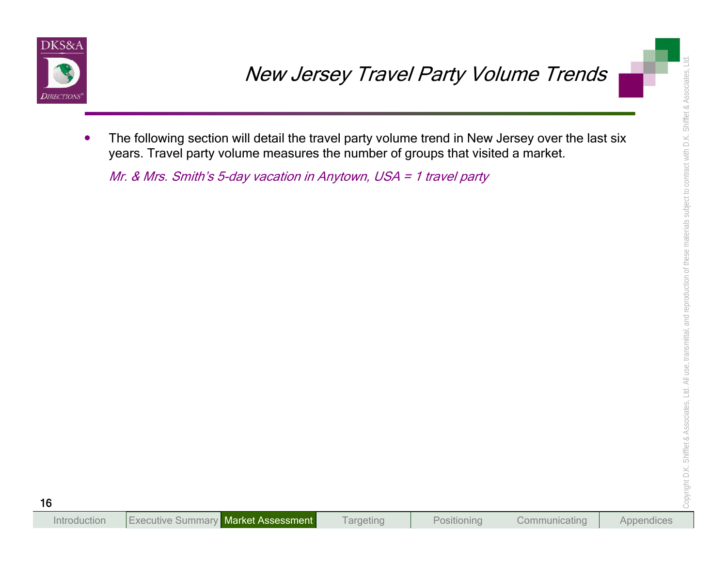

**Sources:**<br>
The following section will detail the travel party volume tend in New Jersey over the last six<br>
years. Travel party volume measures the number of groups that visited a market.<br> *Mr. & Mrs. Smith's 5-day vacatio*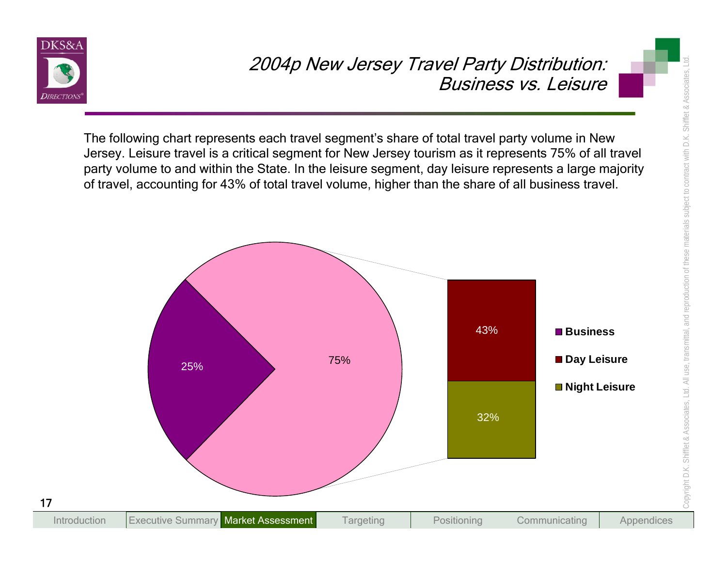

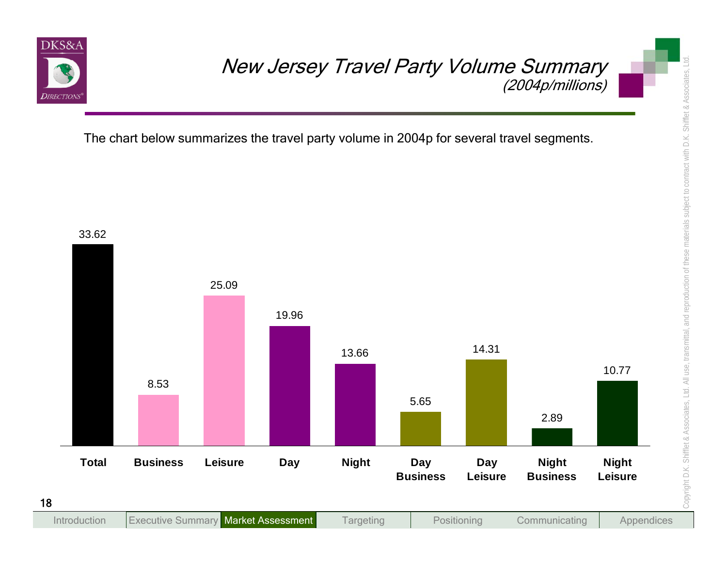

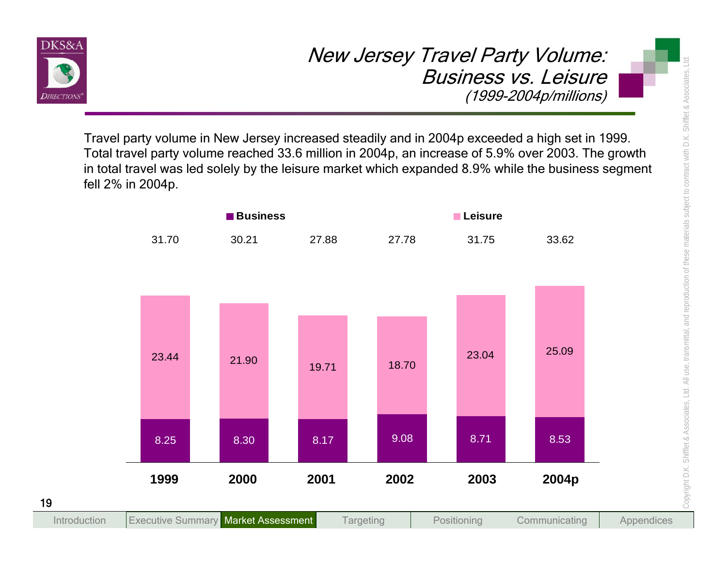

Travel party volume in New Jersey increased steadily and in 2004p exceeded a high set in 1999. Total travel party volume reached 33.6 million in 2004p, an increase of 5.9% over 2003. The growth in total travel was led solely by the leisure market which expanded 8.9% while the business segment fell 2% in 2004p.

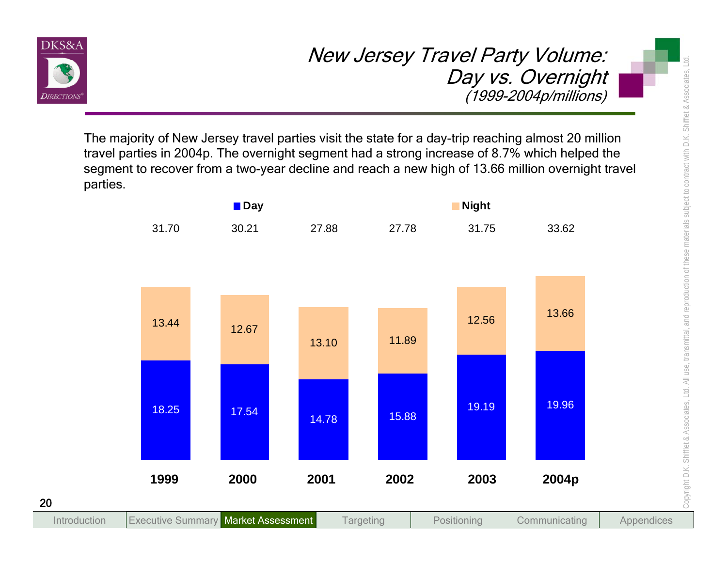

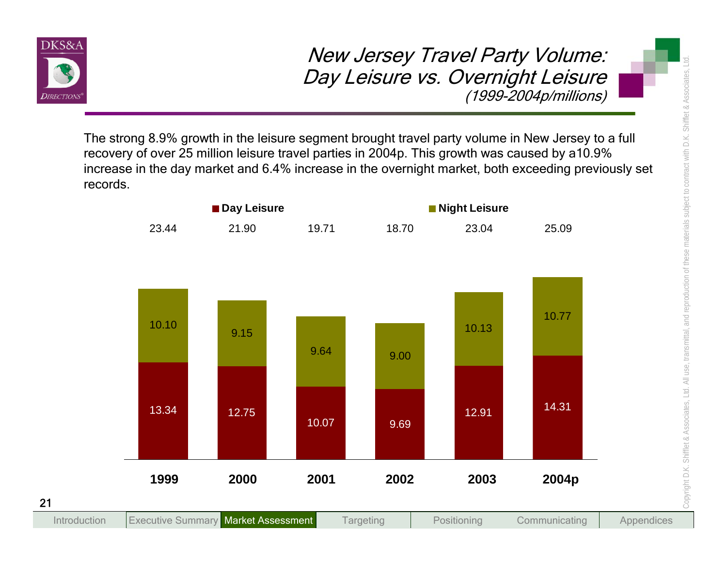

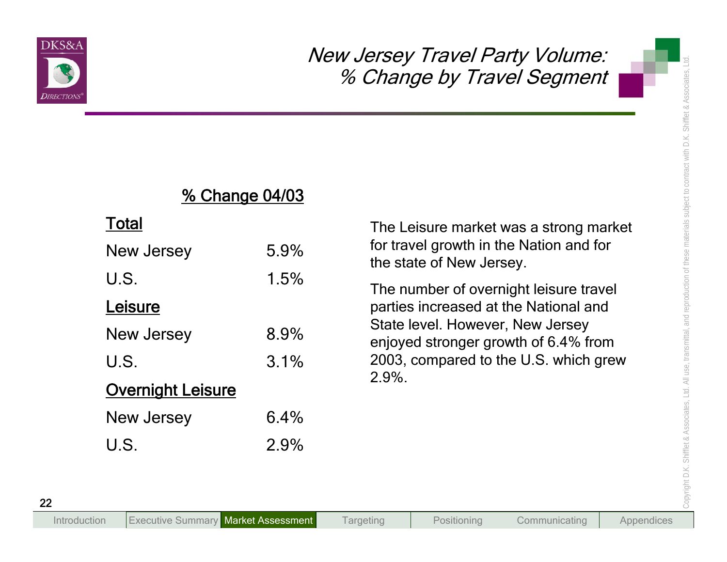

# % Change 04/03

## Total

|                          |                       | % Change by Travel Segment                                               |
|--------------------------|-----------------------|--------------------------------------------------------------------------|
|                          | <u>% Change 04/03</u> |                                                                          |
| <b>Total</b>             |                       | The Leisure market was a strong market                                   |
| New Jersey               | 5.9%                  | for travel growth in the Nation and for<br>the state of New Jersey.      |
| U.S.                     | 1.5%                  | The number of overnight leisure travel                                   |
| Leisure                  |                       | parties increased at the National and                                    |
| New Jersey               | 8.9%                  | State level. However, New Jersey<br>enjoyed stronger growth of 6.4% from |
| U.S.                     | 3.1%                  | 2003, compared to the U.S. which grew                                    |
| <b>Overnight Leisure</b> |                       | 2.9%.                                                                    |
| New Jersey               | 6.4%                  |                                                                          |
| U.S.                     | 2.9%                  |                                                                          |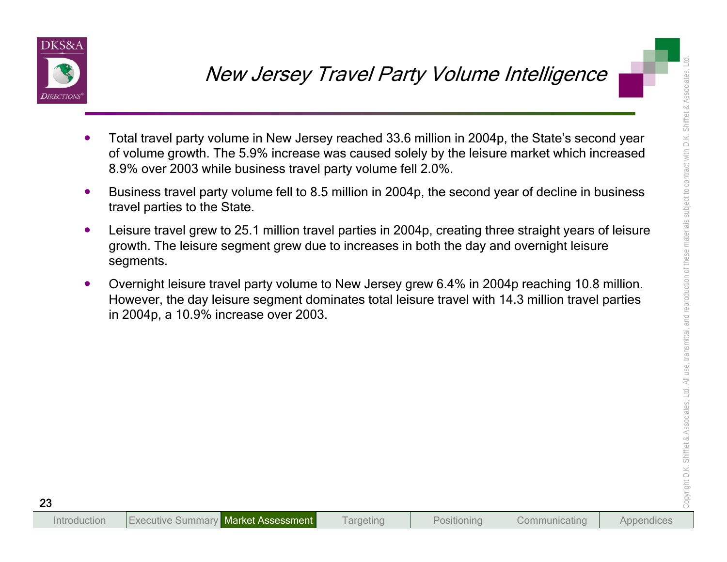

- 
- 
- New Jersey Travel Party Volume Intelligence<br>
Total travel party volume in New Jersey reached 33.6 million in 2004p, the State's second year<br>
of volume growth. The 5.9% increase was caused solely by the leisure market which
	-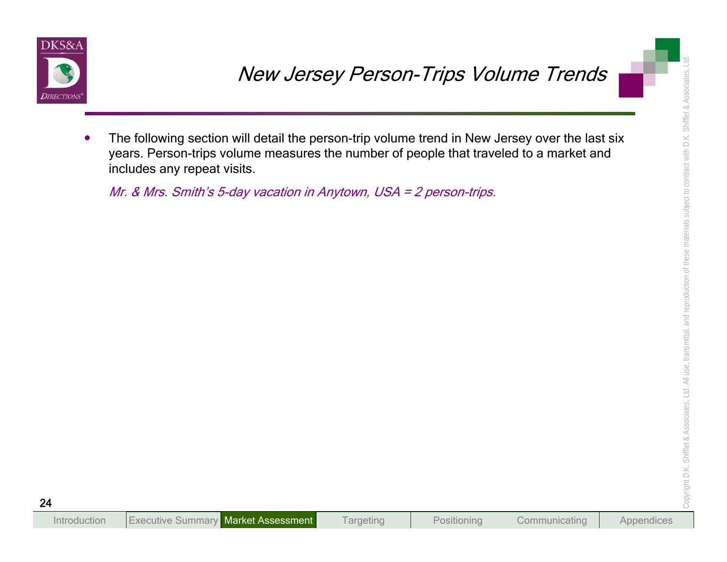

New Jersey Person-Trips Volume Trends<br>
The following section will detail the person-trip volume trend in New Jersey over the last six<br>
years. Person-trips volume measures the number of people that traveled to a market and<br>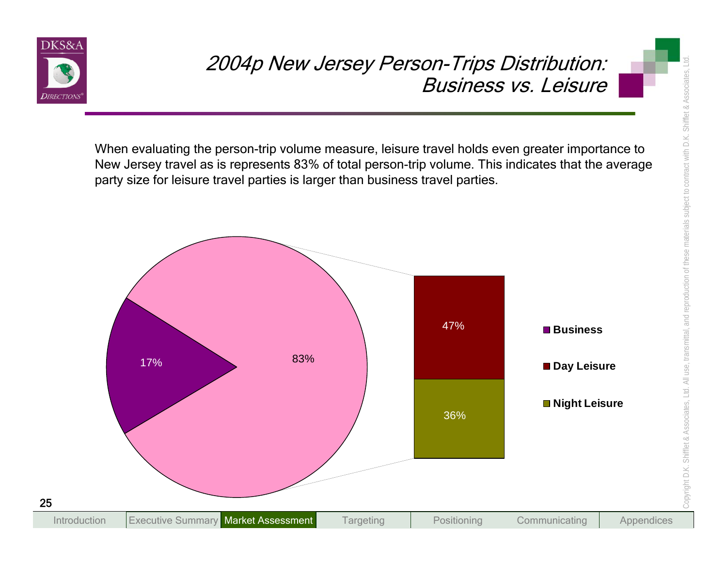

When evaluating the person-trip volume measure, leisure travel holds even greater importance to New Jersey travel as is represents 83% of total person-trip volume. This indicates that the average party size for leisure travel parties is larger than business travel parties.

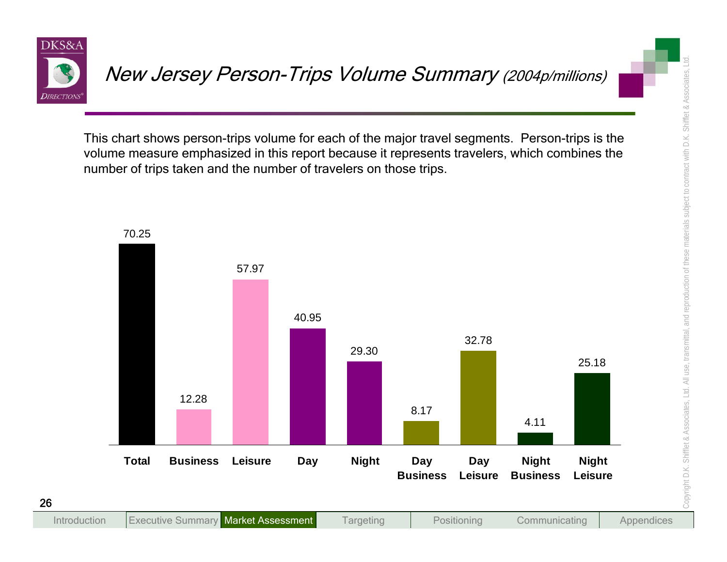

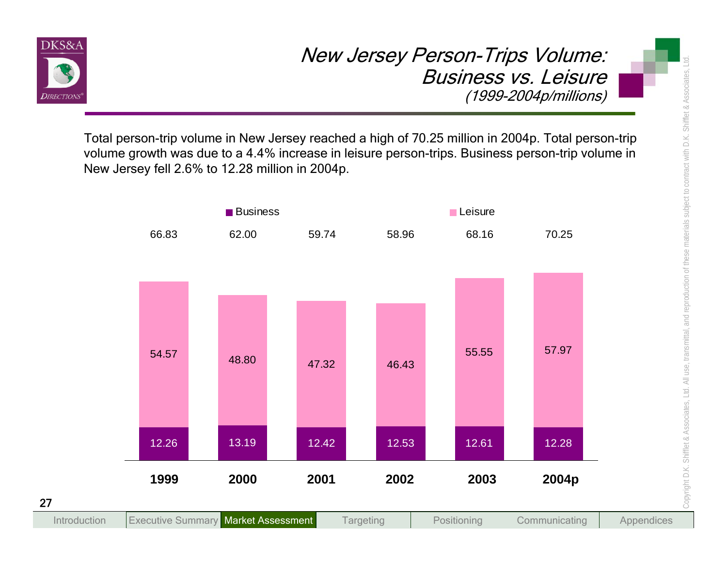

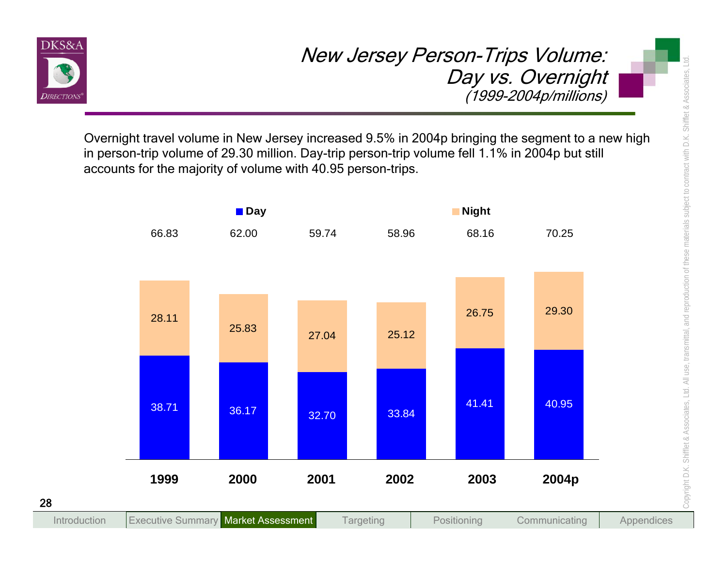

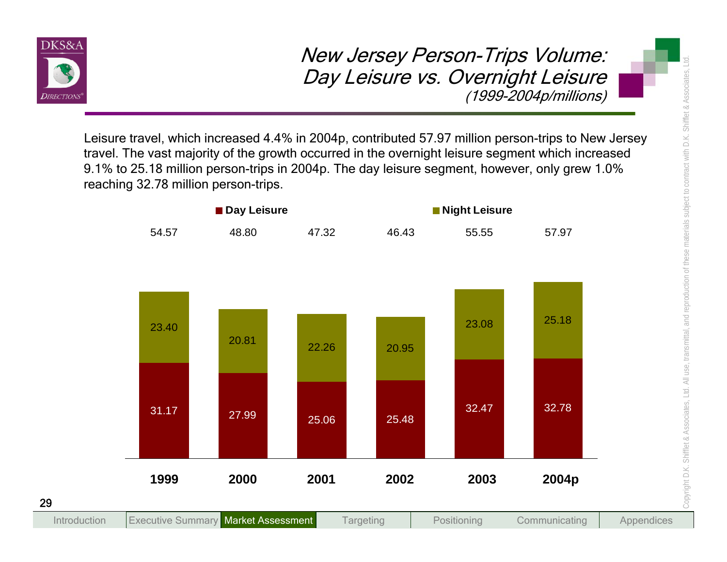

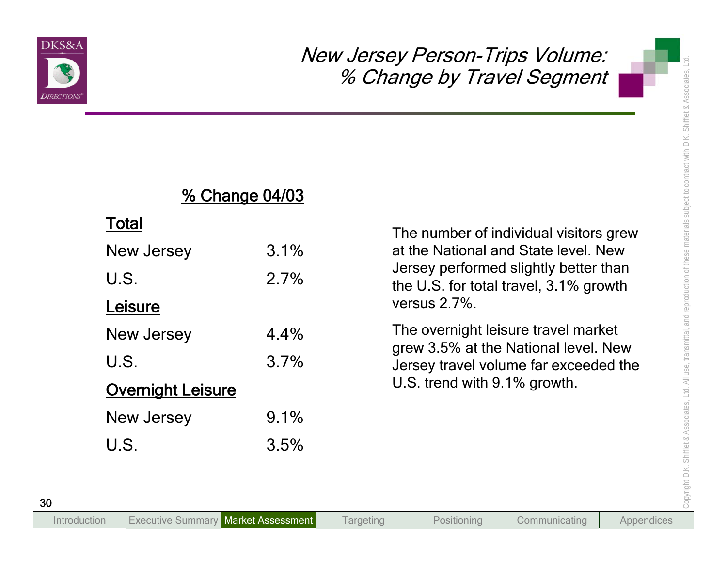

# % Change 04/03

# Total

|                          | <b>% Change 04/03</b> |                                                                                 |
|--------------------------|-----------------------|---------------------------------------------------------------------------------|
| <b>Total</b>             |                       | The number of individual visitors grew                                          |
| New Jersey               | 3.1%                  | at the National and State level. New                                            |
| U.S.                     | 2.7%                  | Jersey performed slightly better than<br>the U.S. for total travel, 3.1% growth |
| Leisure                  |                       | versus 2.7%.                                                                    |
| New Jersey               | 4.4%                  | The overnight leisure travel market                                             |
| U.S.                     | 3.7%                  | grew 3.5% at the National level. New<br>Jersey travel volume far exceeded the   |
| <b>Overnight Leisure</b> |                       | U.S. trend with 9.1% growth.                                                    |
| New Jersey               | 9.1%                  |                                                                                 |
| U.S.                     | 3.5%                  |                                                                                 |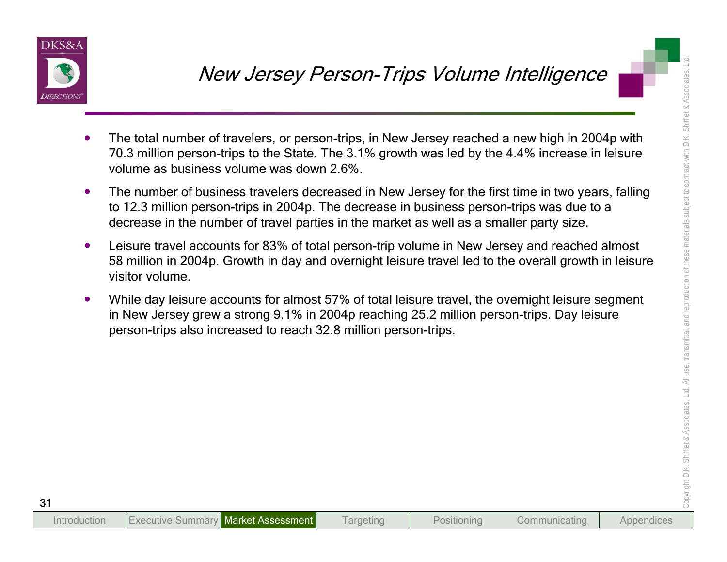

- 
- 
- New Jersey Person-Trips Volume Intelligence<br>
The total number of travelers, or person-trips in New Jersey reached a new high in 2004p with<br>
70.3 million person-trips to the State. The 3.1% growth was led by the 4.4% increa
	-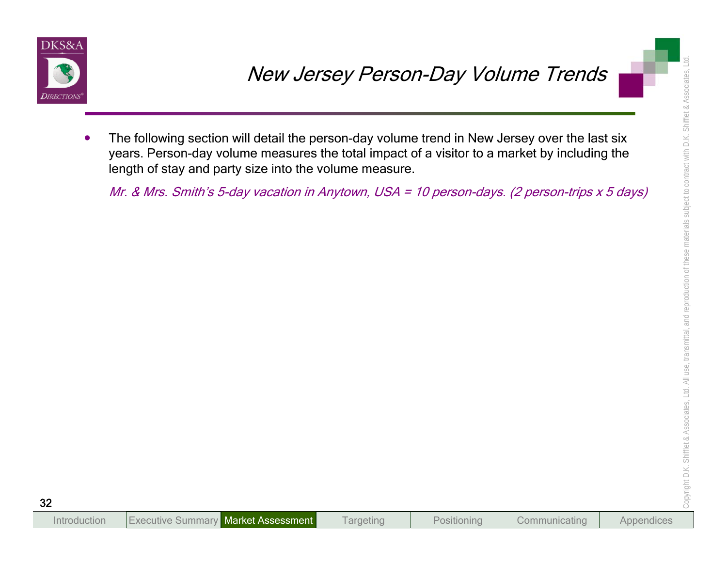

New Jersey Person-Day Volume Trends<br>The following section will detail the person-day volume trend in New Jersey over the last six<br>years. Person-day volume measures the total impact of a visitor to a market by including the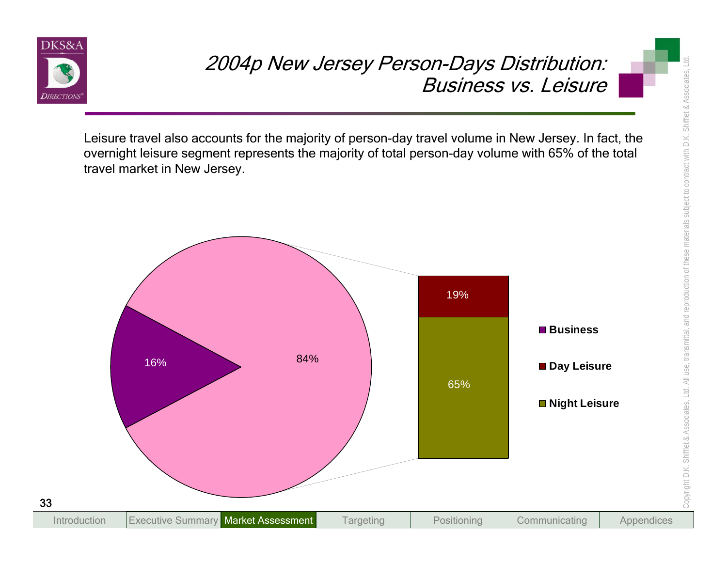

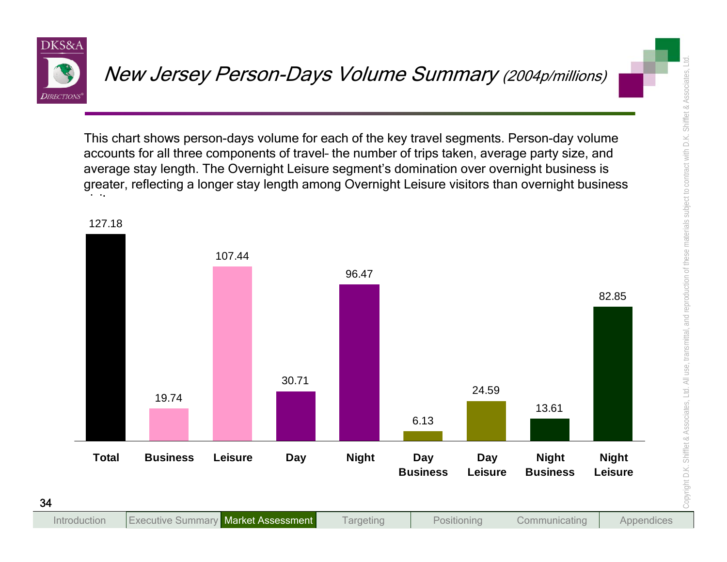

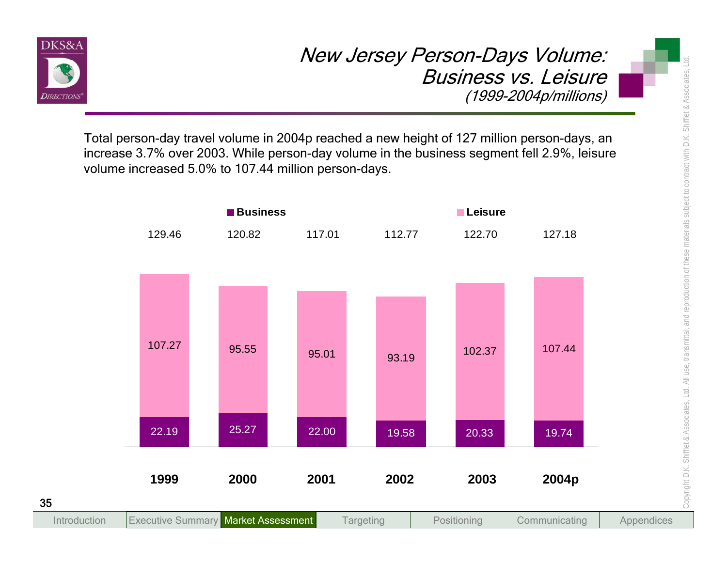

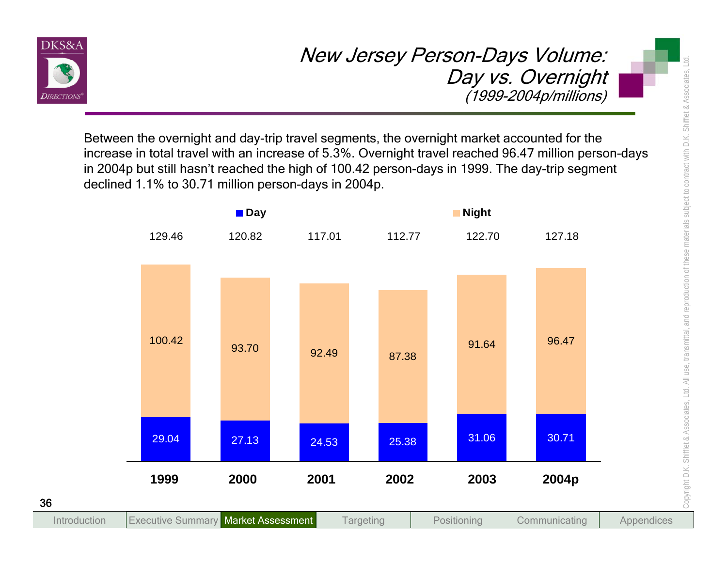

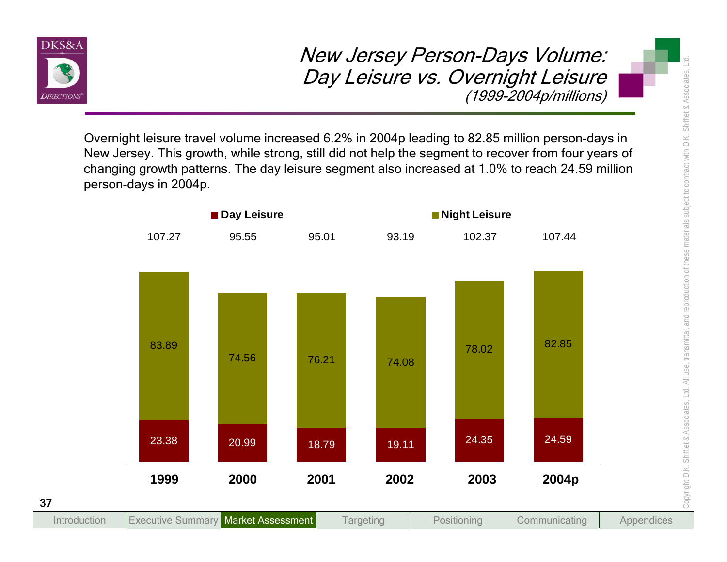

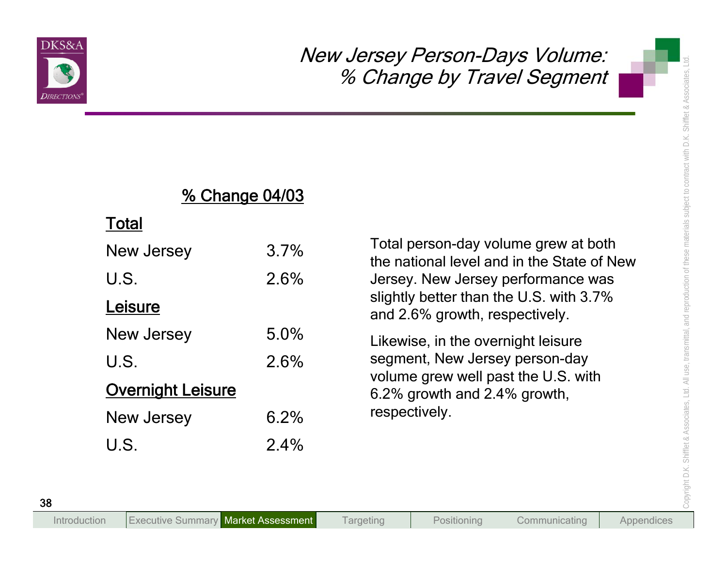

## % Change 04/03

### Total

|                          | <b>% Change 04/03</b> |                                                                                                                                                                                                                                                                               |
|--------------------------|-----------------------|-------------------------------------------------------------------------------------------------------------------------------------------------------------------------------------------------------------------------------------------------------------------------------|
| <b>Total</b>             |                       |                                                                                                                                                                                                                                                                               |
| New Jersey               | 3.7%                  | Total person-day volume grew at both<br>the national level and in the State of New<br>Jersey. New Jersey performance was<br>slightly better than the U.S. with 3.7%<br>and 2.6% growth, respectively.<br>Likewise, in the overnight leisure<br>segment, New Jersey person-day |
| U.S.                     | 2.6%                  |                                                                                                                                                                                                                                                                               |
| Leisure                  |                       |                                                                                                                                                                                                                                                                               |
| New Jersey               | 5.0%                  |                                                                                                                                                                                                                                                                               |
| U.S.                     | 2.6%                  |                                                                                                                                                                                                                                                                               |
| <b>Overnight Leisure</b> |                       | volume grew well past the U.S. with<br>6.2% growth and 2.4% growth,                                                                                                                                                                                                           |
| New Jersey               | 6.2%                  | respectively.                                                                                                                                                                                                                                                                 |
| U.S.                     | 2.4%                  |                                                                                                                                                                                                                                                                               |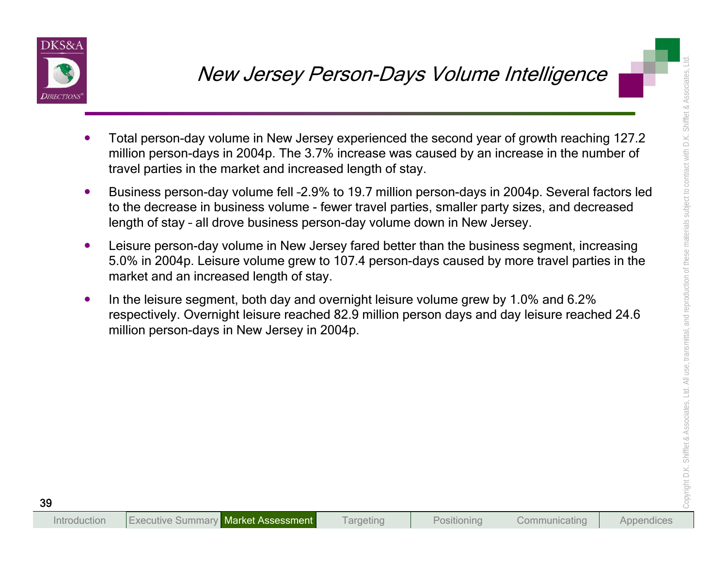

- 
- 
- New Jersey Person-Days Volume Intelligence<br>
Total person-day volume in New Jersey experienced the second year of growth reaching 127.2<br>
million person-days in 2004p. The 3.7% increase was caused by an increase in the numbe
	-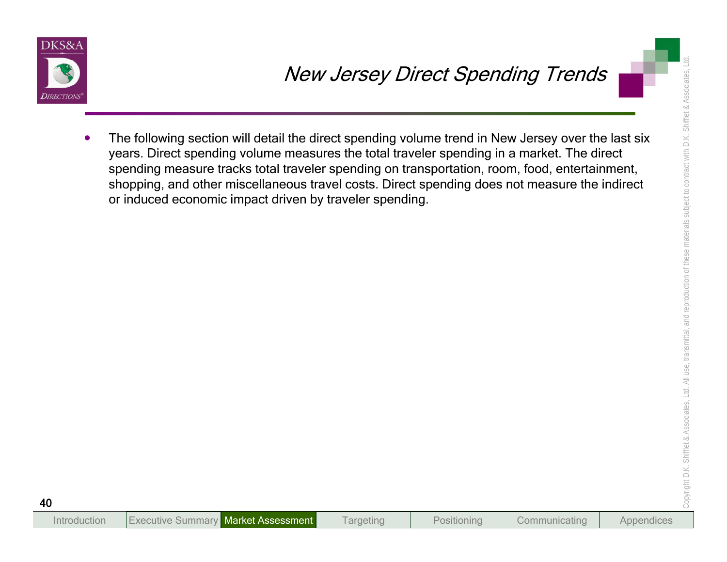

New Jersey Direct Spending Trends<br>
The following section will detail the direct spending volume trand in New Jersey over the last six<br>
years. Direct spending volume measures the total traveler spending in a market. The dir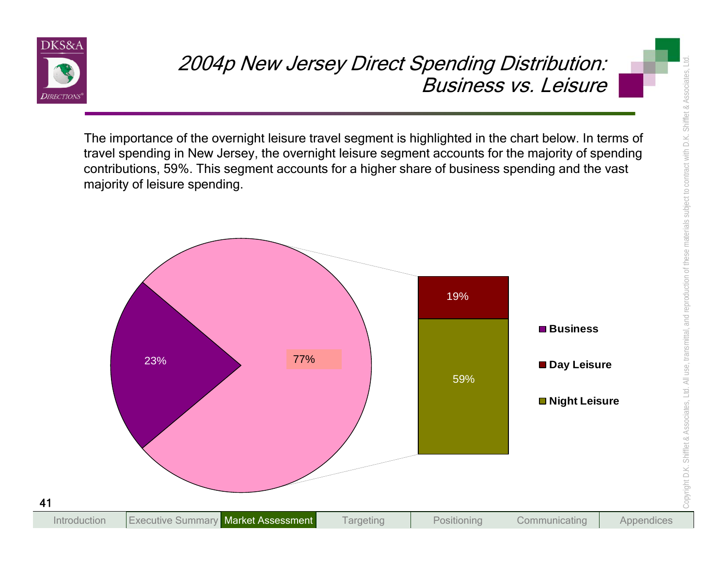

The importance of the overnight leisure travel segment is highlighted in the chart below. In terms of travel spending in New Jersey, the overnight leisure segment accounts for the majority of spending contributions, 59%. This segment accounts for a higher share of business spending and the vast majority of leisure spending.

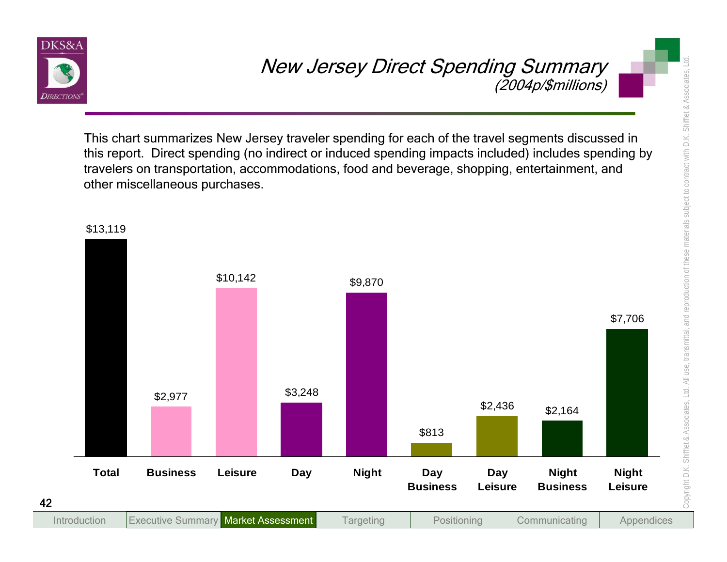

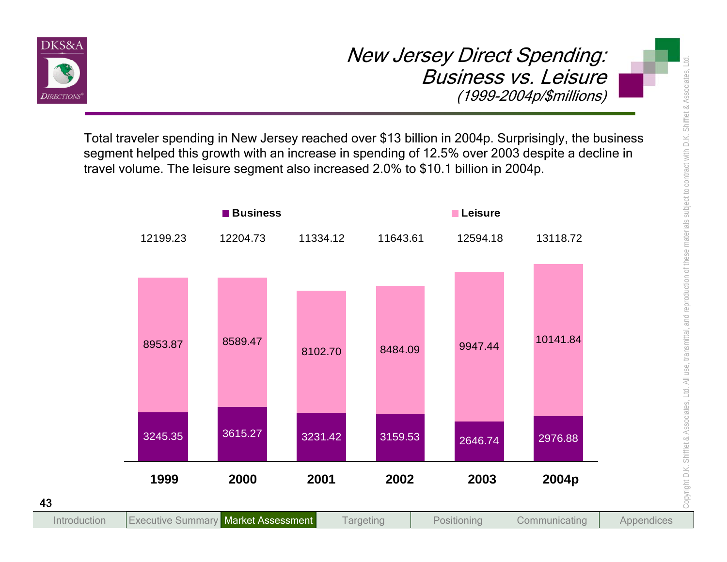

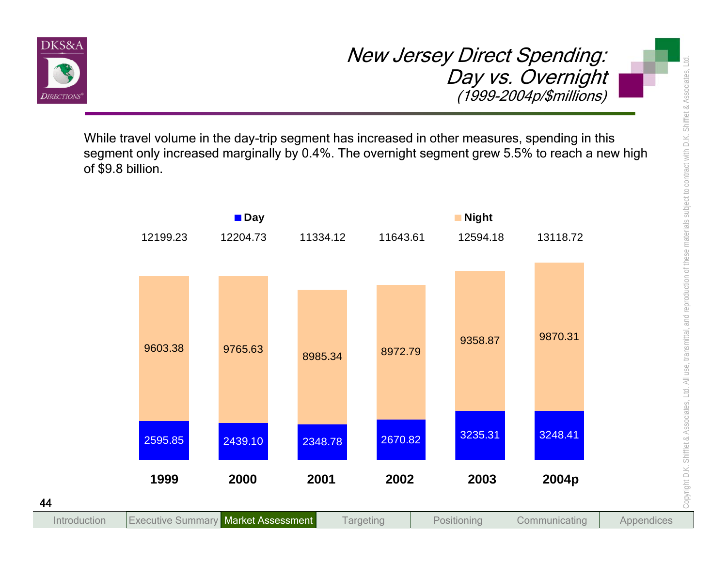

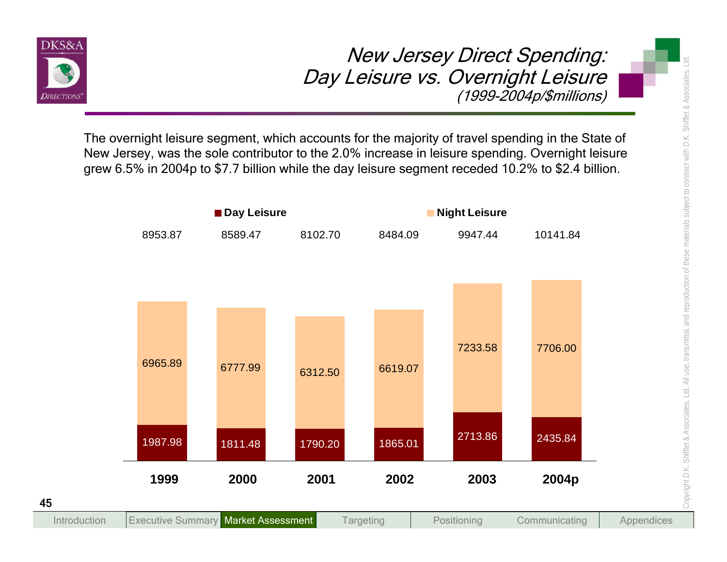

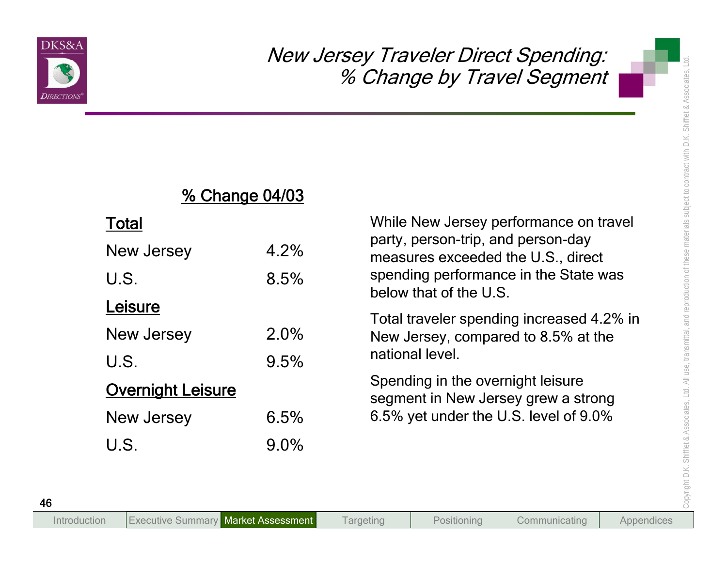

# % Change 04/03

### Total

| <u>% Change 04/03</u>    |      |                                                                                                                                                             |  |  |
|--------------------------|------|-------------------------------------------------------------------------------------------------------------------------------------------------------------|--|--|
| <b>Total</b>             |      | While New Jersey performance on travel<br>party, person-trip, and person-day<br>measures exceeded the U.S., direct<br>spending performance in the State was |  |  |
| New Jersey               | 4.2% |                                                                                                                                                             |  |  |
| U.S.                     | 8.5% |                                                                                                                                                             |  |  |
| Leisure                  |      | below that of the U.S.                                                                                                                                      |  |  |
| New Jersey               | 2.0% | Total traveler spending increased 4.2% in<br>New Jersey, compared to 8.5% at the<br>national level.                                                         |  |  |
| U.S.                     | 9.5% |                                                                                                                                                             |  |  |
| <b>Overnight Leisure</b> |      | Spending in the overnight leisure<br>segment in New Jersey grew a strong<br>6.5% yet under the U.S. level of 9.0%                                           |  |  |
| New Jersey               | 6.5% |                                                                                                                                                             |  |  |
| U.S.                     | 9.0% |                                                                                                                                                             |  |  |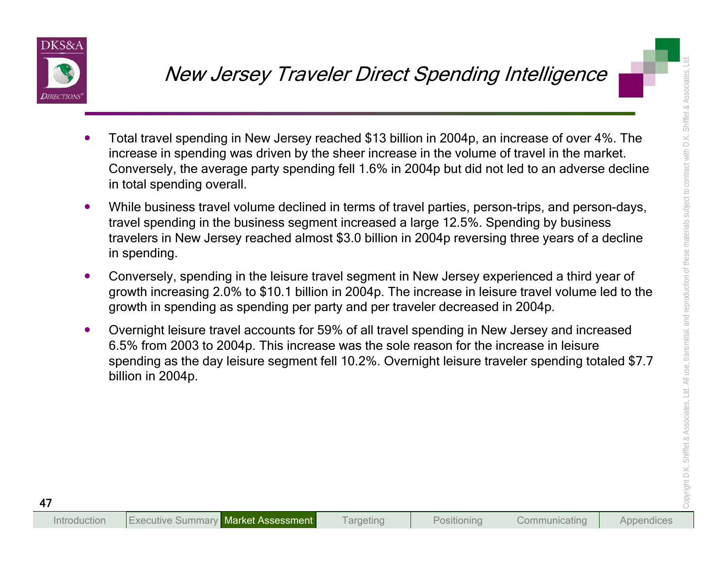

- 
- 
- 
- New Jersey Traveler Direct Spending Intelligence<br>
Total travel spending in New Jersey reached \$13 billion in 2004p, an increase of over 4%. The<br>
increase in spending was driven by the sheer increase in the volume of travel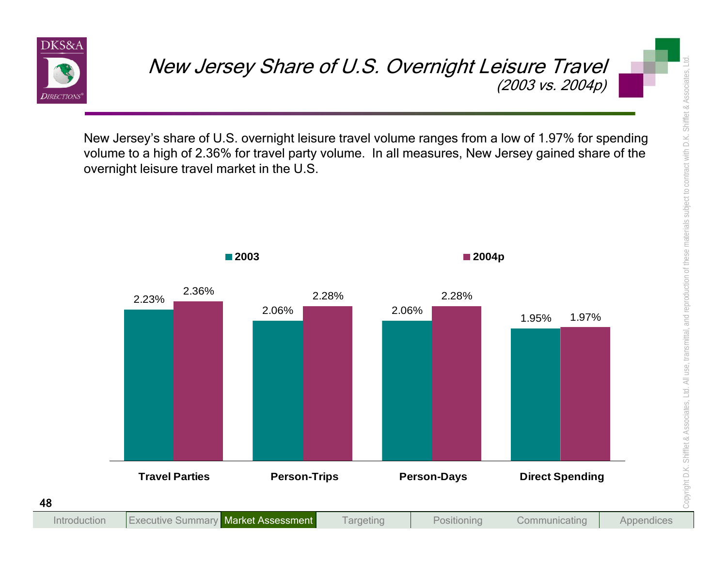

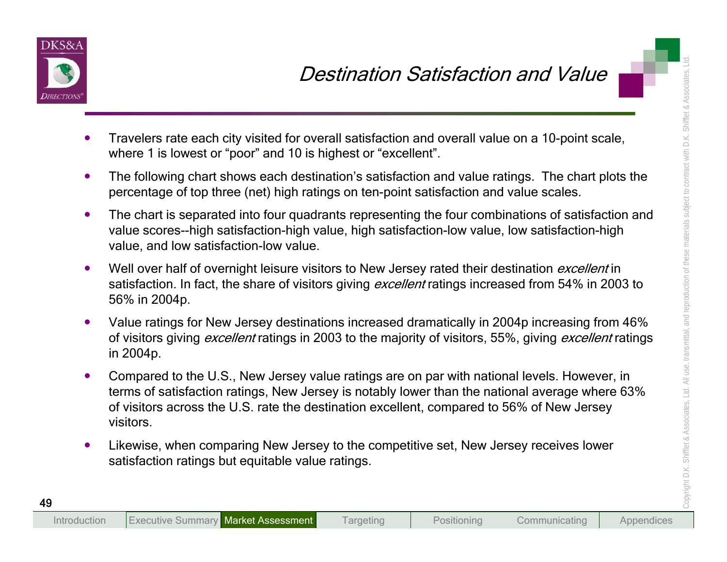

- 
- 
- 
- 
- 
- **Example 1.1** Destrination Satisfaction and Value<br>
Travelers rate each city visited for overall satisfaction and overall value on a 10-point scale,<br>
where 1 is lowest or "poor" and 10 is highest or "excellent".<br>
The follow
	-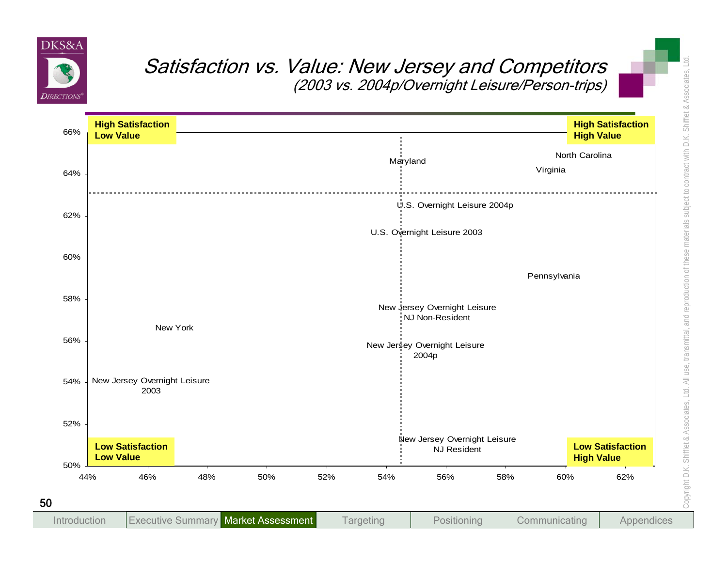

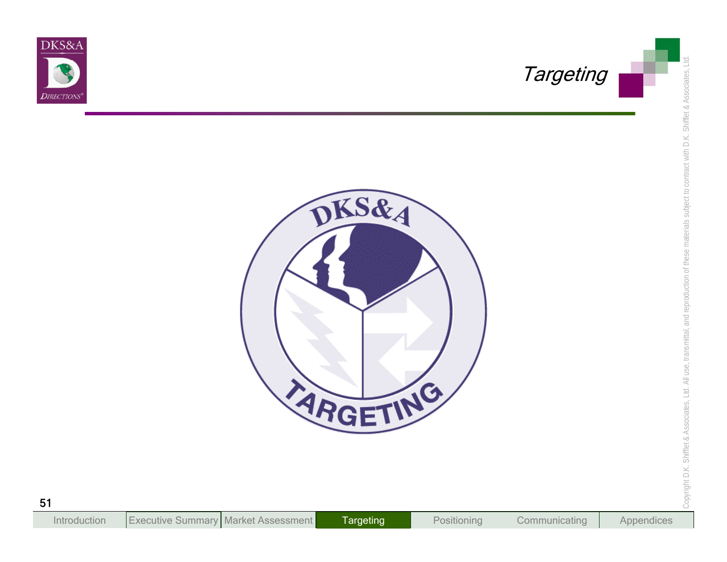



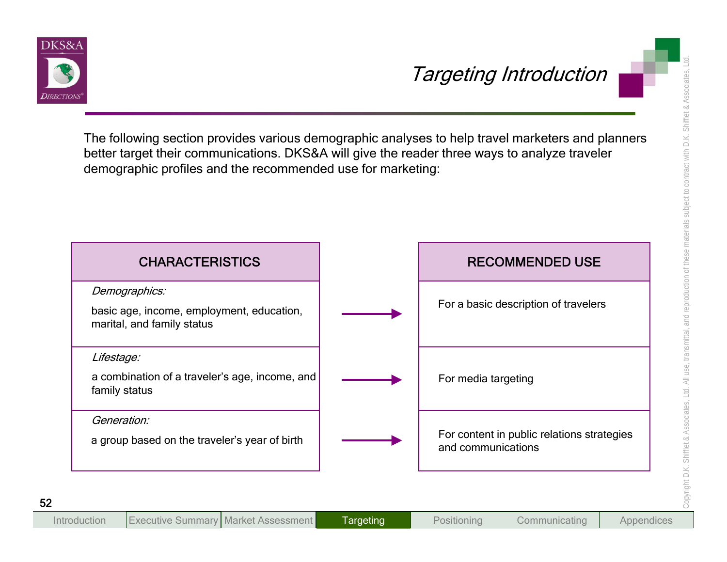

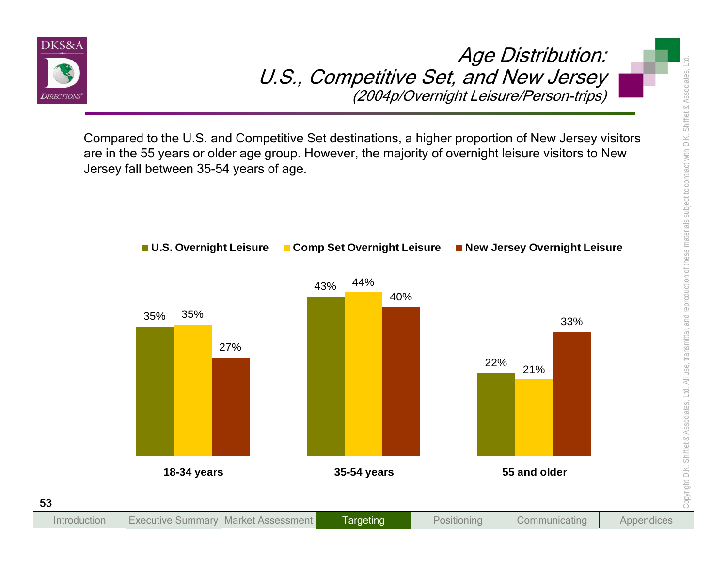

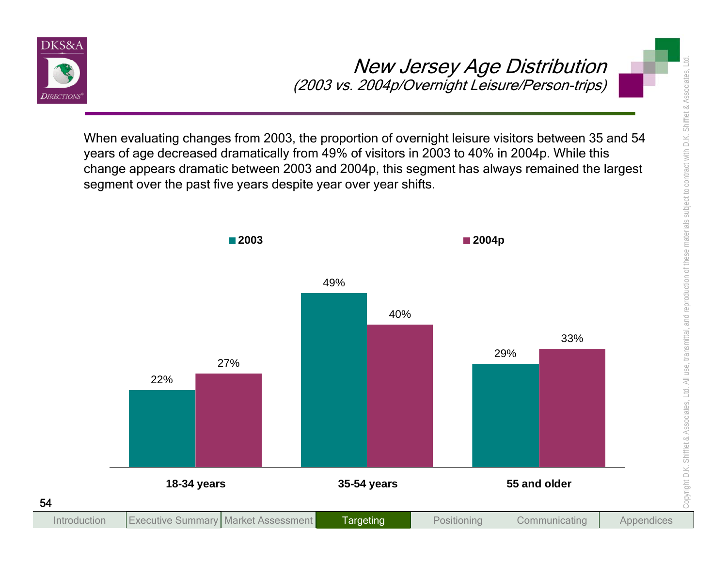

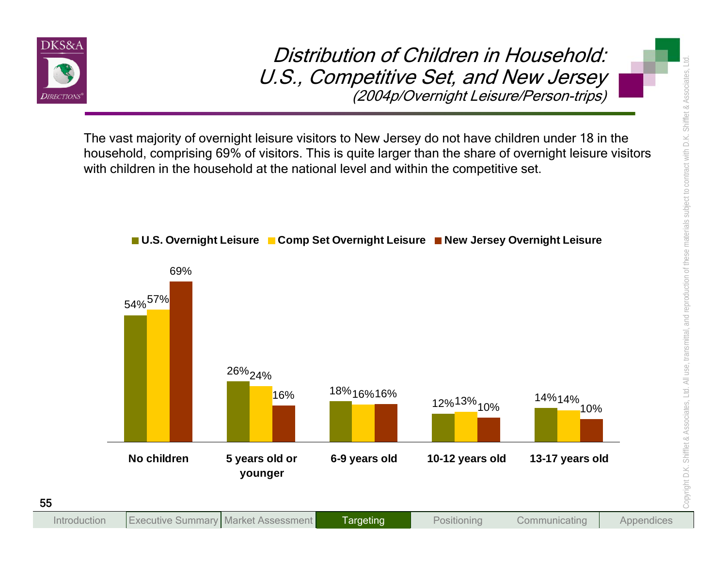

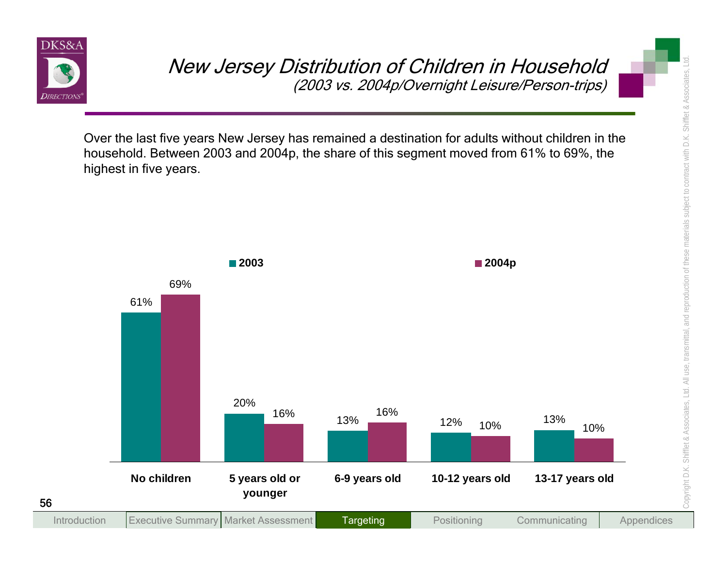

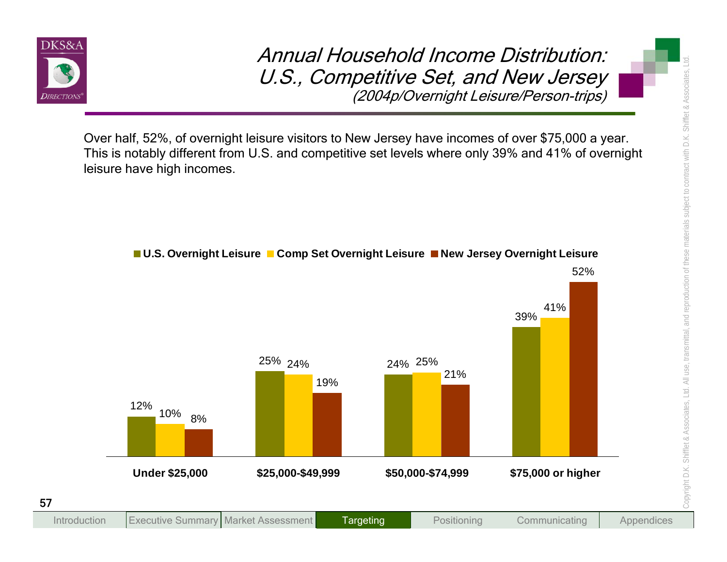

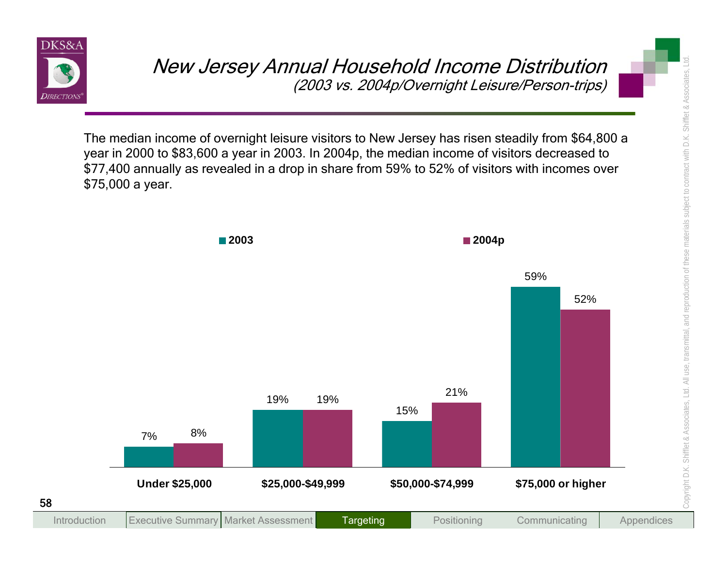

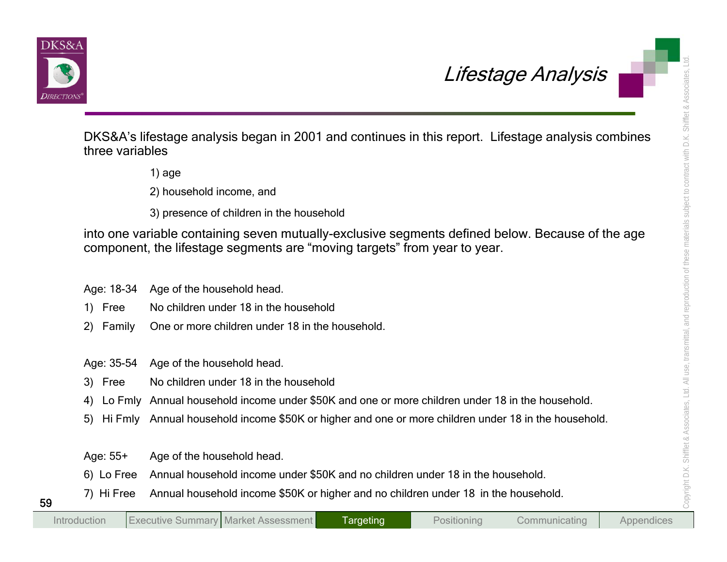



Lifestage Analysis<br>
DKS&A's lifestage analysis began in 2001 and continues in this report. Lifestage analysis combines<br>
three variables<br>
1) age<br>
2) household income, and<br>
3) presence of children in the household<br>
into one

- 
- 
- 

- 
- 
- 

- 
-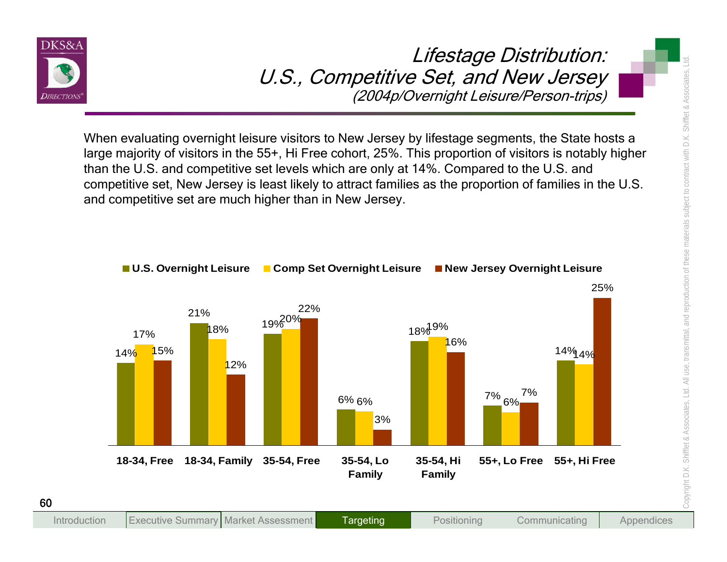



**Targeting** 

Introduction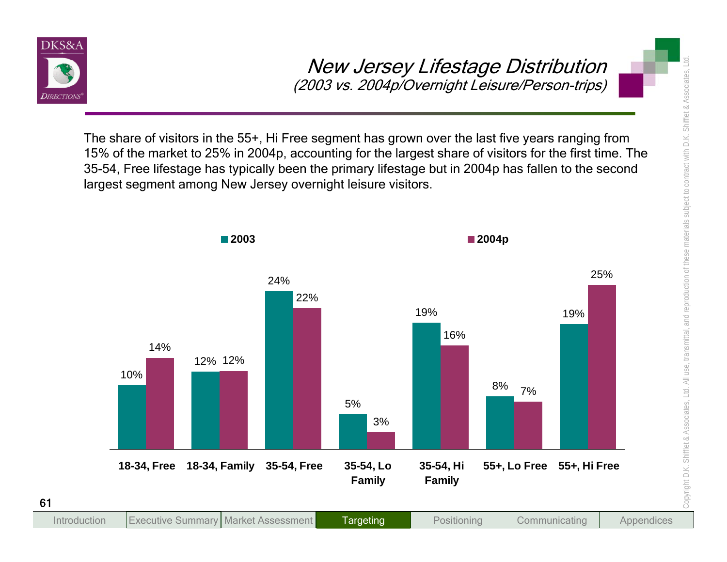

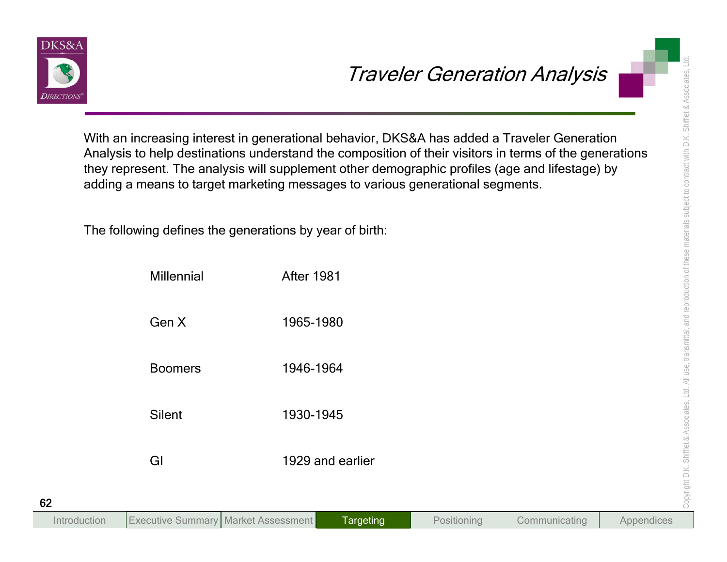

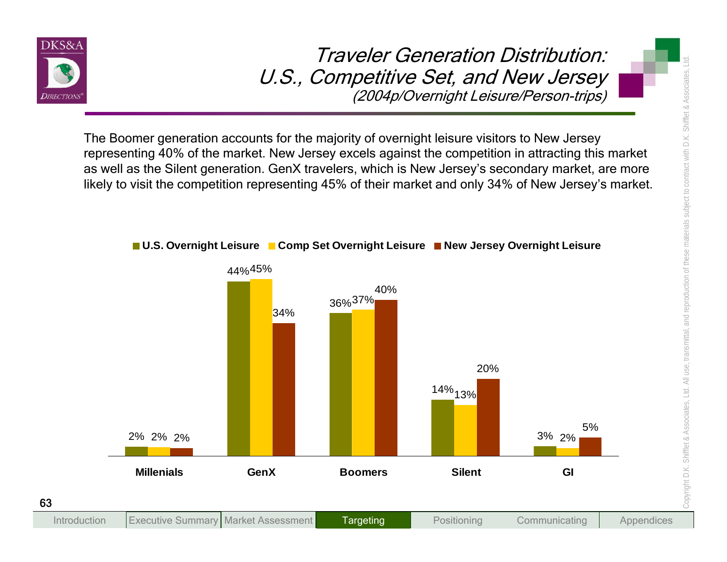

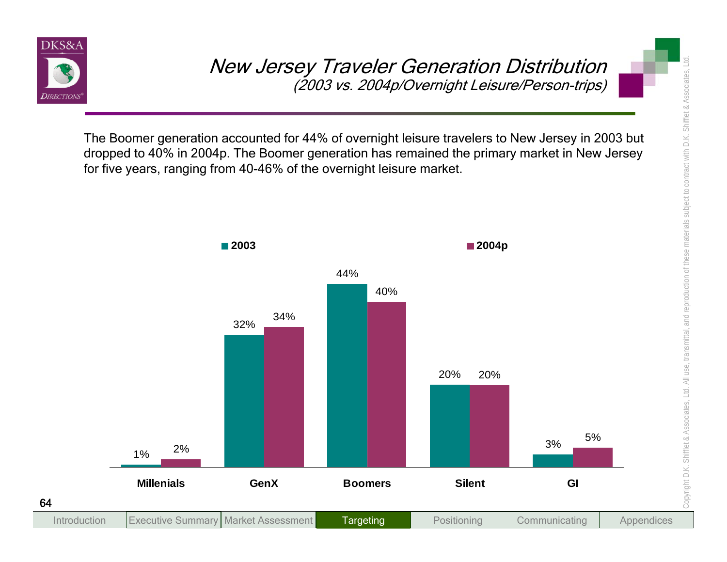

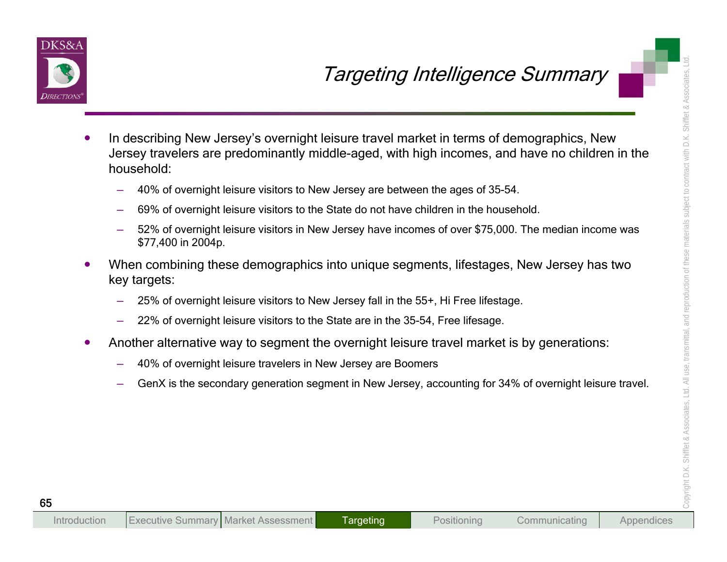

- Targetting Intelligence Summary<br>
In describing New Jersey's overnight leisure travel market in terms of demographics. New<br>
Jersey travelers are predominantly middle-aged, with high incomes, and have no children in the<br>
hou
	-
	-
	-
	- -
		-
	- -
		-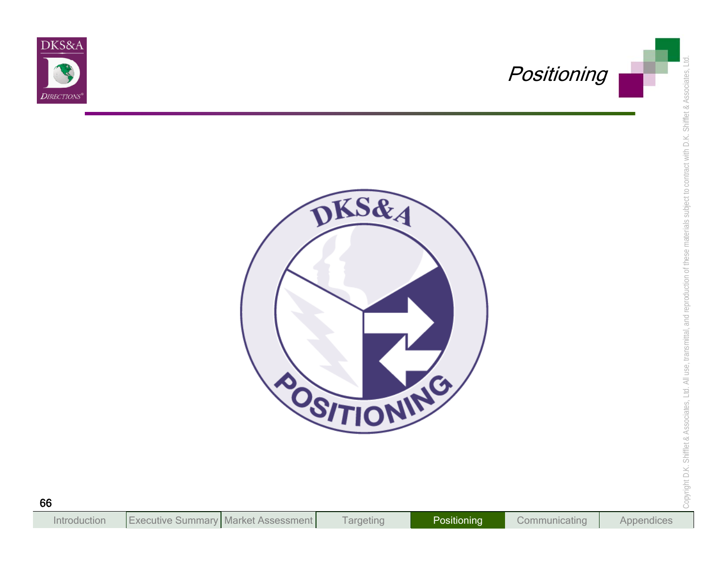



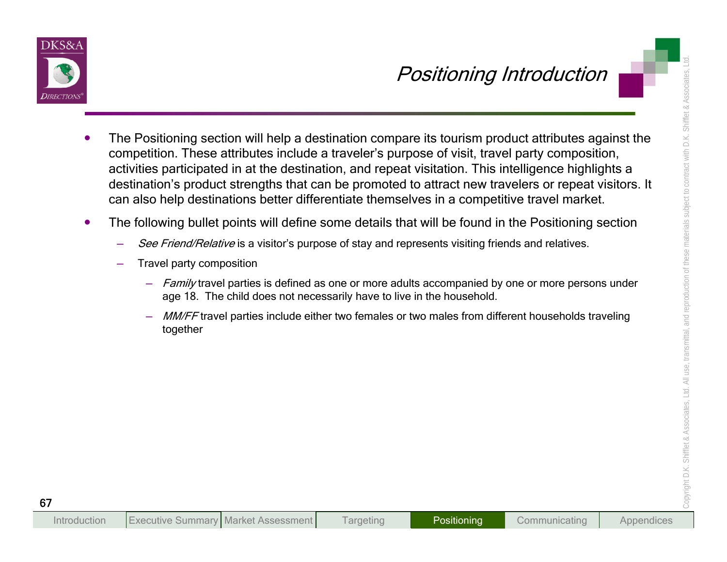

- **Positioning Introduction**<br>
The Positioning section will help a destination compare its tourism product attributes against the<br>
competition. These attributes include a traveler's purpose of visit, travel party composition,
	- -
		- -
			-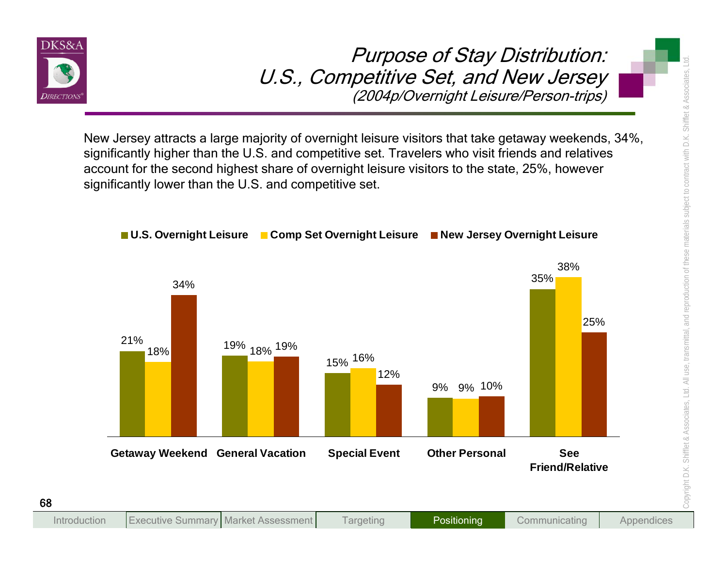

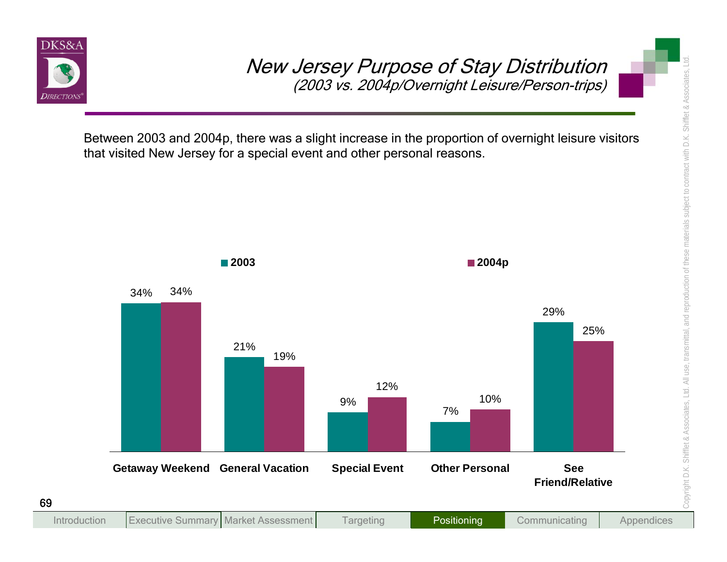

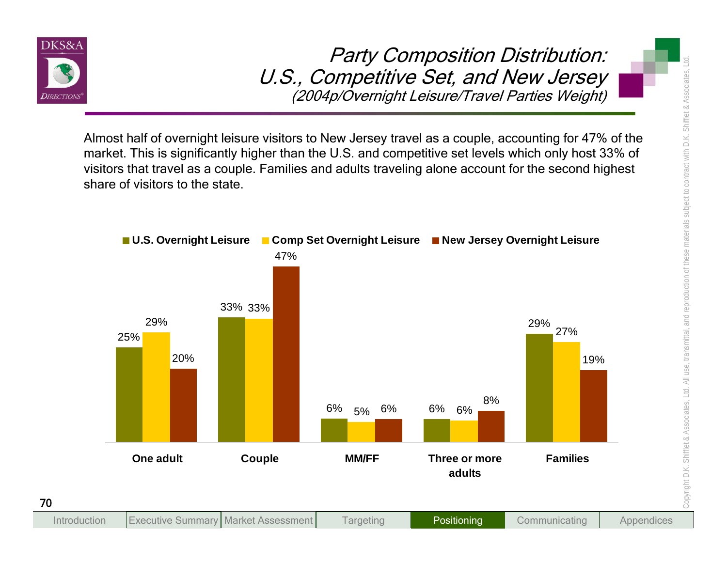

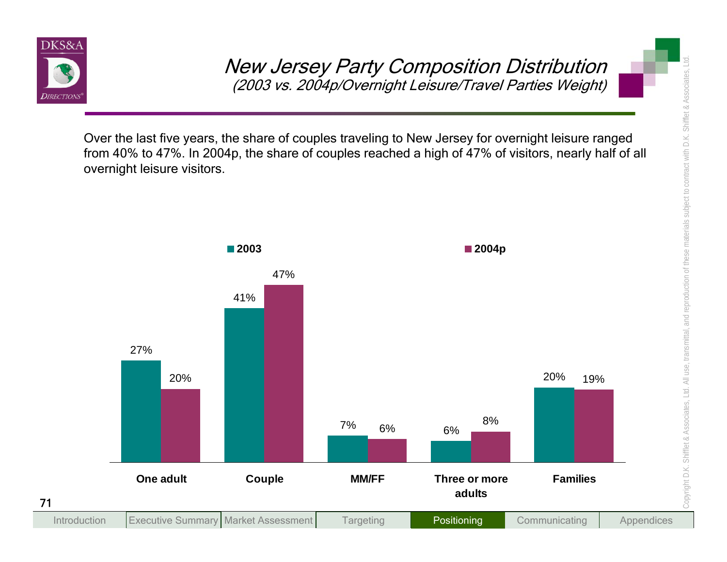

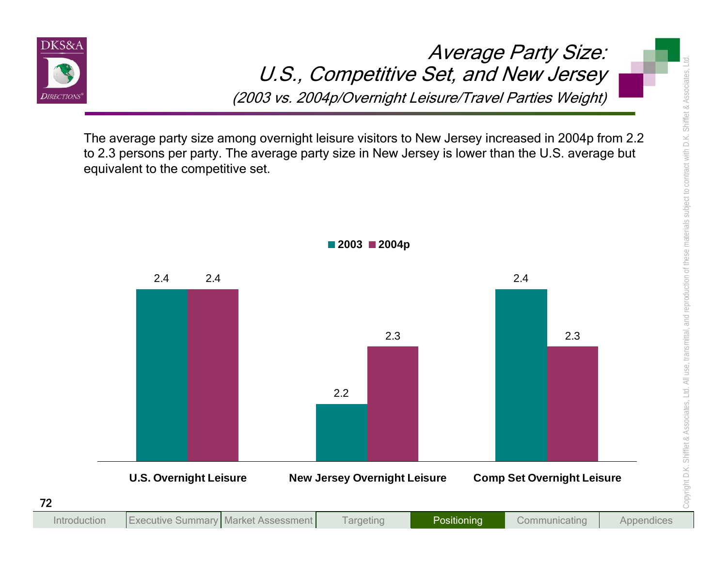

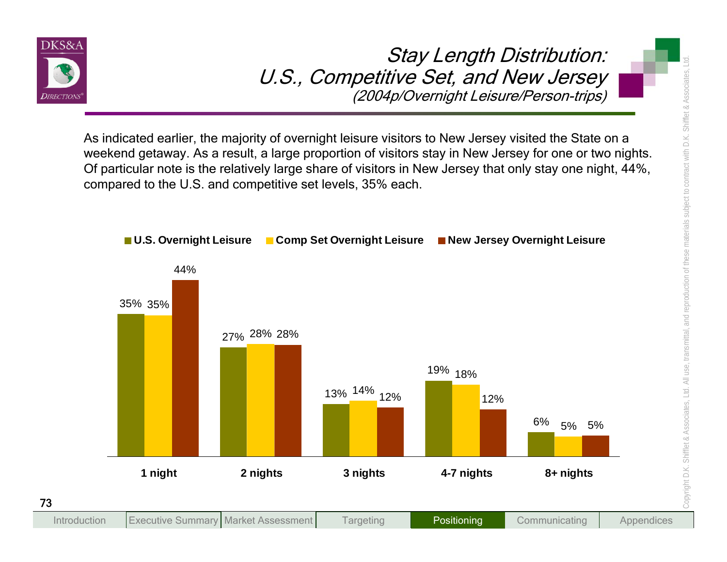

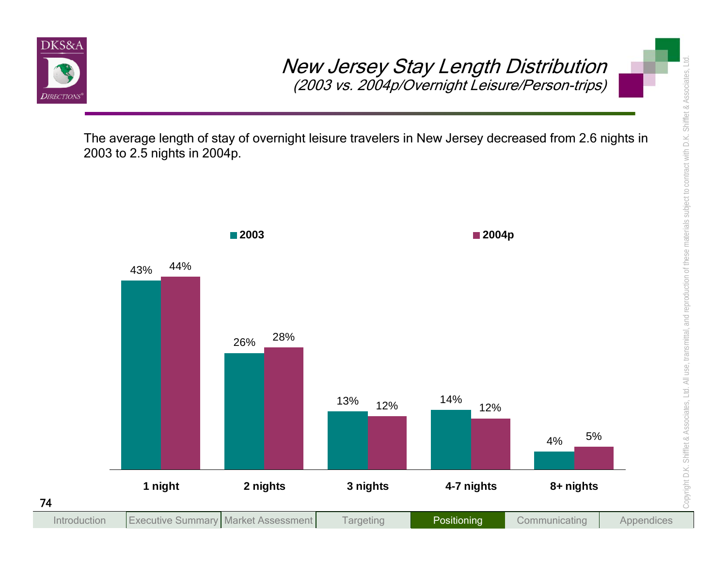

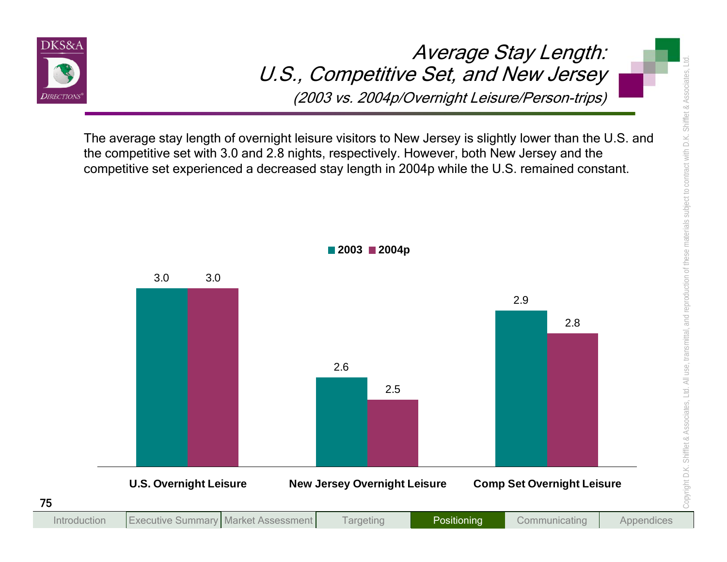

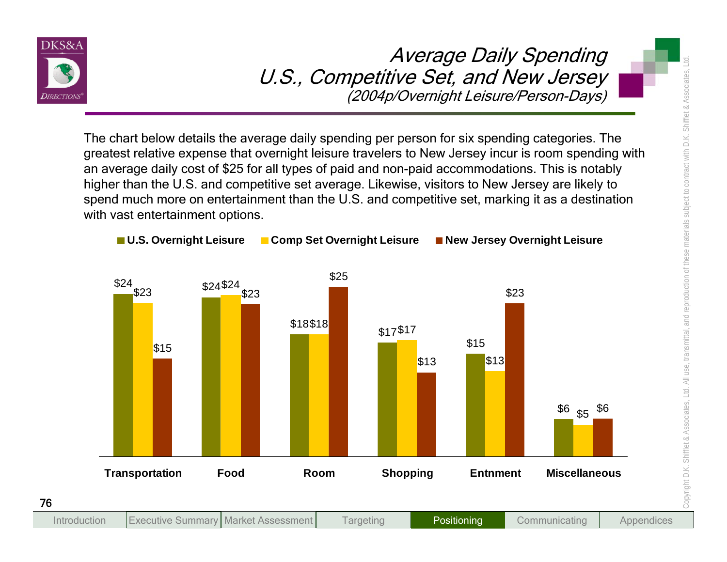

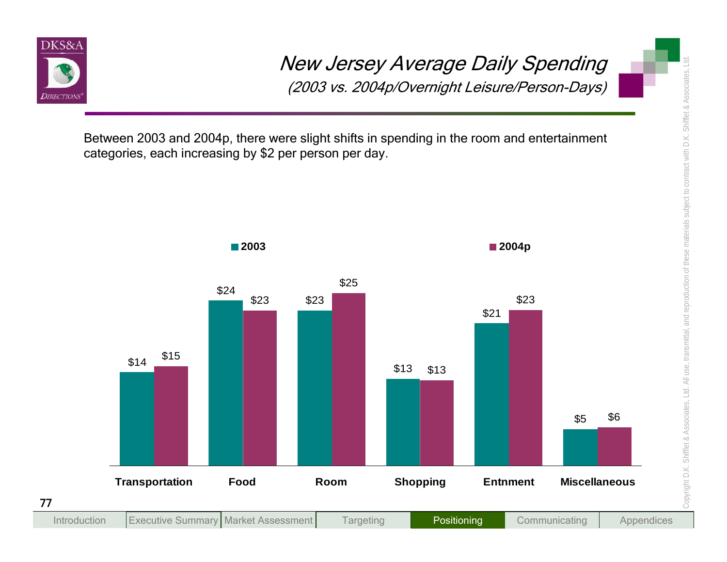

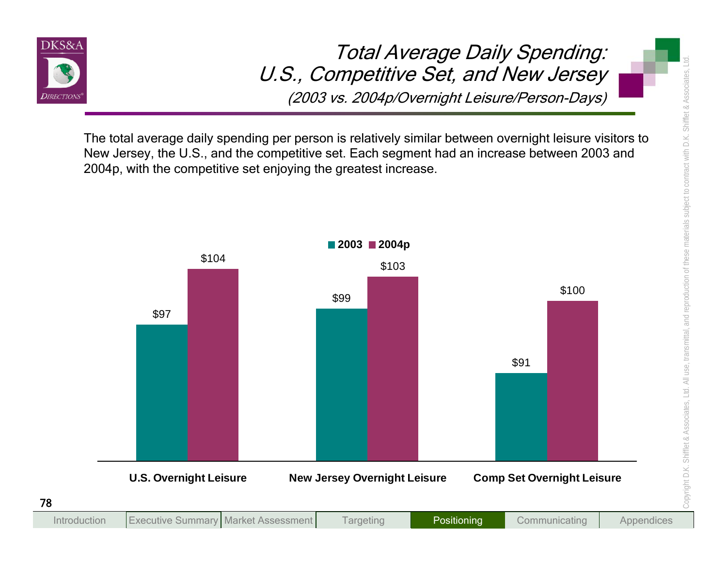

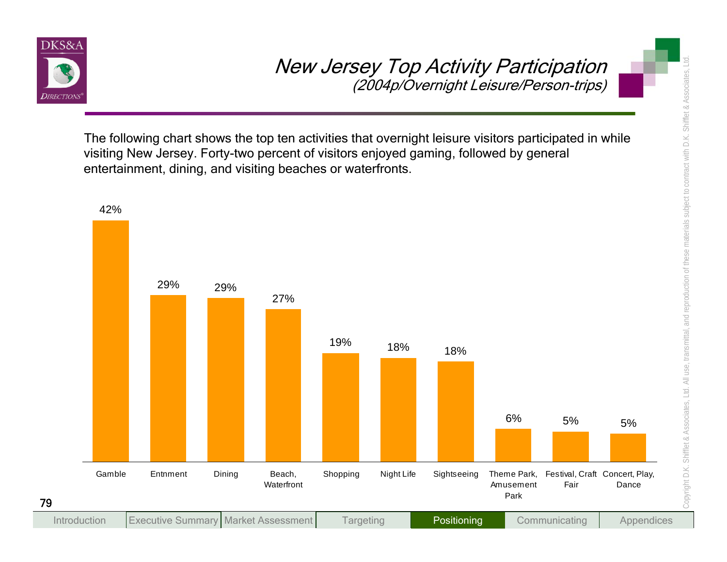

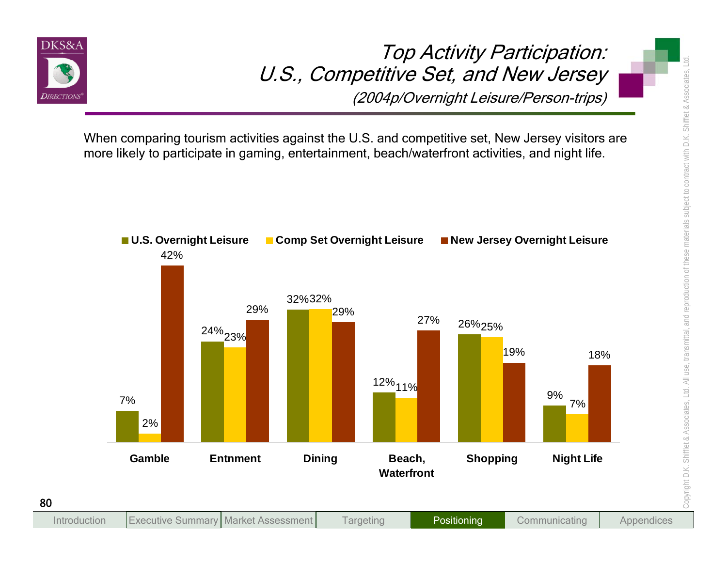

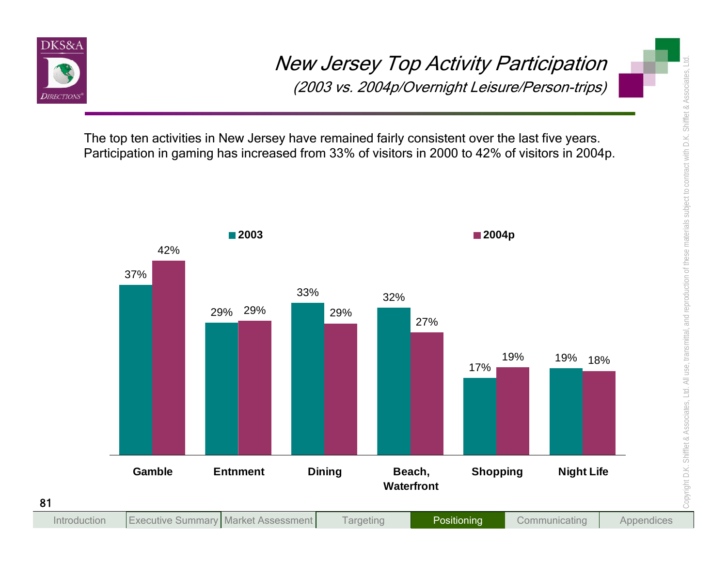

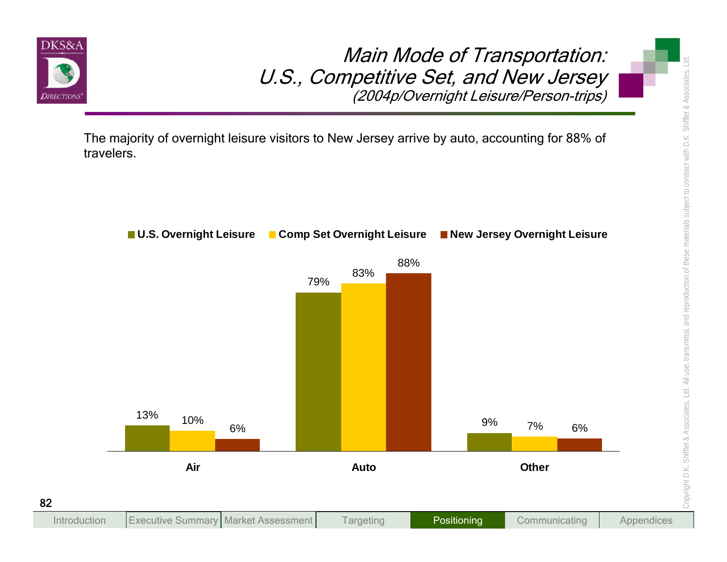

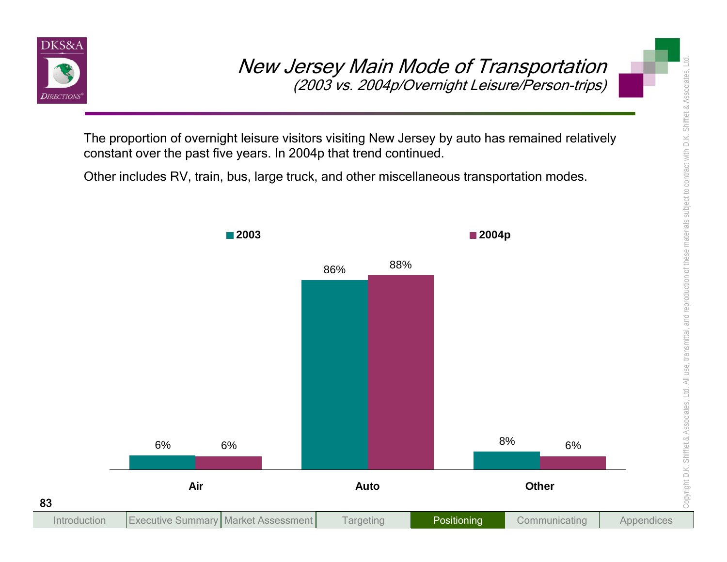

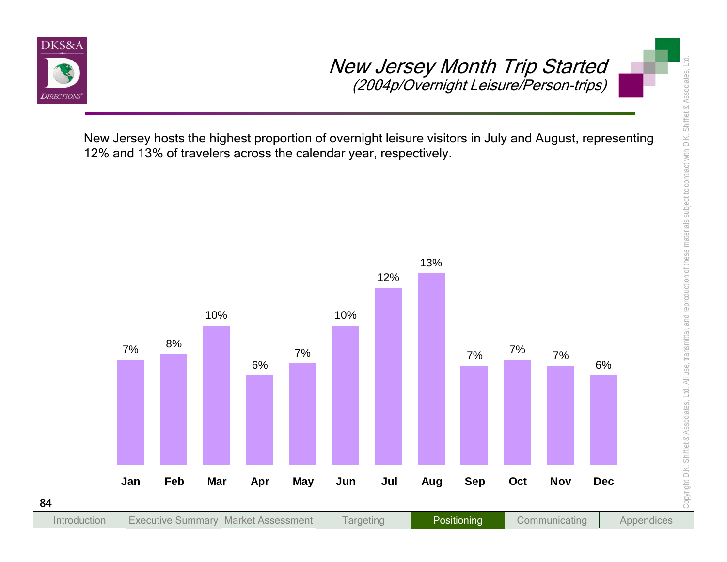

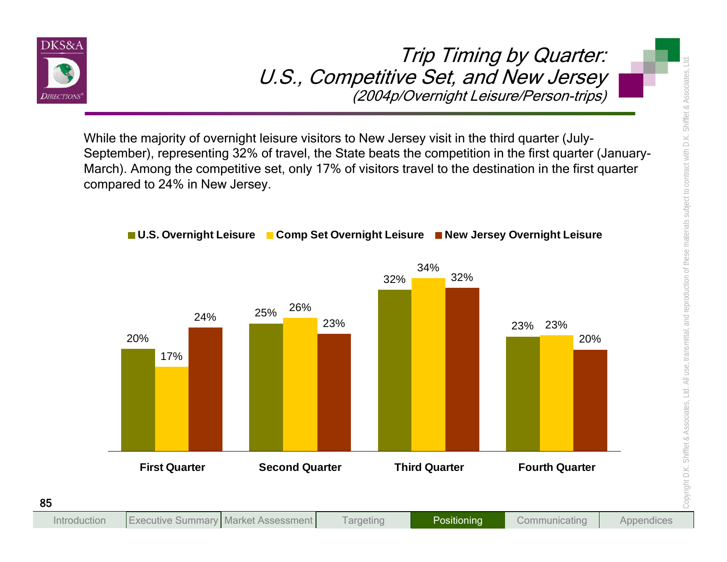

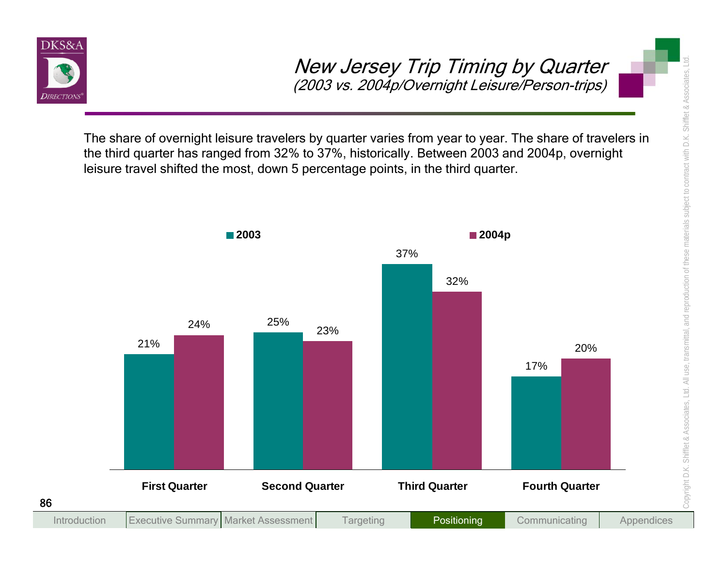

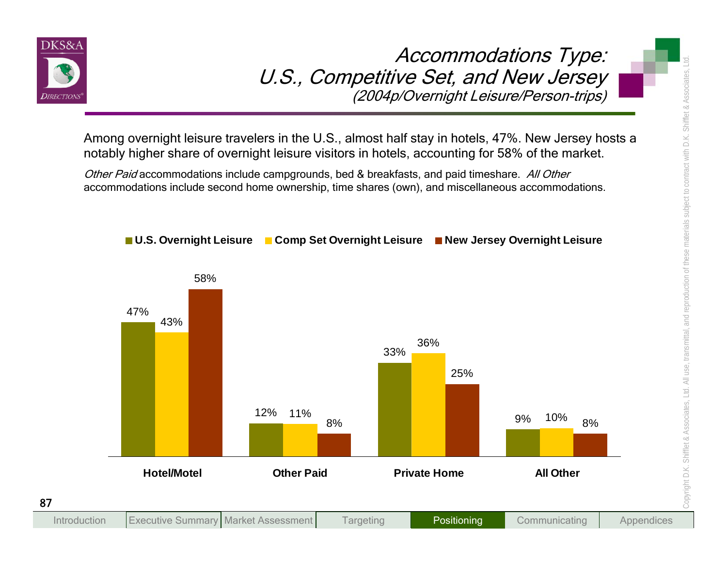

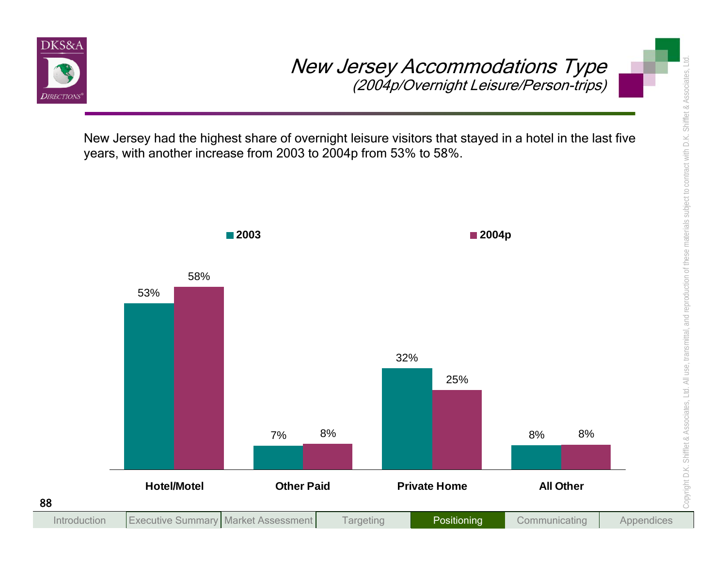

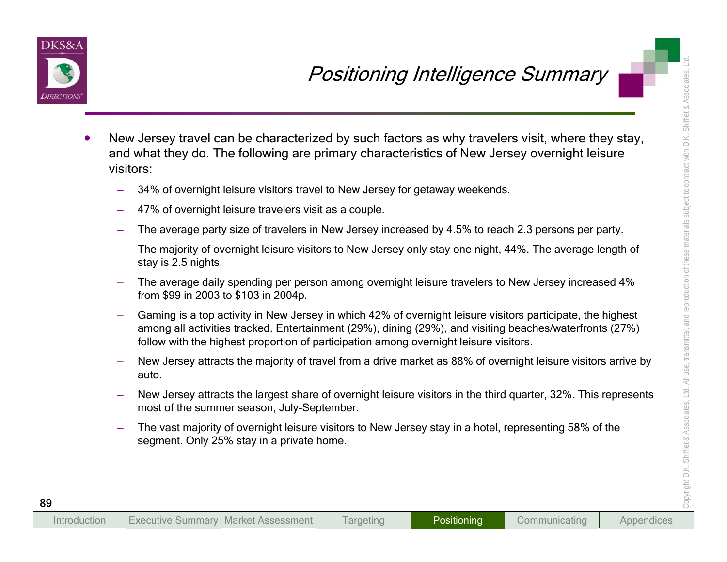

- **Example 10**<br>
New Jersey travel can be characterized by such factors as why travelers visit, where they stay,<br>
and what they do. The following are primary characteristics of New Jersey overnight leisure<br>
visions:<br>
 34% of
	-
	-
	-
	-
	-
	-
	-
	-
	-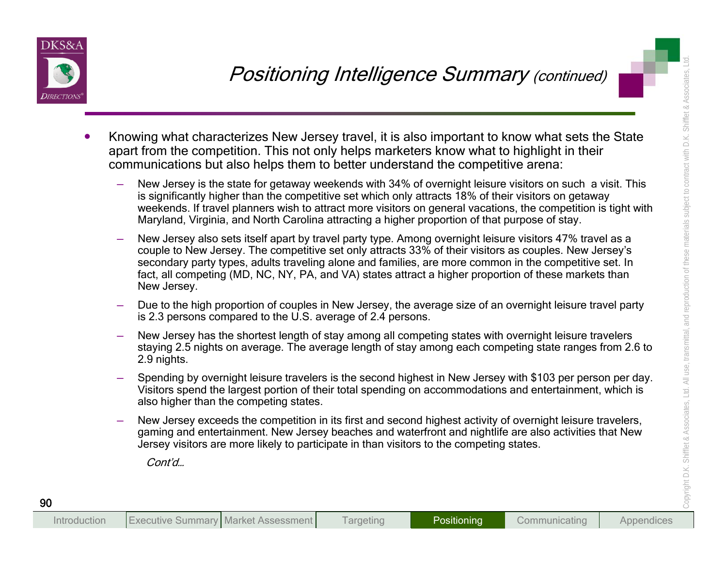

- -
- Position ing that the same term of the control in the second higher term of the competition in the same term of the same term of the competition of the competition of the competition of the competition of the competition o
	-
	-
	-
	-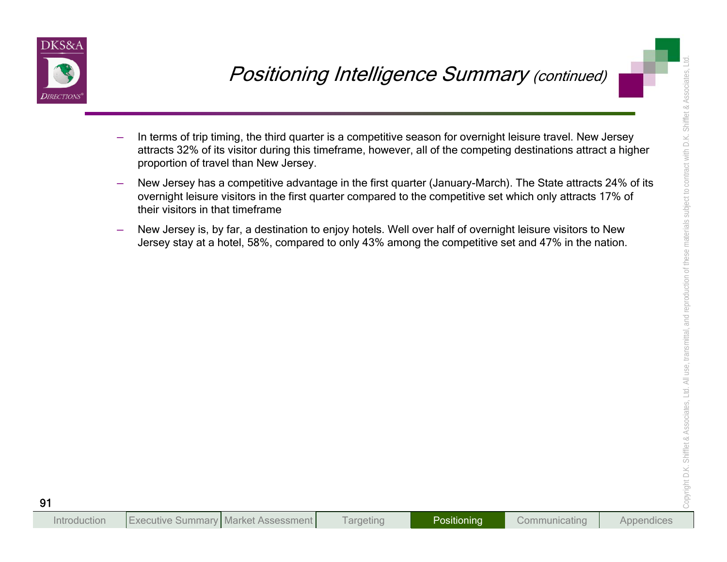

- **POSitioning Intelligence Summary (continued)**<br>
In terms of the binning, the third quarter is a competitive sesson for overnight letsure travel. New Jersey<br>
proportion of travel then New Jersey.<br>
Pow Jersey has a competiti
	-
	-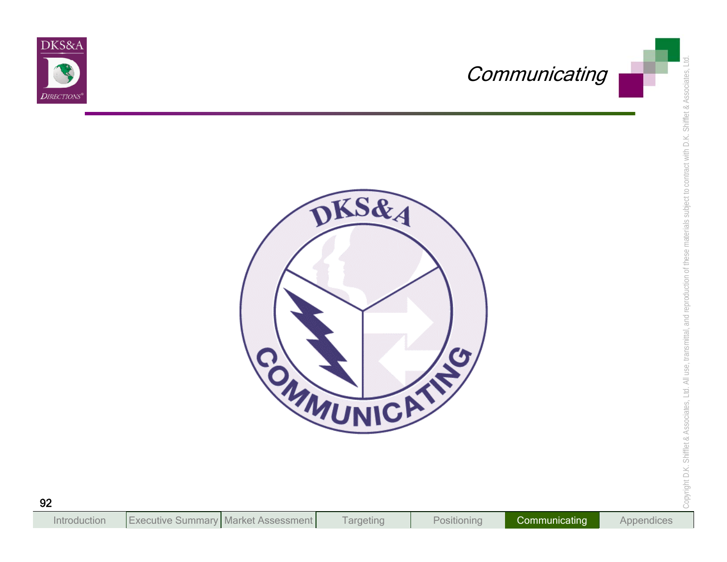



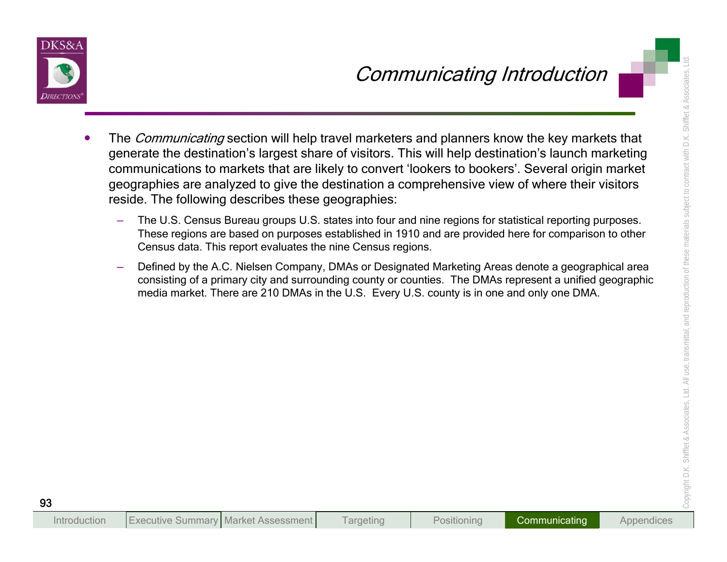

- **Communicating Introduction**<br>
The *Communicating* section will help travel marketers and planners know the key markets that<br>
generate the destination's largest share of visitors. This will help destination's launch marketi
	-
	-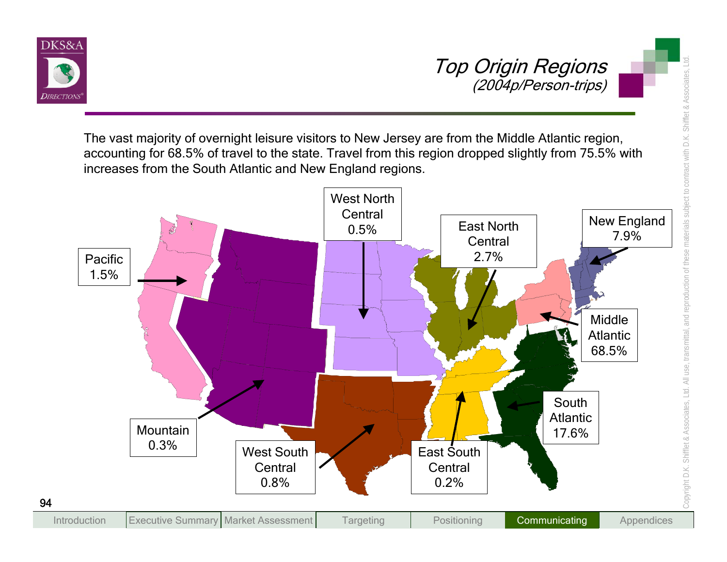



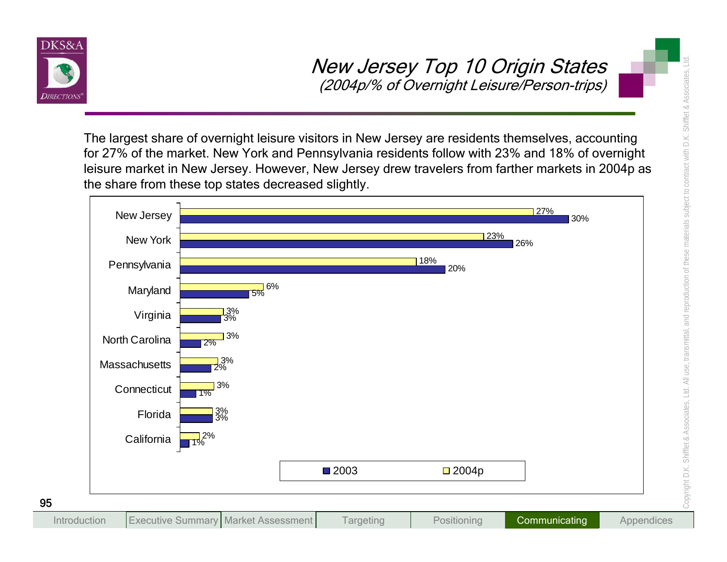

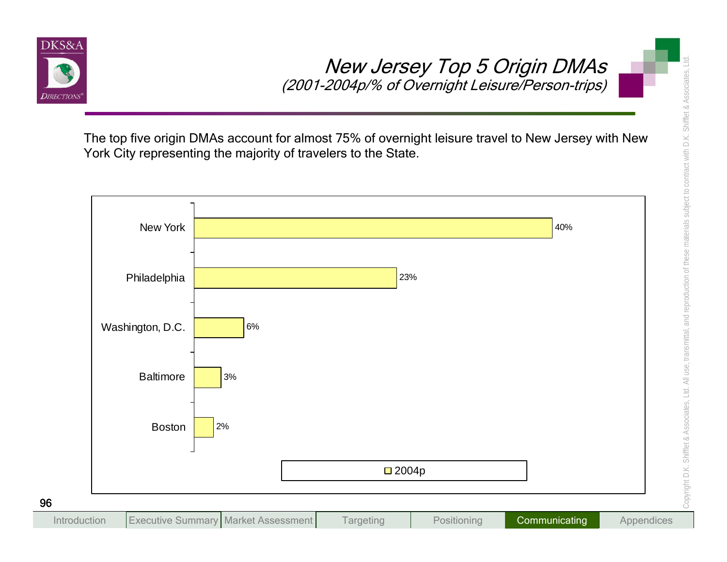

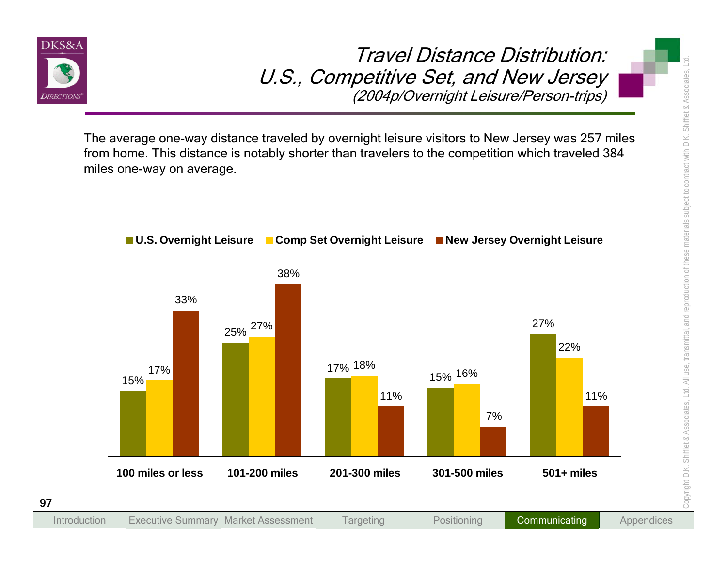

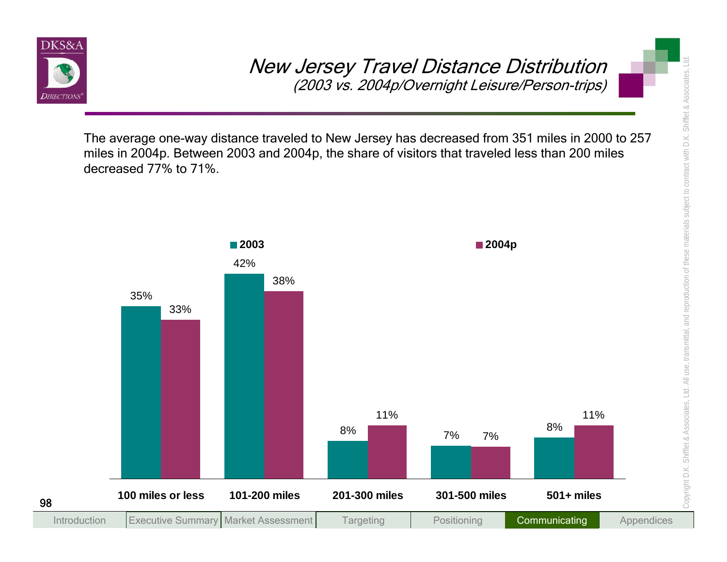

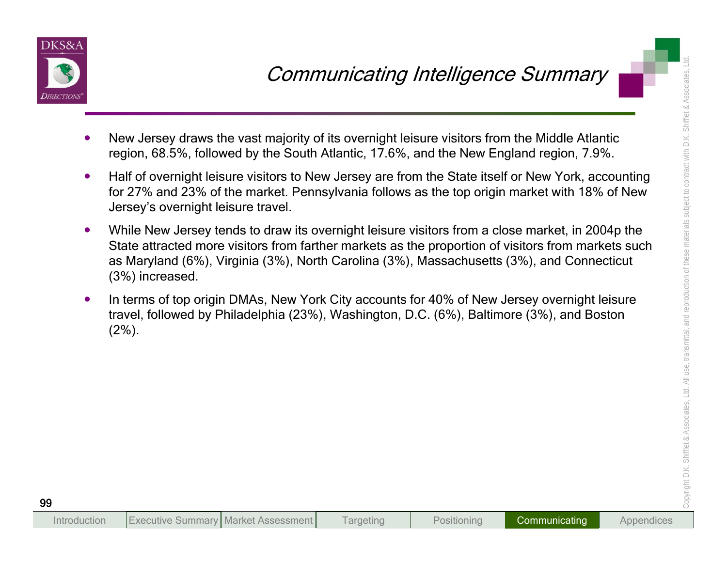

- 
- 
- **Communicating Intelligence Summary**<br>
New Jersey draws the vast majority of its overnight leisure visitors from the Middle Atlantic<br>
region, 68.5%, followed by the South Atlantic, 17.6%, and the New England region, 7.9%.<br>
	-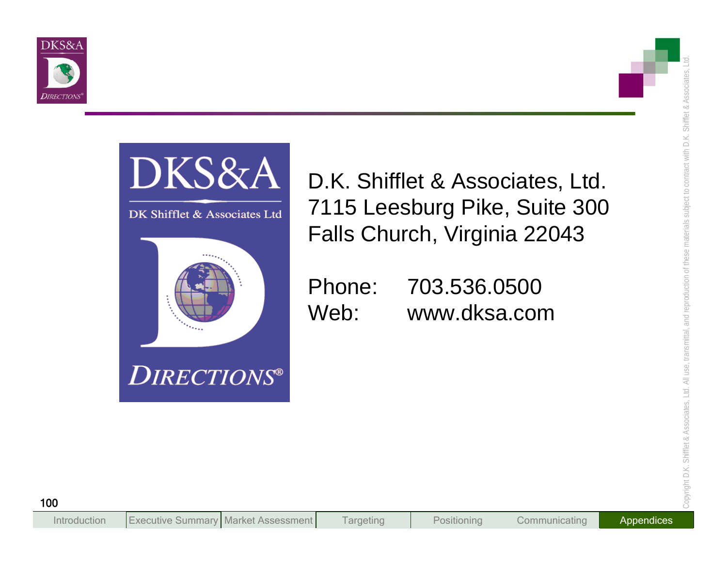



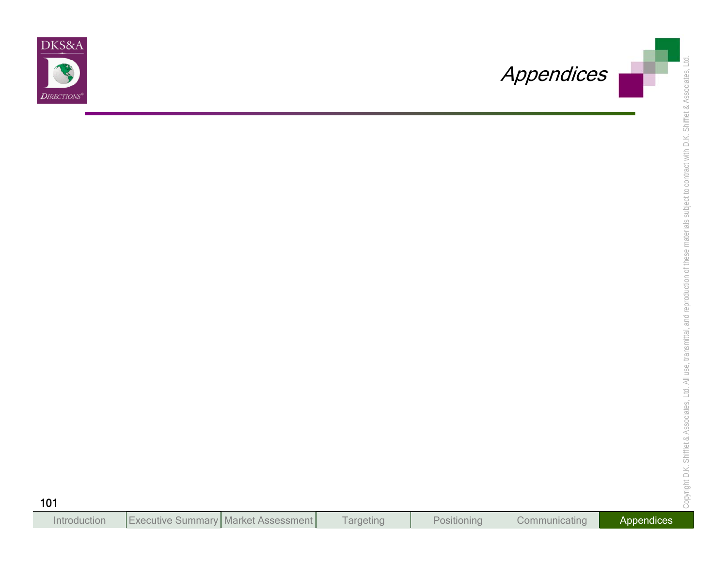

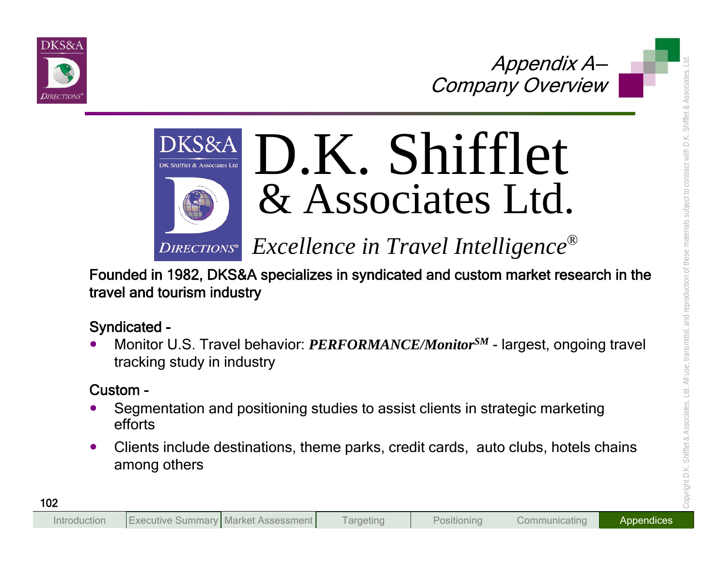



# Appendix A<br>
DKS&A<br>
DKS&A<br>
DKS&A<br>
DKS&A<br>
DKS&A<br>
DKS&A<br>
Excellence in Travel Intelligence®<br>
Founded in 1982, DKS&A specializes in syndicated and custom market research in the<br>
travel and tourism industry<br>
Syndicated<br>
- Monit

- 
-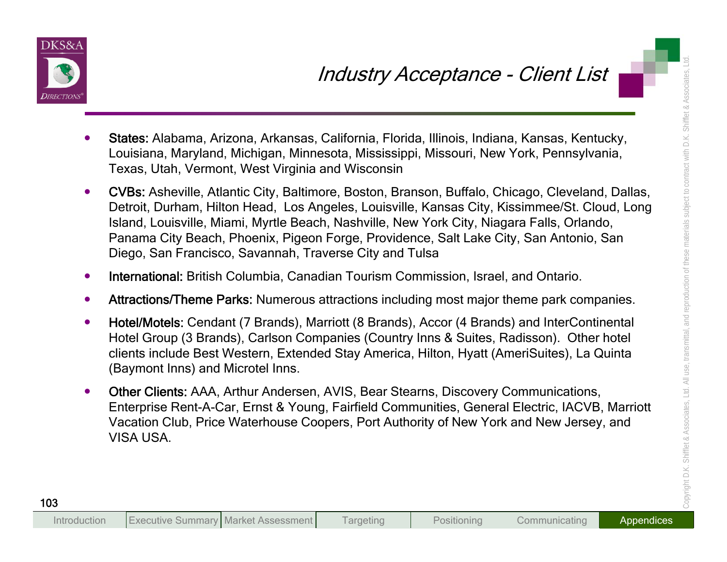

- 
- material and Microsofter Continuo Arthur Andersen, NIS and Microsofter Content (USA USA USA Capital City Scheme Microsofter Content (USA USA Capital City Scheme Content (USA Capital City Scheme Content (USA Capital City Sc
	-
	-
	-
	-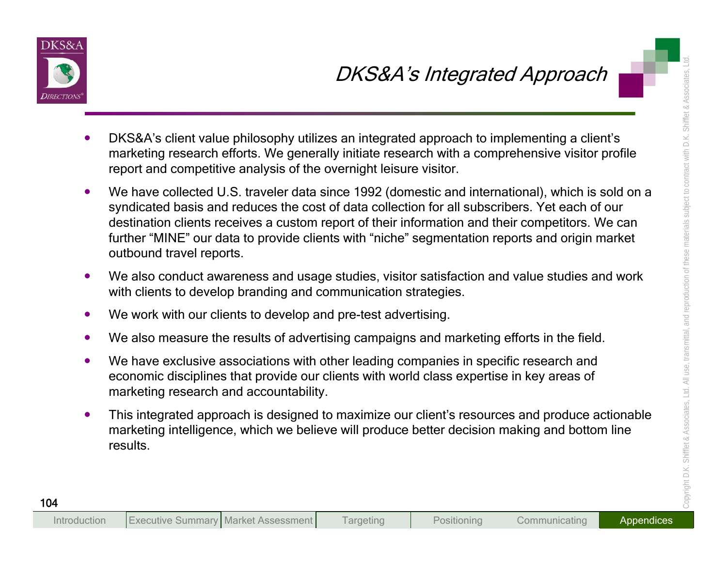

- 
- DKS&A's client value philosophy utilizes an integrated Approach<br>
IDKS&A's client value philosophy utilizes an integrated approach to implementing a client's<br>
marketing research efforts. We generally initiatiat research wit
	-
	-
	-
	-
	-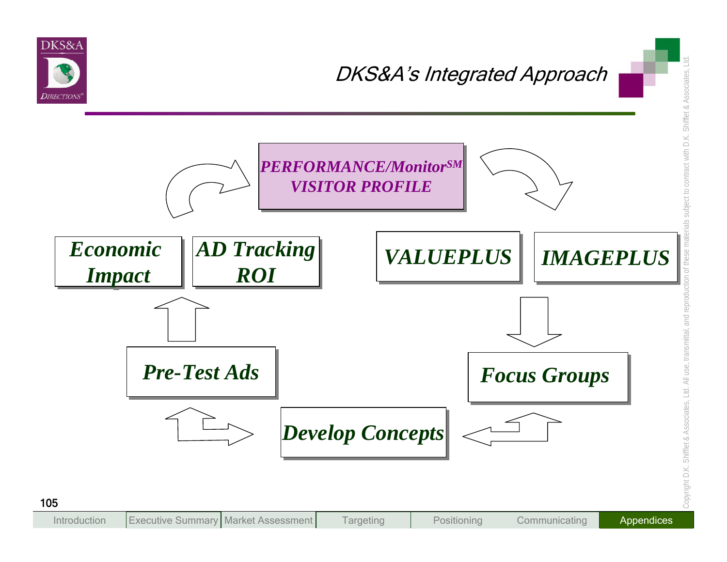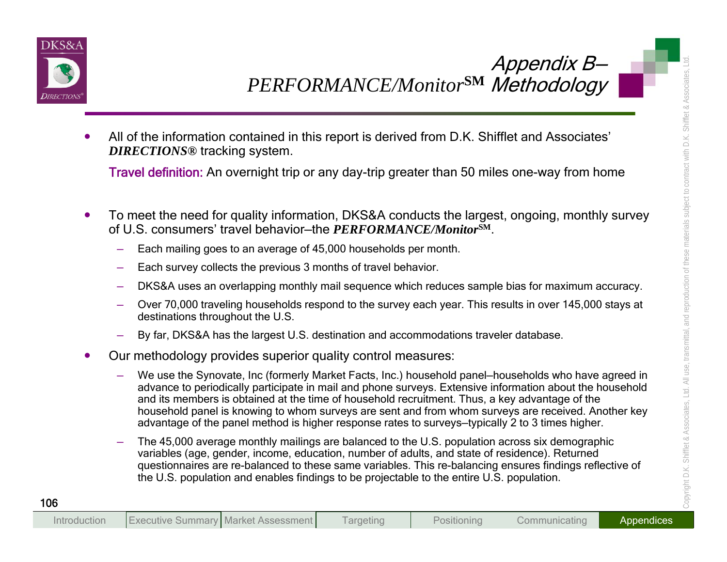

- -
	-
	-
	-
	-
- 
- Appendix B<br>
Manuscript Community of the information contained in this report is derived from D.K. Shifflet and Associates<br>
DIRECTIONS® tracking system.<br>
Travel definition: An overnight trip or any day-trip greater than 50
	-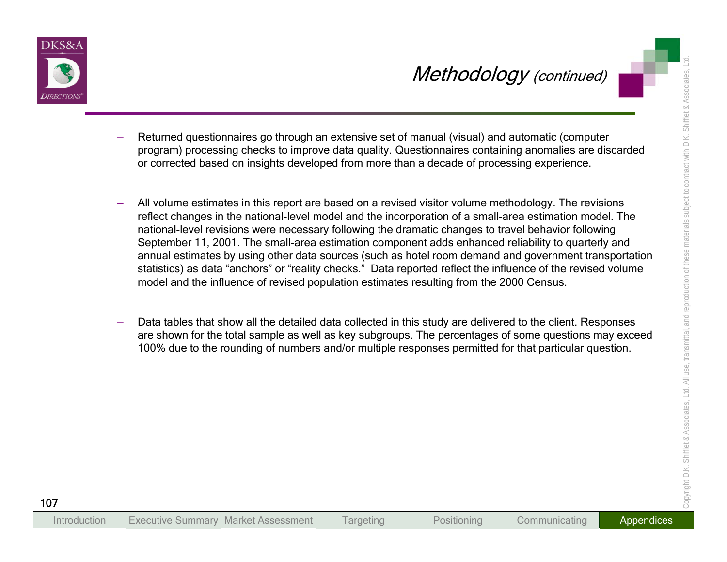

- 
- Methodology (continued)<br>
The filtered questionnairies go through an extensive set of manual (visual) and automatic (computer<br>
program) processing chocks to improve data uplay. Questionnaires contained a computer<br>
or correc
	-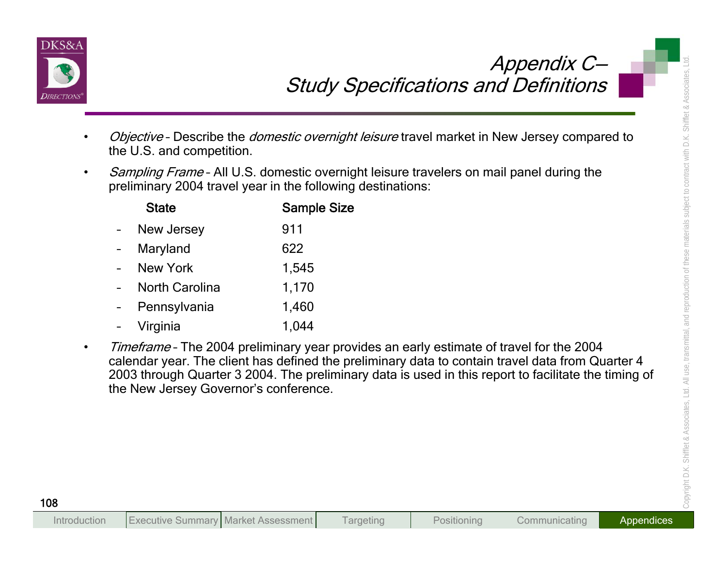

- 
- 

| <b>State</b>          | <b>Sample Si</b> |
|-----------------------|------------------|
| <b>New Jersey</b>     | 911              |
| Maryland              | 622              |
| <b>New York</b>       | 1,545            |
| <b>North Carolina</b> | 1,170            |
| Pennsylvania          | 1,460            |
| Virginia              | 1.044            |

Study Specifications and Definitions<br>
Objective-Describe the *domestic overnight leisure* travel market in New Jersey compared to<br>
the U.S. and competition.<br>
Sample Size<br>
preliminary 2004 travel year in the following desti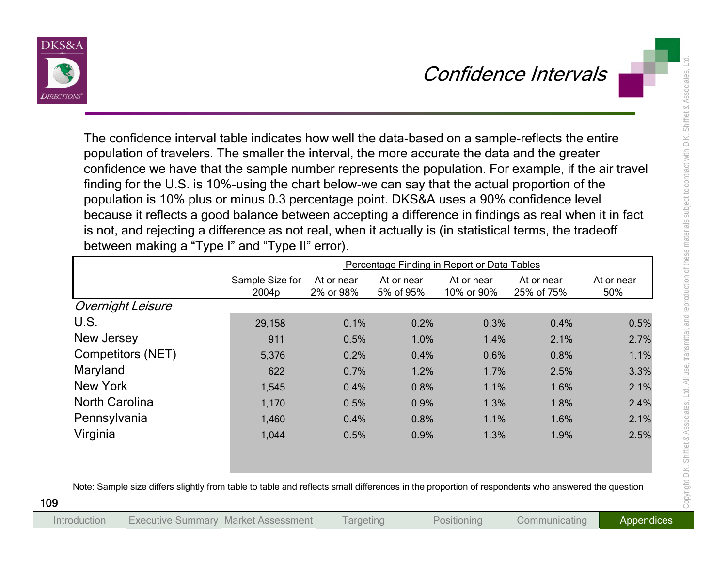

| confidence we have that the sample number represents the population. For example, if the air travel<br>finding for the U.S. is 10%-using the chart below-we can say that the actual proportion of the<br>population is 10% plus or minus 0.3 percentage point. DKS&A uses a 90% confidence level<br>because it reflects a good balance between accepting a difference in findings as real when it in fact<br>is not, and rejecting a difference as not real, when it actually is (in statistical terms, the tradeoff<br>between making a "Type I" and "Type II" error). | population of travelers. The smaller the interval, the more accurate the data and the greater |                         |                         | The confidence interval table indicates how well the data-based on a sample-reflects the entire |                          |                   |
|-------------------------------------------------------------------------------------------------------------------------------------------------------------------------------------------------------------------------------------------------------------------------------------------------------------------------------------------------------------------------------------------------------------------------------------------------------------------------------------------------------------------------------------------------------------------------|-----------------------------------------------------------------------------------------------|-------------------------|-------------------------|-------------------------------------------------------------------------------------------------|--------------------------|-------------------|
|                                                                                                                                                                                                                                                                                                                                                                                                                                                                                                                                                                         |                                                                                               |                         |                         | Percentage Finding in Report or Data Tables                                                     |                          |                   |
|                                                                                                                                                                                                                                                                                                                                                                                                                                                                                                                                                                         | Sample Size for<br>2004p                                                                      | At or near<br>2% or 98% | At or near<br>5% of 95% | At or near<br>10% or 90%                                                                        | At or near<br>25% of 75% | At or near<br>50% |
| <b>Overnight Leisure</b>                                                                                                                                                                                                                                                                                                                                                                                                                                                                                                                                                |                                                                                               |                         |                         |                                                                                                 |                          |                   |
| U.S.                                                                                                                                                                                                                                                                                                                                                                                                                                                                                                                                                                    | 29,158                                                                                        | 0.1%                    | 0.2%                    | 0.3%                                                                                            | 0.4%                     | 0.5%              |
|                                                                                                                                                                                                                                                                                                                                                                                                                                                                                                                                                                         | 911                                                                                           | 0.5%                    | 1.0%                    | 1.4%                                                                                            | 2.1%                     | 2.7%              |
| New Jersey                                                                                                                                                                                                                                                                                                                                                                                                                                                                                                                                                              |                                                                                               |                         | 0.4%                    | 0.6%                                                                                            | 0.8%                     | 1.1%              |
| Competitors (NET)                                                                                                                                                                                                                                                                                                                                                                                                                                                                                                                                                       | 5,376                                                                                         | 0.2%                    |                         |                                                                                                 |                          |                   |
|                                                                                                                                                                                                                                                                                                                                                                                                                                                                                                                                                                         | 622                                                                                           | 0.7%                    | 1.2%                    | 1.7%                                                                                            | 2.5%                     | 3.3%              |
| Maryland<br><b>New York</b>                                                                                                                                                                                                                                                                                                                                                                                                                                                                                                                                             | 1,545                                                                                         | 0.4%                    | 0.8%                    | 1.1%                                                                                            | 1.6%                     | 2.1%              |
| <b>North Carolina</b>                                                                                                                                                                                                                                                                                                                                                                                                                                                                                                                                                   | 1,170                                                                                         | 0.5%                    | 0.9%                    | 1.3%                                                                                            | 1.8%                     | 2.4%              |
| Pennsylvania                                                                                                                                                                                                                                                                                                                                                                                                                                                                                                                                                            | 1,460                                                                                         | 0.4%                    | 0.8%                    | 1.1%                                                                                            | 1.6%                     | 2.1%              |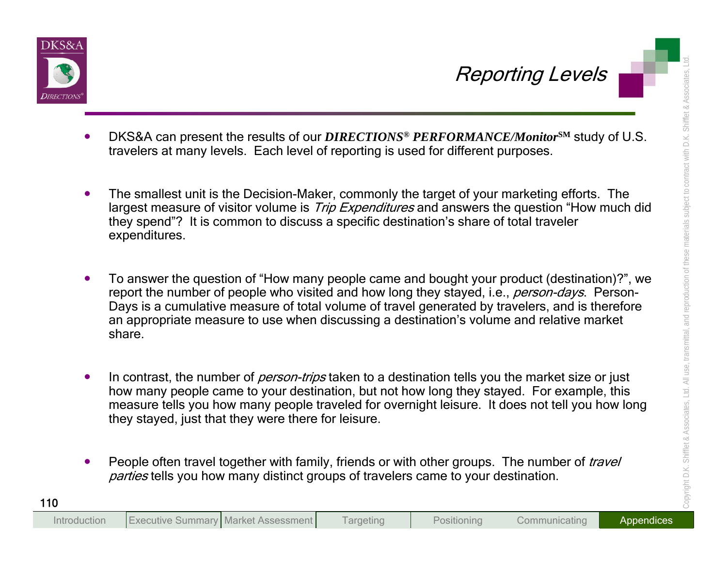

- 
- 
- **Example 18 and the Solution of the Solution Control of the Solution Control of the Solution Control of the Solution Control of the Solution Control of the Solution Control of the Solution Control of the Solution Control o** 
	-
	-

**Targeting** 

Executive Summary Market Assessment Targeting Positioning Communicating Appendices

Introduction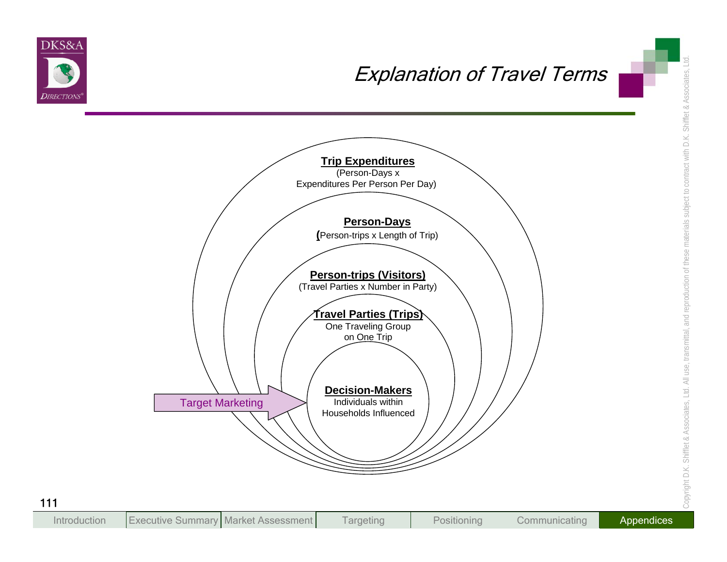

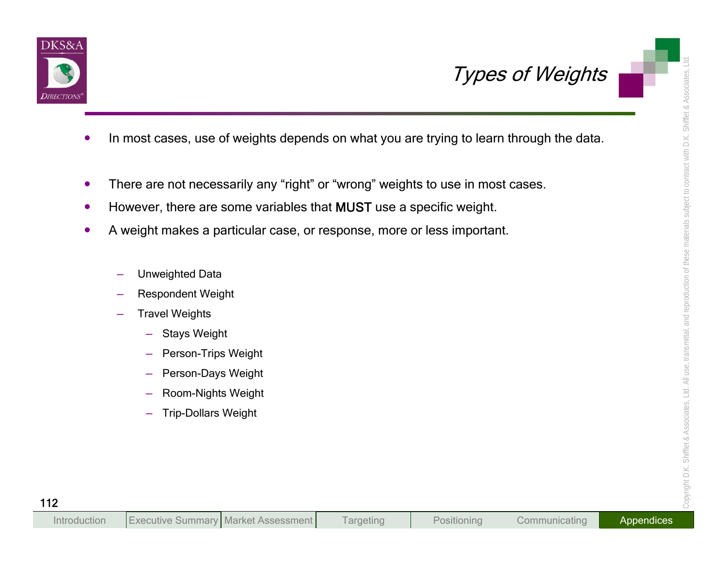

- Types of Weights<br>
In most cases, use of weights depends on what you are trying to learn through the data.<br>
 There are not necessarily any "right" or "wrong" weights to use in most cases.<br>
 However, there are some variabl
	-
	-
	- -
		-
		- -
			-
			-
			-
			-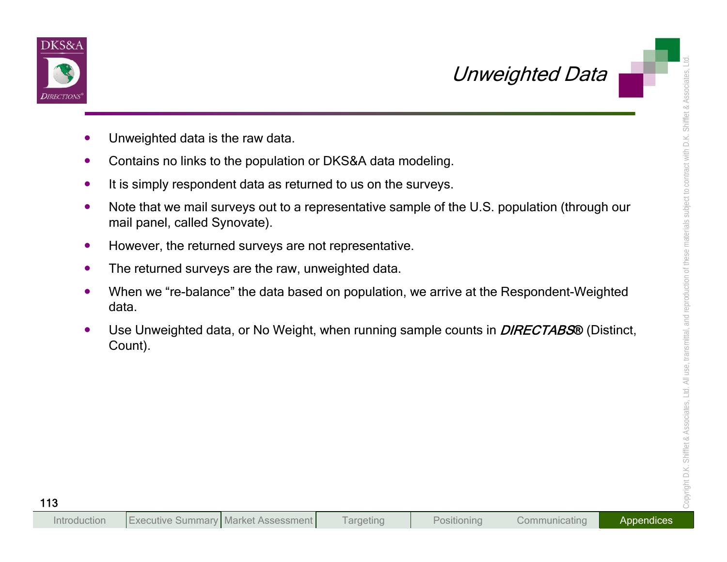



- 
- 
- 
- 
- 
- 
- 
- **Chromosophism**<br>
Chronosophism of this technical state raw data.<br>
Contains no links to the population or DKS&A data modeling.<br>
 It is simply respondent data as returned to us on the surveys.<br>
 Note that we mail surveys o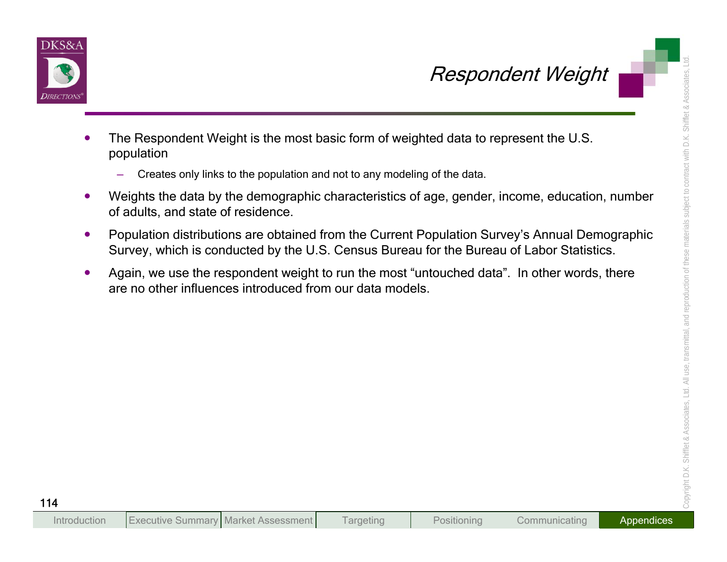



- 
- 
- 
- **Example 18 Accord Control Control Control Control Control Control Control Control Control Control Control Control Control Control Control Control Control Control Control Control Control Control Control Control Control Con**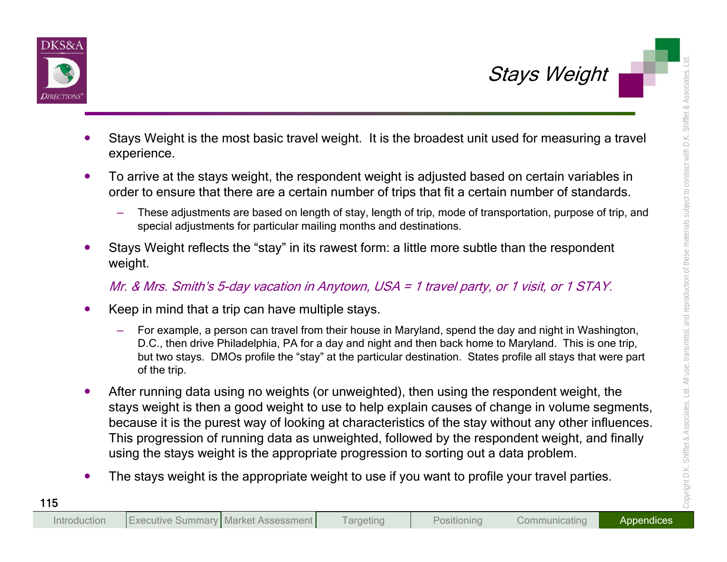

- 
- -
- 

- -
- Sizays Weight<br>
Stays Weight is the most basic travel weight. It is the broadest unit used for measuring a travel<br>
reperience.<br>
To arrive at the stays weight, the respondent weight is adjusted based on certain variables in
	-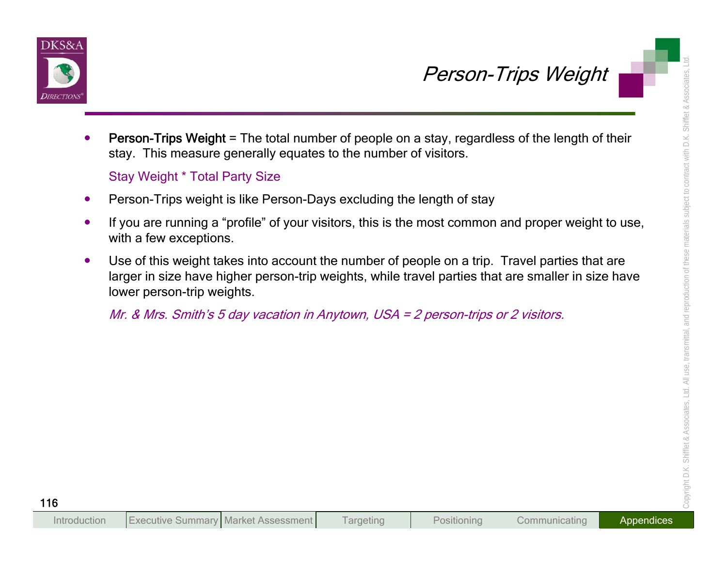



- 
- 

- 
- 
- **Person-Trips Weight = The total number of people on a stay, regardless of the length of their<br>stay. This measure generally equates to the number of visitors.<br>Stay Weight \* Total Party Size<br>Person-Trips weight is like Pers**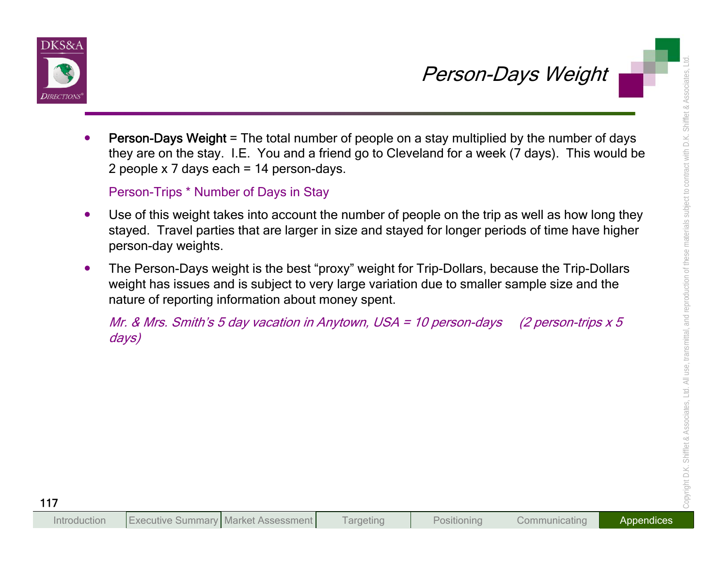



- **Person-Days Weight = The total number of people on a stay multiplied by the number of days<br>they are on the stay. IE You and a friend go to Cleveland for a week (7 days). This would be<br>2 people x 7 days each <sup>+</sup> 14 person-**
	-
	-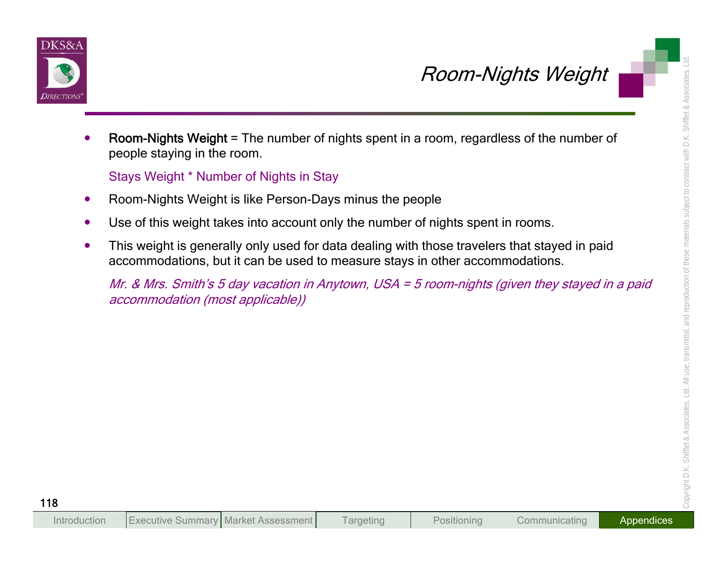



- 
- 
- 

**Example 18 A COOL AND SET AND A COOL AND SET AND SET AND SET AND SET AND SET AND SET AND SET AND SET AND SET AND SET AND SET AND SET AND SET AND SET AND SET AND SET AND SET AND SET AND SET AND SECURE THE WEIGHT IS USED TO**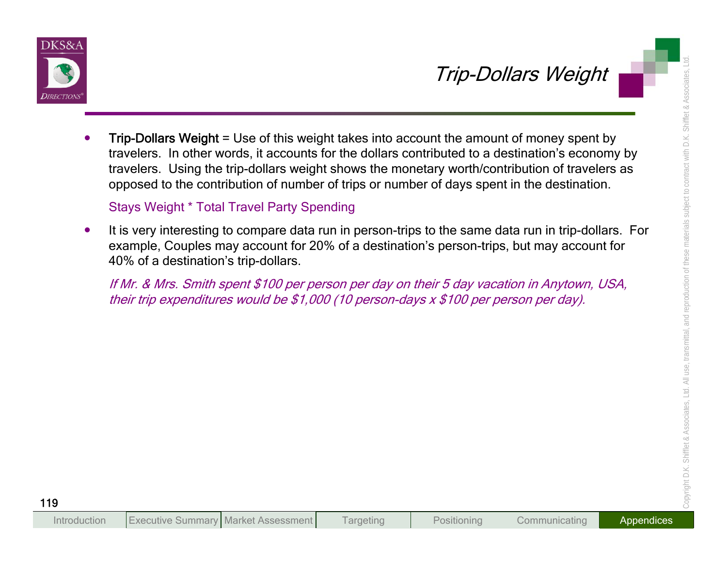

Trip-Dollars Weight<br>
Trip-Dollars Weight<br>
Trip-Dollars Weight<br>
Trip-Dollars Weight = Use of this weight takes into account the amount of money spent by<br>
travelers. In other words, it accounts for the dollars contributed to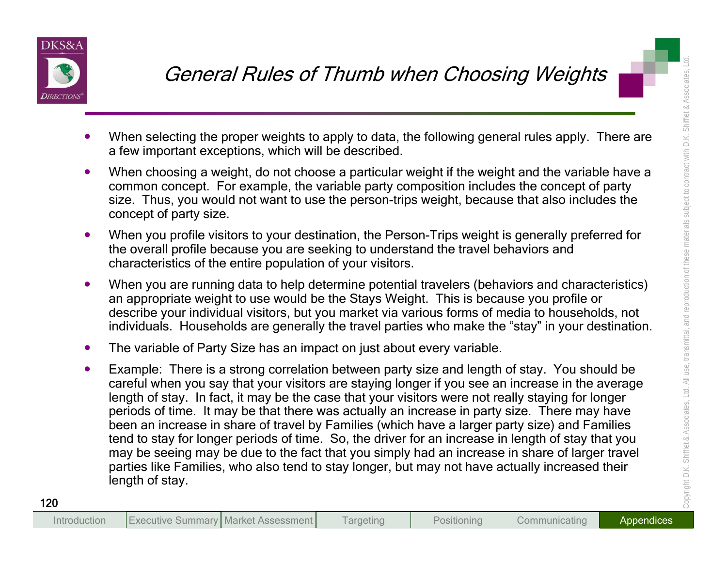

- 
- 
- 
- 
- 
- General Rulles of Thumb when Choosing Weights<br>
 When selecting the proper weights to apply to data, the following general rules apply. There are<br>
 When selecting the proper weights to apply to data, the following general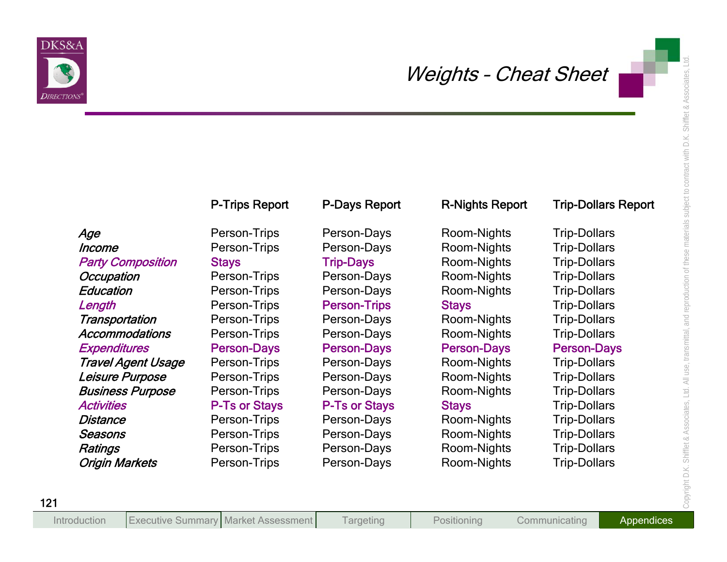

| Directions                |                       |                      |                        |                            |
|---------------------------|-----------------------|----------------------|------------------------|----------------------------|
|                           | <b>P-Trips Report</b> | P-Days Report        | <b>R-Nights Report</b> | <b>Trip-Dollars Report</b> |
| Age                       | Person-Trips          | Person-Days          | Room-Nights            | <b>Trip-Dollars</b>        |
| Income                    | Person-Trips          | Person-Days          | Room-Nights            | <b>Trip-Dollars</b>        |
| <b>Party Composition</b>  | <b>Stays</b>          | <b>Trip-Days</b>     | Room-Nights            | <b>Trip-Dollars</b>        |
| <b>Occupation</b>         | Person-Trips          | Person-Days          | Room-Nights            | <b>Trip-Dollars</b>        |
| Education                 | Person-Trips          | Person-Days          | Room-Nights            | <b>Trip-Dollars</b>        |
| Length                    | Person-Trips          | <b>Person-Trips</b>  | <b>Stays</b>           | <b>Trip-Dollars</b>        |
| Transportation            | Person-Trips          | Person-Days          | Room-Nights            | <b>Trip-Dollars</b>        |
| <b>Accommodations</b>     | Person-Trips          | Person-Days          | Room-Nights            | <b>Trip-Dollars</b>        |
| <b>Expenditures</b>       | <b>Person-Days</b>    | <b>Person-Days</b>   | <b>Person-Days</b>     | <b>Person-Days</b>         |
| <b>Travel Agent Usage</b> | Person-Trips          | Person-Days          | Room-Nights            | <b>Trip-Dollars</b>        |
| Leisure Purpose           | Person-Trips          | Person-Days          | Room-Nights            | <b>Trip-Dollars</b>        |
| <b>Business Purpose</b>   | Person-Trips          | Person-Days          | Room-Nights            | <b>Trip-Dollars</b>        |
| <b>Activities</b>         | <b>P-Ts or Stays</b>  | <b>P-Ts or Stays</b> | <b>Stays</b>           | <b>Trip-Dollars</b>        |
| Distance                  | Person-Trips          | Person-Days          | Room-Nights            | <b>Trip-Dollars</b>        |
| Seasons                   | Person-Trips          | Person-Days          | Room-Nights            | <b>Trip-Dollars</b>        |
| Ratings                   | Person-Trips          | Person-Days          | Room-Nights            | <b>Trip-Dollars</b>        |
| <b>Origin Markets</b>     | Person-Trips          | Person-Days          | Room-Nights            | <b>Trip-Dollars</b>        |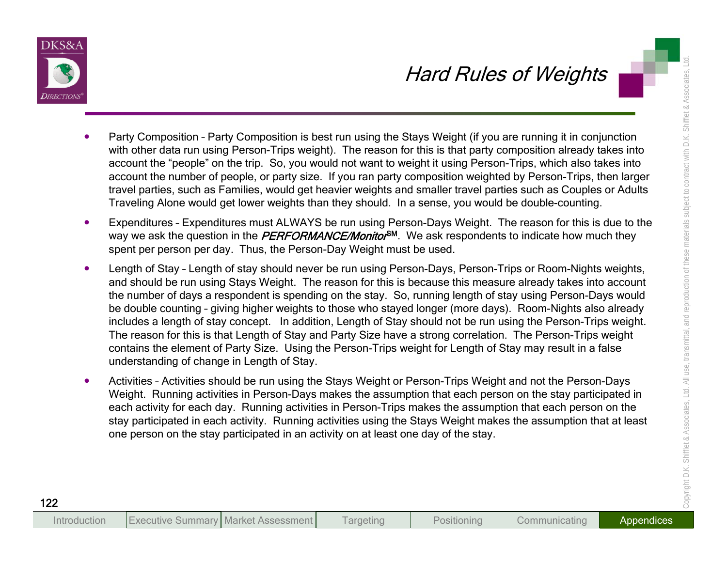

- 
- 
- Harra Russian Composition Party Composition is best run using the Stays Weight for you are numing it in conjunction<br>with the data run using the stays weight for your area mon for this is that party composition a first of
	-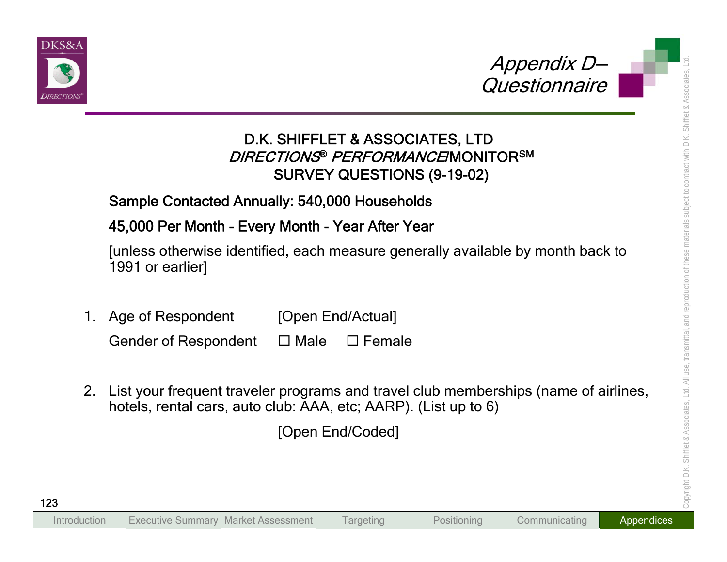



- 
- Appendix D<br>
D.K. SHIFFLET & ASSOCIATES, LTD<br>
DIRECTIONS® PERFORMANCEMONITORSM<br>
SURVEY QUESTIONS (9-19-02)<br>
Sample Contacted Annuality: 540,000 Households<br>
45,000 Per Month Every Month Year After Year<br>
[unless otherwise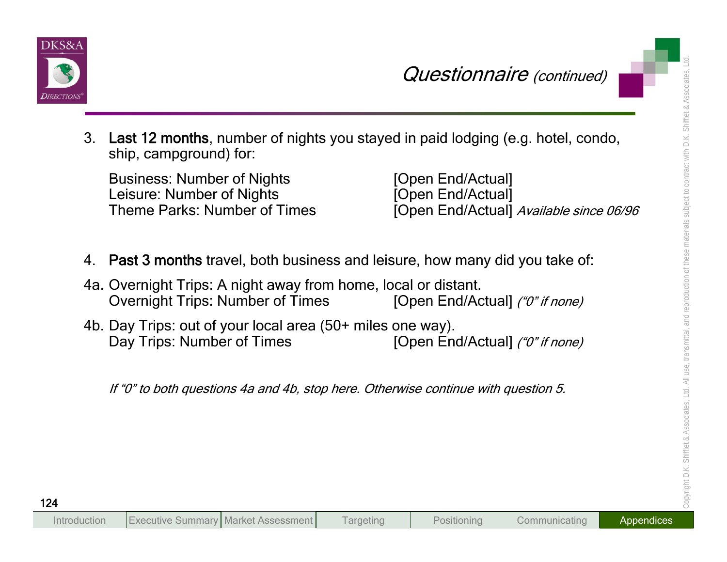



**Cuestionnaire** (continued)<br>
3. Last 12 months, number of nights you stayed in paid lodging (e.g. hotel, condo,<br>
ship, campground) for:<br>
Busines: Number of Nights<br>
Leisure: Number of Nights<br>
Leisure: Number of Nights<br>
1. P

- 
- 
-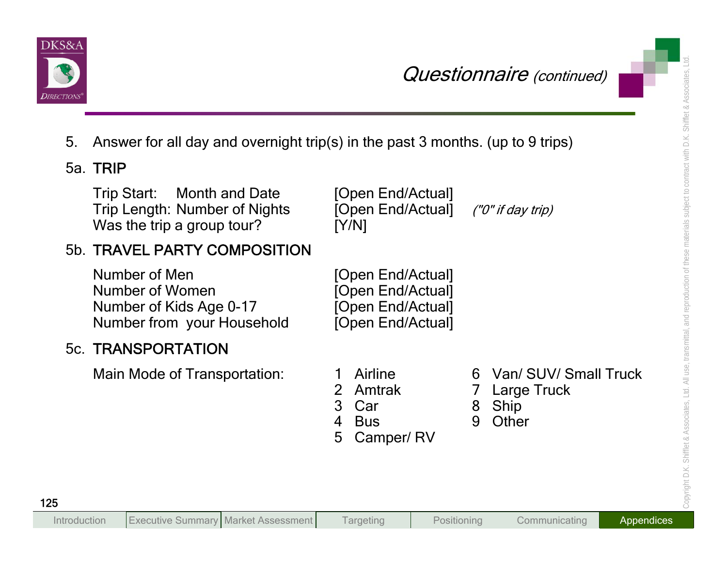

| Directions |                                                                                                  |             |                                                                                  |        | Questionnaire (continued)                               |
|------------|--------------------------------------------------------------------------------------------------|-------------|----------------------------------------------------------------------------------|--------|---------------------------------------------------------|
| 5.         | Answer for all day and overnight trip(s) in the past 3 months. (up to 9 trips)                   |             |                                                                                  |        |                                                         |
|            | 5a. TRIP                                                                                         |             |                                                                                  |        |                                                         |
|            | Trip Start: Month and Date<br><b>Trip Length: Number of Nights</b><br>Was the trip a group tour? |             | [Open End/Actual]<br>[Open End/Actual]<br>[Y/N]                                  |        | ("0" if day trip)                                       |
|            | 5b. TRAVEL PARTY COMPOSITION                                                                     |             |                                                                                  |        |                                                         |
|            | Number of Men<br>Number of Women<br>Number of Kids Age 0-17<br>Number from your Household        |             | [Open End/Actual]<br>[Open End/Actual]<br>[Open End/Actual]<br>[Open End/Actual] |        |                                                         |
|            | <b>5c. TRANSPORTATION</b>                                                                        |             |                                                                                  |        |                                                         |
|            | Main Mode of Transportation:                                                                     | 3<br>4<br>5 | Airline<br><b>Amtrak</b><br>Car<br><b>Bus</b><br>Camper/RV                       | 8<br>9 | 6 Van/ SUV/ Small Truck<br>Large Truck<br>Ship<br>Other |
| 125        |                                                                                                  |             |                                                                                  |        |                                                         |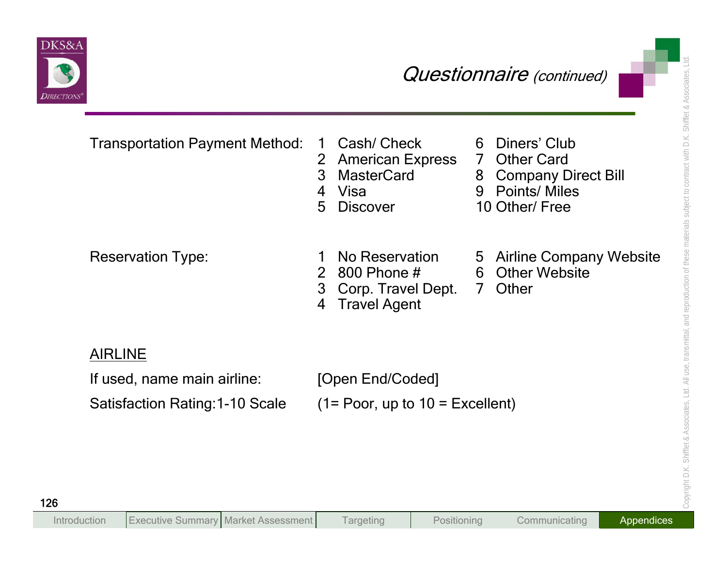

| Diners' Club<br><b>Transportation Payment Method:</b><br>Cash/ Check<br>6<br>$\mathbf 1$<br><b>American Express</b><br>7 Other Card<br>$\overline{2}$<br>3<br><b>MasterCard</b><br>8 Company Direct Bill<br>9 Points/ Miles<br>Visa<br>$\overline{4}$<br>10 Other/ Free<br>5<br><b>Discover</b><br>No Reservation<br><b>Reservation Type:</b><br>800 Phone #<br><b>Other Website</b><br>$\overline{2}$<br>$6^{\circ}$<br>3<br>Other<br>Corp. Travel Dept.<br>7 <sup>7</sup><br><b>Travel Agent</b><br>4<br><b>AIRLINE</b><br>If used, name main airline:<br>[Open End/Coded]<br>Satisfaction Rating: 1-10 Scale<br>$(1 = Poor, up to 10 = Excellent)$ | Directions | Questionnaire (continued) |
|-------------------------------------------------------------------------------------------------------------------------------------------------------------------------------------------------------------------------------------------------------------------------------------------------------------------------------------------------------------------------------------------------------------------------------------------------------------------------------------------------------------------------------------------------------------------------------------------------------------------------------------------------------|------------|---------------------------|
| 5 Airline Company Website                                                                                                                                                                                                                                                                                                                                                                                                                                                                                                                                                                                                                             |            |                           |
|                                                                                                                                                                                                                                                                                                                                                                                                                                                                                                                                                                                                                                                       |            |                           |
|                                                                                                                                                                                                                                                                                                                                                                                                                                                                                                                                                                                                                                                       |            |                           |
|                                                                                                                                                                                                                                                                                                                                                                                                                                                                                                                                                                                                                                                       |            |                           |
|                                                                                                                                                                                                                                                                                                                                                                                                                                                                                                                                                                                                                                                       |            |                           |
|                                                                                                                                                                                                                                                                                                                                                                                                                                                                                                                                                                                                                                                       |            |                           |
|                                                                                                                                                                                                                                                                                                                                                                                                                                                                                                                                                                                                                                                       |            |                           |
|                                                                                                                                                                                                                                                                                                                                                                                                                                                                                                                                                                                                                                                       |            |                           |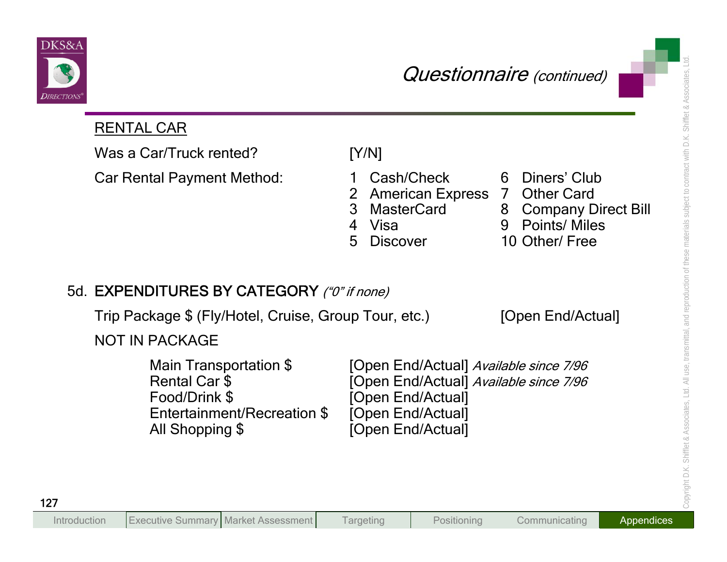



| <i>DIRECTIONS</i>                                                                                          | Questionnaire (continued)                                                                                                                                                                                                    |
|------------------------------------------------------------------------------------------------------------|------------------------------------------------------------------------------------------------------------------------------------------------------------------------------------------------------------------------------|
| <b>RENTAL CAR</b>                                                                                          |                                                                                                                                                                                                                              |
| Was a Car/Truck rented?                                                                                    | [Y/N]                                                                                                                                                                                                                        |
| <b>Car Rental Payment Method:</b>                                                                          | Diners' Club<br>Cash/Check<br>6<br>American Express 7 Other Card<br>$\overline{2}$<br><b>MasterCard</b><br>3<br>8 Company Direct Bill<br>9 Points/ Miles<br>Visa<br>$\overline{4}$<br>10 Other/ Free<br>5<br><b>Discover</b> |
| 5d. EXPENDITURES BY CATEGORY ("0" if none)                                                                 |                                                                                                                                                                                                                              |
| Trip Package \$ (Fly/Hotel, Cruise, Group Tour, etc.)                                                      | [Open End/Actual]                                                                                                                                                                                                            |
| <b>NOT IN PACKAGE</b>                                                                                      |                                                                                                                                                                                                                              |
| Main Transportation \$<br>Rental Car \$<br>Food/Drink \$<br>Entertainment/Recreation \$<br>All Shopping \$ | [Open End/Actual] Available since 7/96<br>[Open End/Actual] Available since 7/96<br>[Open End/Actual]<br>[Open End/Actual]<br>[Open End/Actual]                                                                              |
|                                                                                                            |                                                                                                                                                                                                                              |
|                                                                                                            |                                                                                                                                                                                                                              |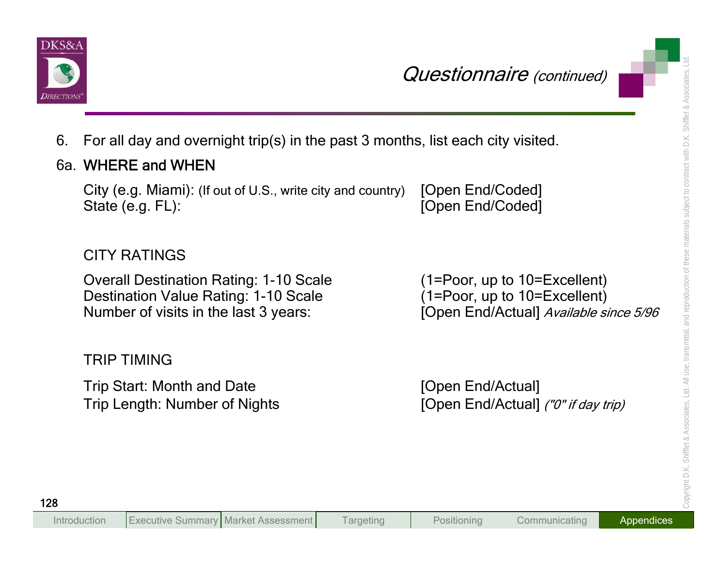



- 
- 

**Cuestionnaire** (continued)<br>
6. For all day and overnight trip(s) in the past 3 months, list each city visited.<br>
6a. WHERE and WHEN<br>
City (e.g. Miami): (If out of U.S., write city and country) [Open End/Coded]<br>
State (e.g.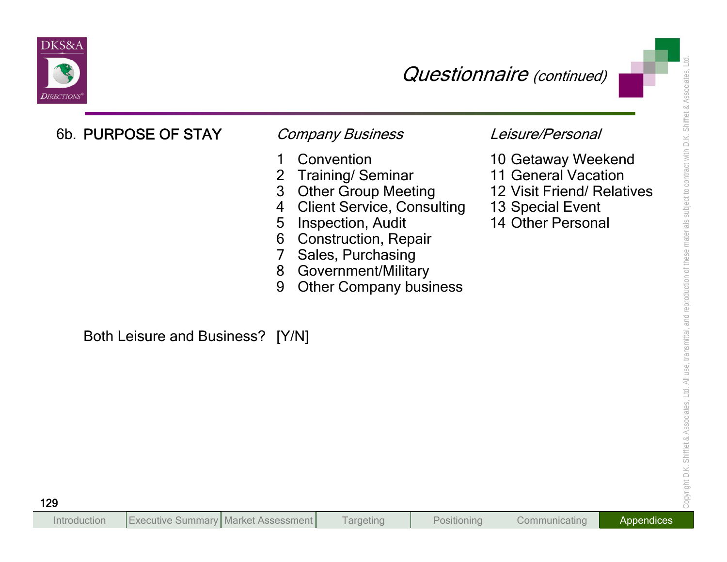

- 
- 
- 
- 
- 
- 
- 
- 
- 

- 
- 
- 
- 
-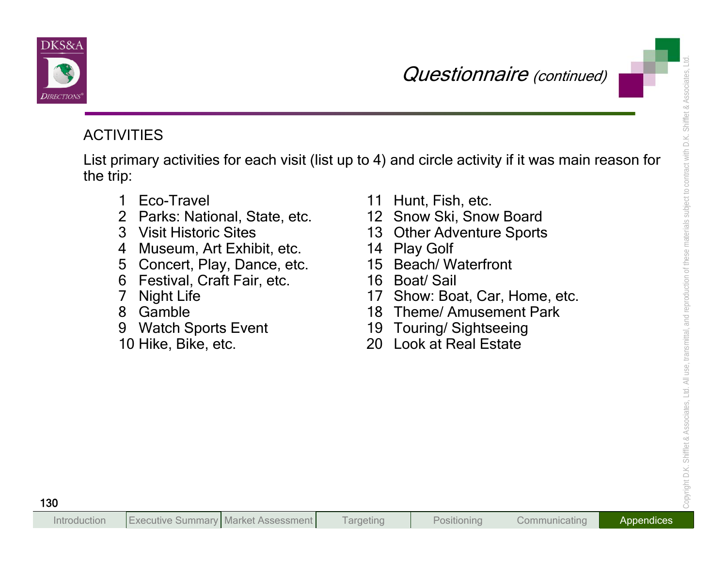



**CUESTION ACTIVITIES**<br>
List primary activities for each visit (list up to 4) and circle activity if it was main reason for<br>
the trip:<br>
1 Eco-Travel<br>
2 Parks: National, State, etc.<br>
4 Museum, Art Exhibit, etc.<br>
4 Museum, Ar

- 
- 
- 
- 
- 
- 
- 
- 
- 
- 
- 
- 
- 
- 
- 
- 
- 
- 
- 
-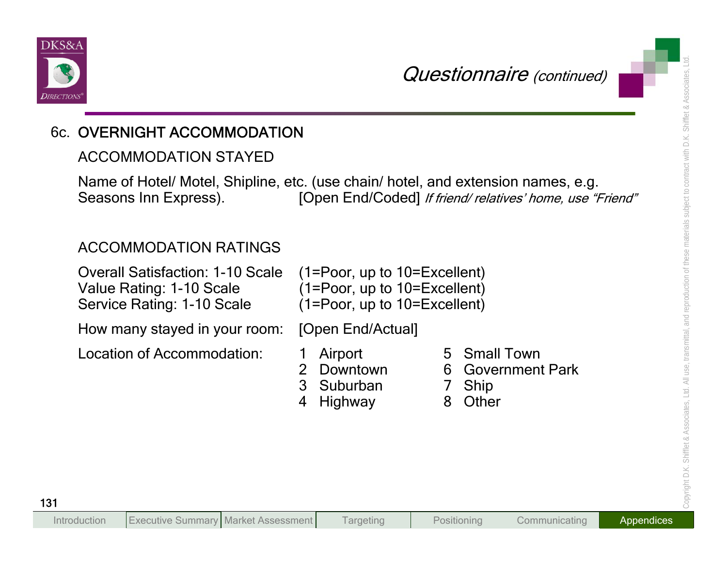

**CUERNIGHT ACCOMMODATION**<br> **CUERNIGHT ACCOMMODATION**<br>
ACCOMMODATION<br>
Name of Hotel/ Motel, Shipline, etc. (use chain/ hotel, and extension names, e.g.<br>
Seasons Inn Express). [Open End/Coded] *If thend relatives home, use "* 

- -
- 
- 
- 
- 
-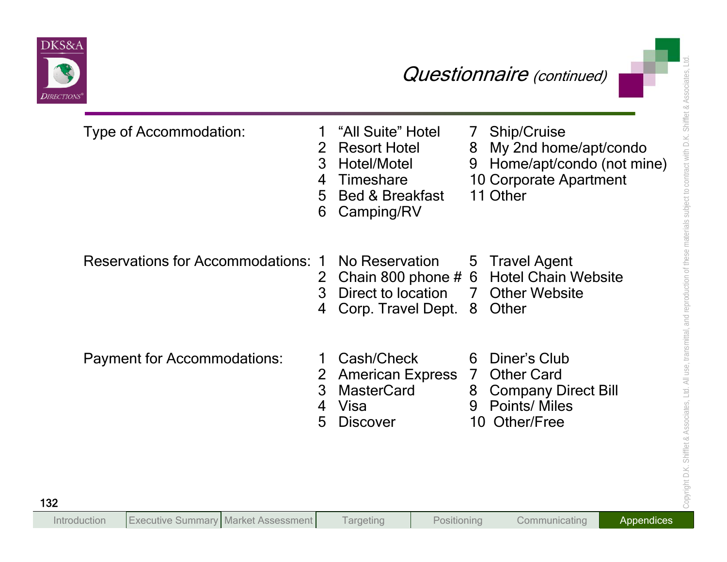

|                                           |                               |                                                                                                                         |                     | Questionnaire (continued)                                                                                      |
|-------------------------------------------|-------------------------------|-------------------------------------------------------------------------------------------------------------------------|---------------------|----------------------------------------------------------------------------------------------------------------|
| Type of Accommodation:                    | 1<br>2<br>3<br>4<br>5<br>6    | "All Suite" Hotel<br><b>Resort Hotel</b><br>Hotel/Motel<br><b>Timeshare</b><br><b>Bed &amp; Breakfast</b><br>Camping/RV | 7<br>8<br>9         | Ship/Cruise<br>My 2nd home/apt/condo<br>Home/apt/condo (not mine)<br><b>10 Corporate Apartment</b><br>11 Other |
| <b>Reservations for Accommodations: 1</b> | 2<br>3<br>4                   | No Reservation<br>Direct to location<br>Corp. Travel Dept.                                                              | 5 <sup>5</sup><br>7 | <b>Travel Agent</b><br>Chain 800 phone # 6 Hotel Chain Website<br><b>Other Website</b><br>8 Other              |
| <b>Payment for Accommodations:</b>        | $\overline{2}$<br>3<br>4<br>5 | Cash/Check<br><b>American Express 7</b><br><b>MasterCard</b><br>Visa<br><b>Discover</b>                                 | 6<br>8<br>9         | Diner's Club<br><b>Other Card</b><br><b>Company Direct Bill</b><br><b>Points/ Miles</b><br>10 Other/Free       |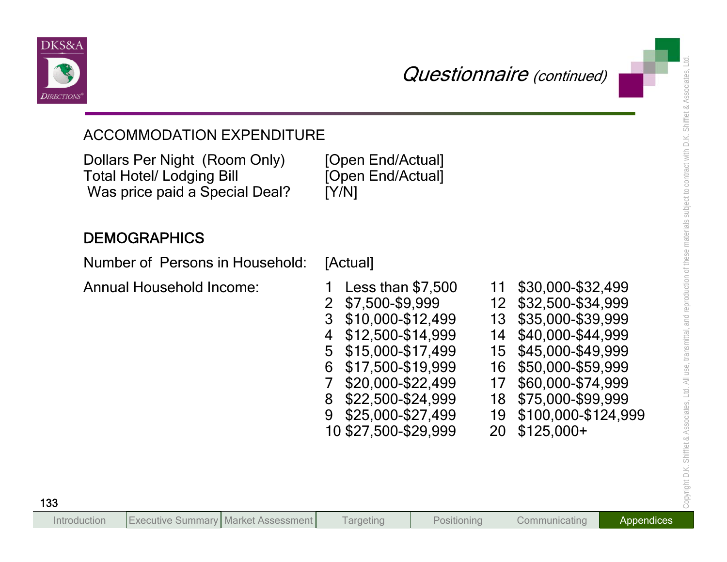



| <b>ACCOMMODATION EXPENDITURE</b>                                                                    |                                                                                                                                                                                                                                                                                      |                                  |                                                                                                                                                                                                                        |
|-----------------------------------------------------------------------------------------------------|--------------------------------------------------------------------------------------------------------------------------------------------------------------------------------------------------------------------------------------------------------------------------------------|----------------------------------|------------------------------------------------------------------------------------------------------------------------------------------------------------------------------------------------------------------------|
| Dollars Per Night (Room Only)<br><b>Total Hotel/ Lodging Bill</b><br>Was price paid a Special Deal? | [Open End/Actual]<br>[Open End/Actual]<br>[Y/N]                                                                                                                                                                                                                                      |                                  |                                                                                                                                                                                                                        |
| <b>DEMOGRAPHICS</b>                                                                                 |                                                                                                                                                                                                                                                                                      |                                  |                                                                                                                                                                                                                        |
| Number of Persons in Household:                                                                     | [Actual]                                                                                                                                                                                                                                                                             |                                  |                                                                                                                                                                                                                        |
| <b>Annual Household Income:</b>                                                                     | Less than $$7,500$<br>\$7,500-\$9,999<br>$\overline{2}$<br>3 <sup>1</sup><br>$$10,000 - $12,499$<br>\$12,500-\$14,999<br>4<br>\$15,000-\$17,499<br>5<br>\$17,500-\$19,999<br>6<br>\$20,000-\$22,499<br>7<br>\$22,500-\$24,999<br>8<br>\$25,000-\$27,499<br>9<br>10 \$27,500-\$29,999 | 11<br>14<br>15<br>17<br>19<br>20 | \$30,000-\$32,499<br>12 \$32,500-\$34,999<br>13 \$35,000-\$39,999<br>\$40,000-\$44,999<br>\$45,000-\$49,999<br>16 \$50,000-\$59,999<br>\$60,000-\$74,999<br>18 \$75,000-\$99,999<br>\$100,000-\$124,999<br>$$125,000+$ |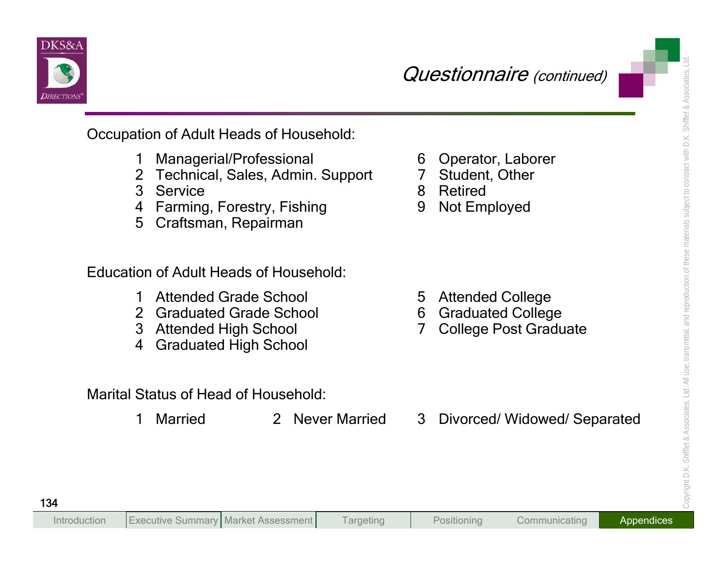

- 
- 
- 
- 
- 

- 
- 
- 
- 

- 
- 
- 
- 
- 
- 

- 
- 
-